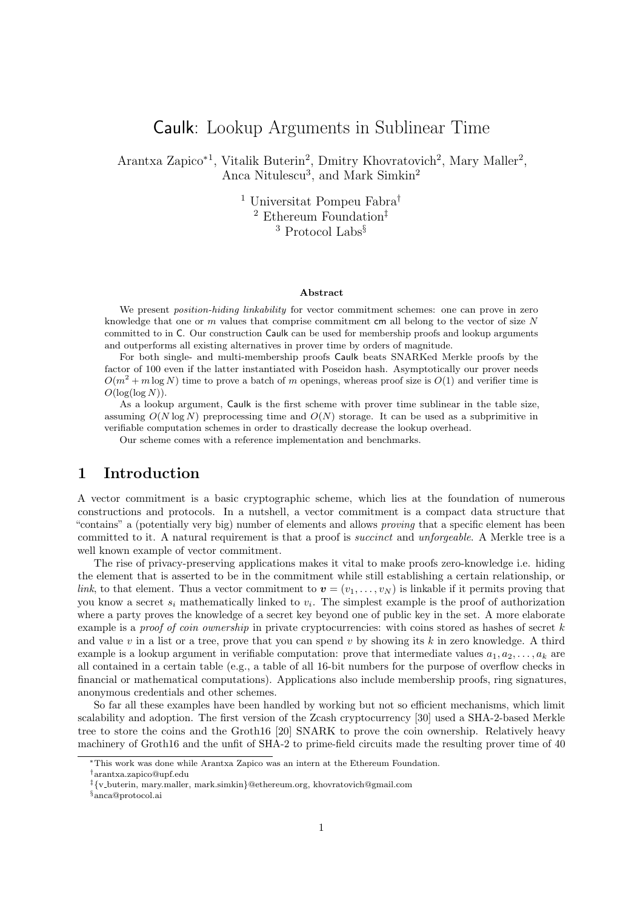# Caulk: Lookup Arguments in Sublinear Time

Arantxa Zapico<sup>\*1</sup>, Vitalik Buterin<sup>2</sup>, Dmitry Khovratovich<sup>2</sup>, Mary Maller<sup>2</sup>, Anca Nitulescu<sup>3</sup>, and Mark Simkin<sup>2</sup>

> <sup>1</sup> Universitat Pompeu Fabra† <sup>2</sup> Ethereum Foundation‡ <sup>3</sup> Protocol Labs§

#### Abstract

We present *position-hiding linkability* for vector commitment schemes: one can prove in zero knowledge that one or m values that comprise commitment cm all belong to the vector of size  $N$ committed to in C. Our construction Caulk can be used for membership proofs and lookup arguments and outperforms all existing alternatives in prover time by orders of magnitude.

For both single- and multi-membership proofs Caulk beats SNARKed Merkle proofs by the factor of 100 even if the latter instantiated with Poseidon hash. Asymptotically our prover needs  $O(m^2 + m \log N)$  time to prove a batch of m openings, whereas proof size is  $O(1)$  and verifier time is  $O(\log(\log N)).$ 

As a lookup argument, Caulk is the first scheme with prover time sublinear in the table size, assuming  $O(N \log N)$  preprocessing time and  $O(N)$  storage. It can be used as a subprimitive in verifiable computation schemes in order to drastically decrease the lookup overhead.

Our scheme comes with a reference implementation and benchmarks.

### 1 Introduction

A vector commitment is a basic cryptographic scheme, which lies at the foundation of numerous constructions and protocols. In a nutshell, a vector commitment is a compact data structure that "contains" a (potentially very big) number of elements and allows *proving* that a specific element has been committed to it. A natural requirement is that a proof is succinct and unforgeable. A Merkle tree is a well known example of vector commitment.

The rise of privacy-preserving applications makes it vital to make proofs zero-knowledge i.e. hiding the element that is asserted to be in the commitment while still establishing a certain relationship, or link, to that element. Thus a vector commitment to  $\mathbf{v} = (v_1, \dots, v_N)$  is linkable if it permits proving that you know a secret  $s_i$  mathematically linked to  $v_i$ . The simplest example is the proof of authorization where a party proves the knowledge of a secret key beyond one of public key in the set. A more elaborate example is a *proof of coin ownership* in private cryptocurrencies: with coins stored as hashes of secret  $k$ and value v in a list or a tree, prove that you can spend v by showing its  $k$  in zero knowledge. A third example is a lookup argument in verifiable computation: prove that intermediate values  $a_1, a_2, \ldots, a_k$  are all contained in a certain table (e.g., a table of all 16-bit numbers for the purpose of overflow checks in financial or mathematical computations). Applications also include membership proofs, ring signatures, anonymous credentials and other schemes.

So far all these examples have been handled by working but not so efficient mechanisms, which limit scalability and adoption. The first version of the Zcash cryptocurrency [30] used a SHA-2-based Merkle tree to store the coins and the Groth16 [20] SNARK to prove the coin ownership. Relatively heavy machinery of Groth16 and the unfit of SHA-2 to prime-field circuits made the resulting prover time of 40

<sup>∗</sup>This work was done while Arantxa Zapico was an intern at the Ethereum Foundation.

<sup>†</sup>arantxa.zapico@upf.edu

<sup>‡</sup>{v buterin, mary.maller, mark.simkin}@ethereum.org, khovratovich@gmail.com

<sup>§</sup>anca@protocol.ai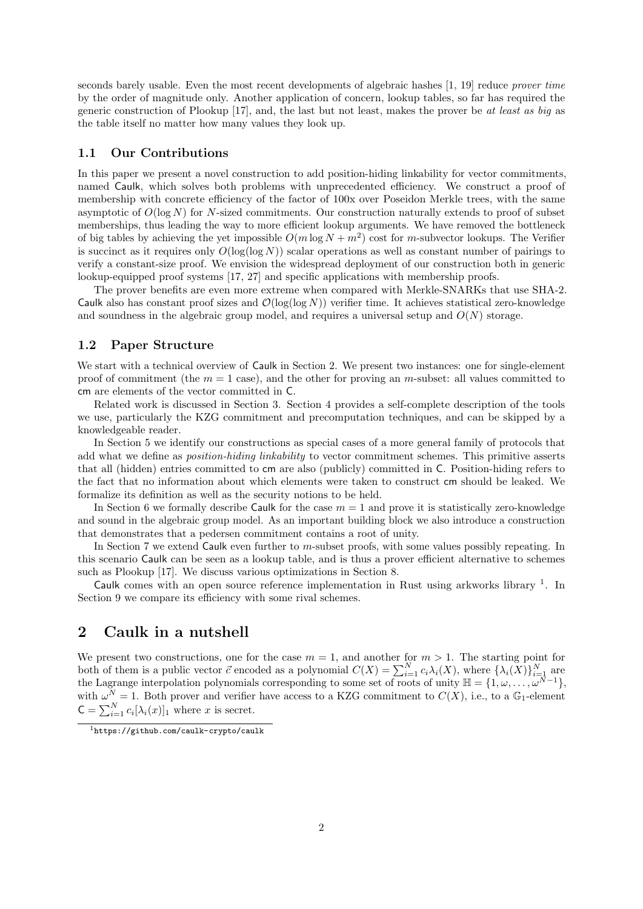seconds barely usable. Even the most recent developments of algebraic hashes [1, 19] reduce prover time by the order of magnitude only. Another application of concern, lookup tables, so far has required the generic construction of Plookup [17], and, the last but not least, makes the prover be at least as big as the table itself no matter how many values they look up.

### 1.1 Our Contributions

In this paper we present a novel construction to add position-hiding linkability for vector commitments, named Caulk, which solves both problems with unprecedented efficiency. We construct a proof of membership with concrete efficiency of the factor of 100x over Poseidon Merkle trees, with the same asymptotic of  $O(\log N)$  for N-sized commitments. Our construction naturally extends to proof of subset memberships, thus leading the way to more efficient lookup arguments. We have removed the bottleneck of big tables by achieving the yet impossible  $O(m \log N + m^2)$  cost for m-subvector lookups. The Verifier is succinct as it requires only  $O(\log(\log N))$  scalar operations as well as constant number of pairings to verify a constant-size proof. We envision the widespread deployment of our construction both in generic lookup-equipped proof systems [17, 27] and specific applications with membership proofs.

The prover benefits are even more extreme when compared with Merkle-SNARKs that use SHA-2. Caulk also has constant proof sizes and  $\mathcal{O}(\log(\log N))$  verifier time. It achieves statistical zero-knowledge and soundness in the algebraic group model, and requires a universal setup and  $O(N)$  storage.

### 1.2 Paper Structure

We start with a technical overview of Caulk in Section 2. We present two instances: one for single-element proof of commitment (the  $m = 1$  case), and the other for proving an m-subset: all values committed to cm are elements of the vector committed in C.

Related work is discussed in Section 3. Section 4 provides a self-complete description of the tools we use, particularly the KZG commitment and precomputation techniques, and can be skipped by a knowledgeable reader.

In Section 5 we identify our constructions as special cases of a more general family of protocols that add what we define as *position-hiding linkability* to vector commitment schemes. This primitive asserts that all (hidden) entries committed to cm are also (publicly) committed in C. Position-hiding refers to the fact that no information about which elements were taken to construct cm should be leaked. We formalize its definition as well as the security notions to be held.

In Section 6 we formally describe Caulk for the case  $m = 1$  and prove it is statistically zero-knowledge and sound in the algebraic group model. As an important building block we also introduce a construction that demonstrates that a pedersen commitment contains a root of unity.

In Section 7 we extend Caulk even further to m-subset proofs, with some values possibly repeating. In this scenario Caulk can be seen as a lookup table, and is thus a prover efficient alternative to schemes such as Plookup [17]. We discuss various optimizations in Section 8.

Caulk comes with an open source reference implementation in Rust using arkworks library <sup>1</sup>. In Section 9 we compare its efficiency with some rival schemes.

# 2 Caulk in a nutshell

We present two constructions, one for the case  $m = 1$ , and another for  $m > 1$ . The starting point for both of them is a public vector  $\vec{c}$  encoded as a polynomial  $C(X) = \sum_{i=1}^{N} c_i \lambda_i(X)$ , where  $\{\lambda_i(X)\}_{i=1}^{N}$  are the Lagrange interpolation polynomials corresponding to some set of roots of unity  $\mathbb{H} = \{1, \omega, \ldots, \omega^{\tilde{N}-1}\},$ with  $\omega^N = 1$ . Both prover and verifier have access to a KZG commitment to  $C(X)$ , i.e., to a G<sub>1</sub>-element  $C = \sum_{i=1}^{N} c_i [\lambda_i(x)]_1$  where x is secret.

<sup>1</sup>https://github.com/caulk-crypto/caulk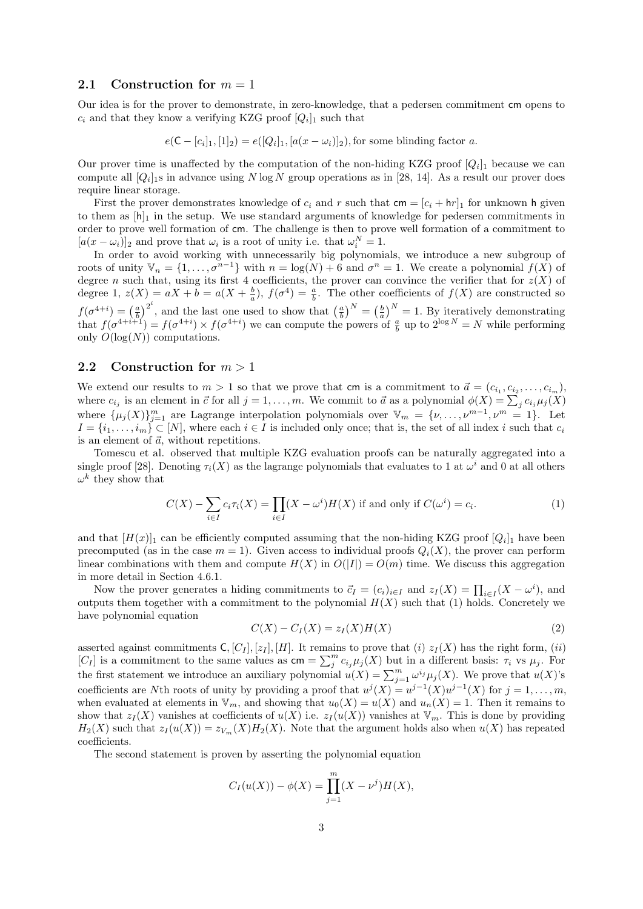#### 2.1 Construction for  $m = 1$

Our idea is for the prover to demonstrate, in zero-knowledge, that a pedersen commitment cm opens to  $c_i$  and that they know a verifying KZG proof  $[Q_i]_1$  such that

 $e(C - [c_i]_1, [1]_2) = e([Q_i]_1, [a(x - \omega_i)]_2)$ , for some blinding factor a.

Our prover time is unaffected by the computation of the non-hiding KZG proof  $[Q_i]_1$  because we can compute all  $[Q_i]$  is in advance using N log N group operations as in [28, 14]. As a result our prover does require linear storage.

First the prover demonstrates knowledge of  $c_i$  and r such that  $\mathsf{cm} = [c_i + \mathsf{hr}]_1$  for unknown h given to them as  $[h]_1$  in the setup. We use standard arguments of knowledge for pedersen commitments in order to prove well formation of cm. The challenge is then to prove well formation of a commitment to  $[a(x - \omega_i)]_2$  and prove that  $\omega_i$  is a root of unity i.e. that  $\omega_i^N = 1$ .

In order to avoid working with unnecessarily big polynomials, we introduce a new subgroup of roots of unity  $\mathbb{V}_n = \{1, \ldots, \sigma^{n-1}\}\$  with  $n = \log(N) + 6$  and  $\sigma^n = 1$ . We create a polynomial  $f(X)$  of degree n such that, using its first 4 coefficients, the prover can convince the verifier that for  $z(X)$  of degree 1,  $z(X) = aX + b = a(X + \frac{b}{a}), f(\sigma^4) = \frac{a}{b}$ . The other coefficients of  $f(X)$  are constructed so  $_{a}$ ,  $_{y}$  ( $_{y}$  )  $_{y}$  $f(\sigma^{4+i}) = \left(\frac{a}{b}\right)^{2^i}$ , and the last one used to show that  $\left(\frac{a}{b}\right)^N = \left(\frac{b}{a}\right)^N = 1$ . By iteratively demonstrating that  $f(\sigma^{4+i+1}) = f(\sigma^{4+i}) \times f(\sigma^{4+i})$  we can compute the powers of  $\frac{a}{b}$  up to  $2^{\log N} = N$  while performing only  $O(\log(N))$  computations.

#### 2.2 Construction for  $m > 1$

We extend our results to  $m > 1$  so that we prove that cm is a commitment to  $\vec{a} = (c_{i_1}, c_{i_2}, \ldots, c_{i_m})$ , where  $c_{i_j}$  is an element in  $\vec{c}$  for all  $j = 1, \ldots, m$ . We commit to  $\vec{a}$  as a polynomial  $\phi(X) = \sum_j c_{i_j} \mu_j(X)$ where  $\{\mu_j(X)\}_{j=1}^m$  are Lagrange interpolation polynomials over  $\mathbb{V}_m = \{\nu, \ldots, \nu^{m-1}, \nu^m = 1\}$ . Let  $I = \{i_1, \ldots, i_m\} \subset [N]$ , where each  $i \in I$  is included only once; that is, the set of all index i such that  $c_i$ is an element of  $\vec{a}$ , without repetitions.

Tomescu et al. observed that multiple KZG evaluation proofs can be naturally aggregated into a single proof [28]. Denoting  $\tau_i(X)$  as the lagrange polynomials that evaluates to 1 at  $\omega^i$  and 0 at all others  $\omega^k$  they show that

$$
C(X) - \sum_{i \in I} c_i \tau_i(X) = \prod_{i \in I} (X - \omega^i) H(X) \text{ if and only if } C(\omega^i) = c_i.
$$
 (1)

and that  $[H(x)]_1$  can be efficiently computed assuming that the non-hiding KZG proof  $[Q_i]_1$  have been precomputed (as in the case  $m = 1$ ). Given access to individual proofs  $Q_i(X)$ , the prover can perform linear combinations with them and compute  $H(X)$  in  $O(|I|) = O(m)$  time. We discuss this aggregation in more detail in Section 4.6.1.

Now the prover generates a hiding commitments to  $\vec{c}_I = (c_i)_{i \in I}$  and  $z_I(X) = \prod_{i \in I} (X - \omega^i)$ , and outputs them together with a commitment to the polynomial  $H(X)$  such that (1) holds. Concretely we have polynomial equation

$$
C(X) - C_I(X) = z_I(X)H(X)
$$
\n<sup>(2)</sup>

asserted against commitments  $C$ ,  $[C_I]$ ,  $[z_I]$ ,  $[H]$ . It remains to prove that (i)  $z_I(X)$  has the right form, (ii) [C<sub>I</sub>] is a commitment to the same values as  $\mathsf{cm} = \sum_{j}^{m} c_{i_j} \mu_j(X)$  but in a different basis:  $\tau_i$  vs  $\mu_j$ . For the first statement we introduce an auxiliary polynomial  $u(X) = \sum_{j=1}^{m} \omega^{i_j} \mu_j(X)$ . We prove that  $u(X)$ 's coefficients are Nth roots of unity by providing a proof that  $u^j(X) = u^{j-1}(X)u^{j-1}(X)$  for  $j = 1, ..., m$ , when evaluated at elements in  $V_m$ , and showing that  $u_0(X) = u(X)$  and  $u_n(X) = 1$ . Then it remains to show that  $z_1(X)$  vanishes at coefficients of  $u(X)$  i.e.  $z_1(u(X))$  vanishes at  $\mathbb{V}_m$ . This is done by providing  $H_2(X)$  such that  $z_I(u(X)) = z_{V_m}(X)H_2(X)$ . Note that the argument holds also when  $u(X)$  has repeated coefficients.

The second statement is proven by asserting the polynomial equation

$$
C_I(u(X)) - \phi(X) = \prod_{j=1}^m (X - \nu^j) H(X),
$$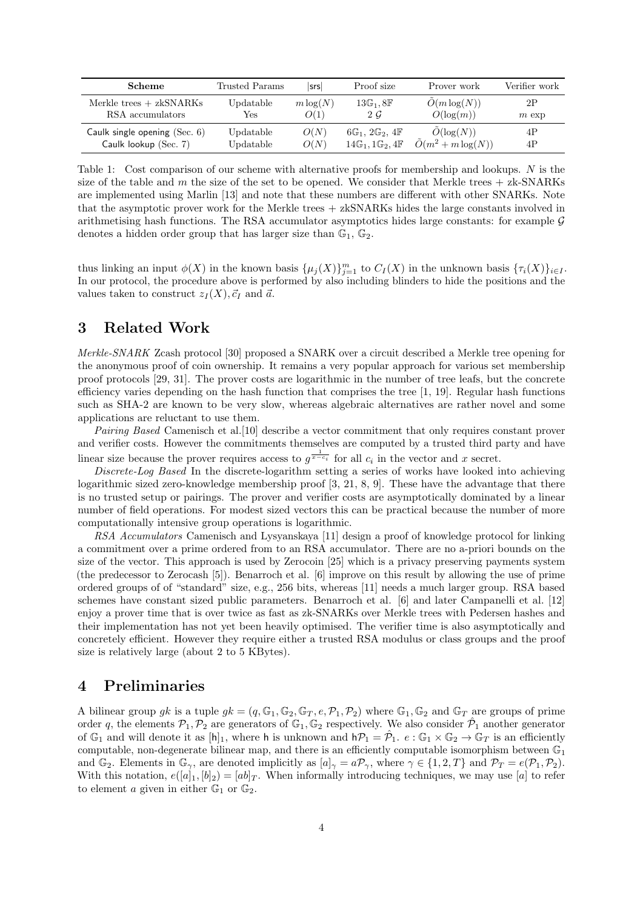| <b>Scheme</b>                   | Trusted Params | srs         | Proof size                                         | Prover work                  | Verifier work |
|---------------------------------|----------------|-------------|----------------------------------------------------|------------------------------|---------------|
| Merkle trees $+$ zkSNARKs       | Updatable      | $m \log(N)$ | $13\mathbb{G}_1, 8\mathbb{F}$                      | $O(m \log(N))$               | 2P            |
| RSA accumulators                | Yes            | O(1)        | 2G                                                 | $O(\log(m))$                 | $m$ exp       |
| Caulk single opening $(Sec. 6)$ | Updatable      | O(N)        | $6\mathbb{G}_1$ , $2\mathbb{G}_2$ , $4\mathbb{F}$  | $O(\log(N))$                 | 4P            |
| Caulk lookup (Sec. 7)           | Updatable      | O(N)        | $14\mathbb{G}_1$ , $1\mathbb{G}_2$ , $4\mathbb{F}$ | $\tilde{O}(m^2 + m \log(N))$ | 4P            |

Table 1: Cost comparison of our scheme with alternative proofs for membership and lookups. N is the size of the table and m the size of the set to be opened. We consider that Merkle trees  $+$  zk-SNARKs are implemented using Marlin [13] and note that these numbers are different with other SNARKs. Note that the asymptotic prover work for the Merkle trees + zkSNARKs hides the large constants involved in arithmetising hash functions. The RSA accumulator asymptotics hides large constants: for example  $\mathcal G$ denotes a hidden order group that has larger size than  $\mathbb{G}_1$ ,  $\mathbb{G}_2$ .

thus linking an input  $\phi(X)$  in the known basis  $\{\mu_j(X)\}_{j=1}^m$  to  $C_I(X)$  in the unknown basis  $\{\tau_i(X)\}_{i\in I}$ . In our protocol, the procedure above is performed by also including blinders to hide the positions and the values taken to construct  $z_I(X), \vec{c}_I$  and  $\vec{a}$ .

# 3 Related Work

Merkle-SNARK Zcash protocol [30] proposed a SNARK over a circuit described a Merkle tree opening for the anonymous proof of coin ownership. It remains a very popular approach for various set membership proof protocols [29, 31]. The prover costs are logarithmic in the number of tree leafs, but the concrete efficiency varies depending on the hash function that comprises the tree  $[1, 19]$ . Regular hash functions such as SHA-2 are known to be very slow, whereas algebraic alternatives are rather novel and some applications are reluctant to use them.

Pairing Based Camenisch et al.[10] describe a vector commitment that only requires constant prover and verifier costs. However the commitments themselves are computed by a trusted third party and have linear size because the prover requires access to  $g^{\frac{1}{x-c_i}}$  for all  $c_i$  in the vector and x secret.

Discrete-Log Based In the discrete-logarithm setting a series of works have looked into achieving logarithmic sized zero-knowledge membership proof [3, 21, 8, 9]. These have the advantage that there is no trusted setup or pairings. The prover and verifier costs are asymptotically dominated by a linear number of field operations. For modest sized vectors this can be practical because the number of more computationally intensive group operations is logarithmic.

RSA Accumulators Camenisch and Lysyanskaya [11] design a proof of knowledge protocol for linking a commitment over a prime ordered from to an RSA accumulator. There are no a-priori bounds on the size of the vector. This approach is used by Zerocoin [25] which is a privacy preserving payments system (the predecessor to Zerocash [5]). Benarroch et al. [6] improve on this result by allowing the use of prime ordered groups of of "standard" size, e.g., 256 bits, whereas [11] needs a much larger group. RSA based schemes have constant sized public parameters. Benarroch et al. [6] and later Campanelli et al. [12] enjoy a prover time that is over twice as fast as zk-SNARKs over Merkle trees with Pedersen hashes and their implementation has not yet been heavily optimised. The verifier time is also asymptotically and concretely efficient. However they require either a trusted RSA modulus or class groups and the proof size is relatively large (about 2 to 5 KBytes).

### 4 Preliminaries

A bilinear group gk is a tuple  $g_k = (q, \mathbb{G}_1, \mathbb{G}_2, \mathbb{G}_T, e, \mathcal{P}_1, \mathcal{P}_2)$  where  $\mathbb{G}_1, \mathbb{G}_2$  and  $\mathbb{G}_T$  are groups of prime order q, the elements  $\mathcal{P}_1, \mathcal{P}_2$  are generators of  $\mathbb{G}_1, \mathbb{G}_2$  respectively. We also consider  $\hat{\mathcal{P}}_1$  another generator of  $\mathbb{G}_1$  and will denote it as  $[h]_1$ , where h is unknown and  $h\mathcal{P}_1 = \hat{\mathcal{P}}_1$ .  $e : \mathbb{G}_1 \times \mathbb{G}_2 \to \mathbb{G}_T$  is an efficiently computable, non-degenerate bilinear map, and there is an efficiently computable isomorphism between  $\mathbb{G}_1$ and  $\mathbb{G}_2$ . Elements in  $\mathbb{G}_\gamma$ , are denoted implicitly as  $[a]_\gamma = a\mathcal{P}_\gamma$ , where  $\gamma \in \{1, 2, T\}$  and  $\mathcal{P}_T = e(\mathcal{P}_1, \mathcal{P}_2)$ . With this notation,  $e([a]_1, [b]_2) = [ab]_T$ . When informally introducing techniques, we may use [a] to refer to element a given in either  $\mathbb{G}_1$  or  $\mathbb{G}_2$ .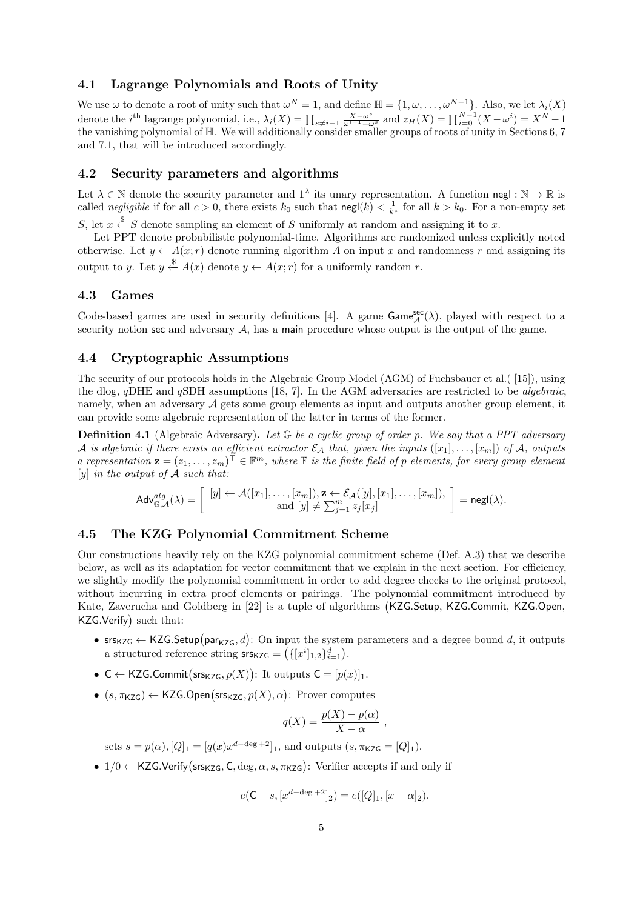#### 4.1 Lagrange Polynomials and Roots of Unity

We use  $\omega$  to denote a root of unity such that  $\omega^N = 1$ , and define  $\mathbb{H} = \{1, \omega, \ldots, \omega^{N-1}\}$ . Also, we let  $\lambda_i(X)$ denote the *i*<sup>th</sup> lagrange polynomial, i.e.,  $\lambda_i(X) = \prod_{s \neq i-1} \frac{X - \omega^s}{\omega^{i-1} - \omega^s}$  and  $z_H(X) = \prod_{i=0}^{N-1} (X - \omega^i) = X^N - 1$ the vanishing polynomial of H. We will additionally consider smaller groups of roots of unity in Sections 6, 7 and 7.1, that will be introduced accordingly.

### 4.2 Security parameters and algorithms

Let  $\lambda \in \mathbb{N}$  denote the security parameter and  $1^{\lambda}$  its unary representation. A function negl :  $\mathbb{N} \to \mathbb{R}$  is called negligible if for all  $c > 0$ , there exists  $k_0$  such that  $\text{negl}(k) < \frac{1}{k^c}$  for all  $k > k_0$ . For a non-empty set S, let  $x \stackrel{\$}{\leftarrow} S$  denote sampling an element of S uniformly at random and assigning it to x.

Let PPT denote probabilistic polynomial-time. Algorithms are randomized unless explicitly noted otherwise. Let  $y \leftarrow A(x; r)$  denote running algorithm A on input x and randomness r and assigning its output to y. Let  $y \stackrel{\$}{\leftarrow} A(x)$  denote  $y \leftarrow A(x; r)$  for a uniformly random r.

#### 4.3 Games

Code-based games are used in security definitions [4]. A game  $\mathsf{Game}_{\mathcal{A}}^{\mathsf{sec}}(\lambda)$ , played with respect to a security notion sec and adversary  $A$ , has a main procedure whose output is the output of the game.

### 4.4 Cryptographic Assumptions

The security of our protocols holds in the Algebraic Group Model (AGM) of Fuchsbauer et al.( [15]), using the dlog, qDHE and qSDH assumptions [18, 7]. In the AGM adversaries are restricted to be algebraic, namely, when an adversary  $A$  gets some group elements as input and outputs another group element, it can provide some algebraic representation of the latter in terms of the former.

**Definition 4.1** (Algebraic Adversary). Let  $\mathbb{G}$  be a cyclic group of order p. We say that a PPT adversary A is algebraic if there exists an efficient extractor  $\mathcal{E}_{\mathcal{A}}$  that, given the inputs  $([x_1], \ldots, [x_m])$  of A, outputs a representation  $\mathbf{z} = (z_1, \ldots, z_m)^\top \in \mathbb{F}^m$ , where  $\mathbb F$  is the finite field of p elements, for every group element [y] in the output of  $A$  such that:

$$
\mathsf{Adv}_{\mathbb{G},\mathcal{A}}^{alg}(\lambda) = \left[\begin{array}{c} [y] \leftarrow \mathcal{A}([x_1],\ldots,[x_m]), \mathbf{z} \leftarrow \mathcal{E}_{\mathcal{A}}([y],[x_1],\ldots,[x_m]), \\ \text{and } [y] \neq \sum_{j=1}^m z_j[x_j] \end{array}\right] = \mathsf{negl}(\lambda).
$$

#### 4.5 The KZG Polynomial Commitment Scheme

Our constructions heavily rely on the KZG polynomial commitment scheme (Def. A.3) that we describe below, as well as its adaptation for vector commitment that we explain in the next section. For efficiency, we slightly modify the polynomial commitment in order to add degree checks to the original protocol, without incurring in extra proof elements or pairings. The polynomial commitment introduced by Kate, Zaverucha and Goldberg in [22] is a tuple of algorithms (KZG.Setup, KZG.Commit, KZG.Open, KZG.Verify such that:

- srs<sub>KZG</sub>  $\leftarrow$  KZG.Setup(par<sub>KZG</sub>, d): On input the system parameters and a degree bound d, it outputs a structured reference string  $\mathsf{srs}_{\mathsf{KZG}} = (\{ [x^i]_{1,2} \}_{i=1}^d).$
- C  $\leftarrow$  KZG.Commit(srs<sub>KZG</sub>,  $p(X)$ ): It outputs  $C = [p(x)]_1$ .
- $(s, \pi_{\mathsf{KZG}}) \leftarrow \mathsf{KZG}.\mathsf{Open}(\mathsf{ss}_{\mathsf{KZG}}, p(X), \alpha)$ : Prover computes

$$
q(X) = \frac{p(X) - p(\alpha)}{X - \alpha}
$$

,

sets  $s = p(\alpha)$ ,  $[Q]_1 = [q(x)x^{d-\deg+2}]_1$ , and outputs  $(s, \pi_{\text{KZG}} = [Q]_1)$ .

•  $1/0 \leftarrow$  KZG.Verify (srs<sub>KZG</sub>, C, deg,  $\alpha$ , s,  $\pi$ <sub>KZG</sub>): Verifier accepts if and only if

$$
e(\mathsf{C} - s, [x^{d-\deg+2}]_2) = e([Q]_1, [x - \alpha]_2).
$$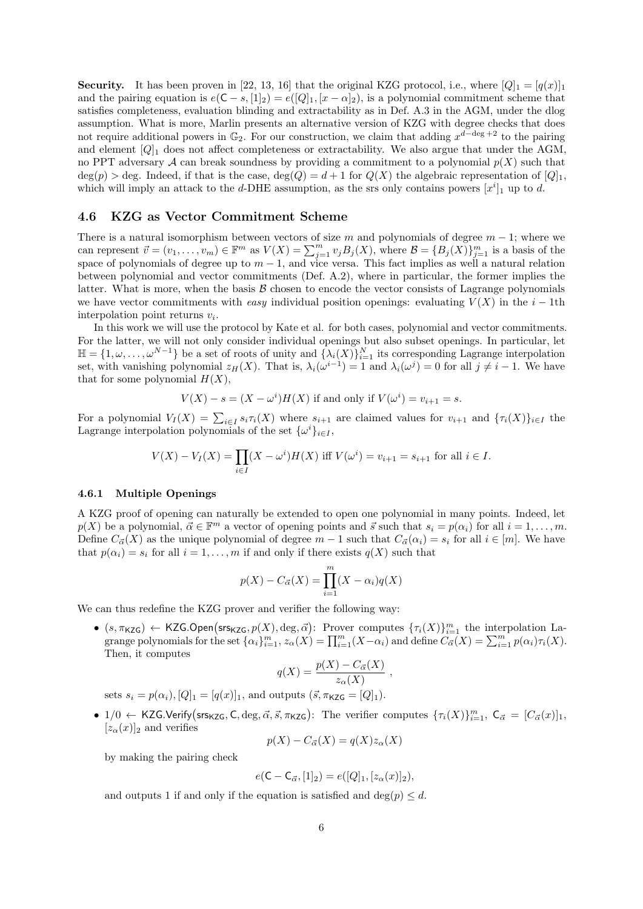**Security.** It has been proven in [22, 13, 16] that the original KZG protocol, i.e., where  $[Q]_1 = [q(x)]_1$ and the pairing equation is  $e(C - s, [1]_2) = e([Q]_1, [x - \alpha]_2)$ , is a polynomial commitment scheme that satisfies completeness, evaluation blinding and extractability as in Def. A.3 in the AGM, under the dlog assumption. What is more, Marlin presents an alternative version of KZG with degree checks that does not require additional powers in  $\mathbb{G}_2$ . For our construction, we claim that adding  $x^{d-\deg+2}$  to the pairing and element  $[Q]_1$  does not affect completeness or extractability. We also argue that under the AGM, no PPT adversary A can break soundness by providing a commitment to a polynomial  $p(X)$  such that  $deg(p) > deg$ . Indeed, if that is the case,  $deg(Q) = d + 1$  for  $Q(X)$  the algebraic representation of  $[Q]_1$ , which will imply an attack to the d-DHE assumption, as the srs only contains powers  $[x^i]_1$  up to d.

### 4.6 KZG as Vector Commitment Scheme

There is a natural isomorphism between vectors of size m and polynomials of degree  $m - 1$ ; where we can represent  $\vec{v} = (v_1, \ldots, v_m) \in \mathbb{F}^m$  as  $V(X) = \sum_{j=1}^m v_j B_j(X)$ , where  $\mathcal{B} = \{B_j(X)\}_{j=1}^m$  is a basis of the space of polynomials of degree up to  $m-1$ , and vice versa. This fact implies as well a natural relation between polynomial and vector commitments (Def. A.2), where in particular, the former implies the latter. What is more, when the basis  $\beta$  chosen to encode the vector consists of Lagrange polynomials we have vector commitments with easy individual position openings: evaluating  $V(X)$  in the i – 1th interpolation point returns  $v_i$ .

In this work we will use the protocol by Kate et al. for both cases, polynomial and vector commitments. For the latter, we will not only consider individual openings but also subset openings. In particular, let  $\mathbb{H} = \{1, \omega, \ldots, \omega^{N-1}\}\$ be a set of roots of unity and  $\{\lambda_i(X)\}_{i=1}^N$  its corresponding Lagrange interpolation set, with vanishing polynomial  $z_H(X)$ . That is,  $\lambda_i(\omega^{i-1}) = 1$  and  $\lambda_i(\omega^j) = 0$  for all  $j \neq i - 1$ . We have that for some polynomial  $H(X)$ ,

$$
V(X) - s = (X - \omega^i)H(X)
$$
 if and only if  $V(\omega^i) = v_{i+1} = s$ .

For a polynomial  $V_I(X) = \sum_{i \in I} s_i \tau_i(X)$  where  $s_{i+1}$  are claimed values for  $v_{i+1}$  and  $\{\tau_i(X)\}_{i \in I}$  the Lagrange interpolation polynomials of the set  $\{\omega^i\}_{i\in I}$ ,

$$
V(X) - V_I(X) = \prod_{i \in I} (X - \omega^i) H(X) \text{ iff } V(\omega^i) = v_{i+1} = s_{i+1} \text{ for all } i \in I.
$$

#### 4.6.1 Multiple Openings

A KZG proof of opening can naturally be extended to open one polynomial in many points. Indeed, let  $p(X)$  be a polynomial,  $\vec{\alpha} \in \mathbb{F}^m$  a vector of opening points and  $\vec{s}$  such that  $s_i = p(\alpha_i)$  for all  $i = 1, \ldots, m$ . Define  $C_{\vec{\alpha}}(X)$  as the unique polynomial of degree  $m-1$  such that  $C_{\vec{\alpha}}(\alpha_i) = s_i$  for all  $i \in [m]$ . We have that  $p(\alpha_i) = s_i$  for all  $i = 1, ..., m$  if and only if there exists  $q(X)$  such that

$$
p(X) - C_{\vec{\alpha}}(X) = \prod_{i=1}^{m} (X - \alpha_i) q(X)
$$

We can thus redefine the KZG prover and verifier the following way:

•  $(s, \pi_{KZG}) \leftarrow KZG$ . Open  $(srs_{KZG}, p(X), \text{deg}, \vec{\alpha})$ : Prover computes  $\{\tau_i(X)\}_{i=1}^m$  the interpolation Lagrange polynomials for the set  $\{\alpha_i\}_{i=1}^m$ ,  $z_\alpha(X) = \prod_{i=1}^m (X - \alpha_i)$  and define  $C_{\vec{\alpha}}(X) = \sum_{i=1}^m p(\alpha_i) \tau_i(X)$ . Then, it computes

$$
q(X) = \frac{p(X) - C_{\vec{\alpha}}(X)}{z_{\alpha}(X)},
$$

sets  $s_i = p(\alpha_i), [Q]_1 = [q(x)]_1$ , and outputs  $(\vec{s}, \pi_{KZG} = [Q]_1)$ .

•  $1/0 \leftarrow$  KZG.Verify (srs<sub>KZG</sub>, C, deg,  $\vec{\alpha}, \vec{s}, \pi_{KZG}$ ): The verifier computes  $\{\tau_i(X)\}_{i=1}^m$ ,  $C_{\vec{\alpha}} = [C_{\vec{\alpha}}(x)]_1$ ,  $[z_\alpha(x)]_2$  and verifies

$$
p(X) - C_{\vec{\alpha}}(X) = q(X)z_{\alpha}(X)
$$

by making the pairing check

$$
e(\mathsf{C} - \mathsf{C}_{\vec{\alpha}}, [1]_2) = e([Q]_1, [z_{\alpha}(x)]_2),
$$

and outputs 1 if and only if the equation is satisfied and  $\deg(p) \leq d$ .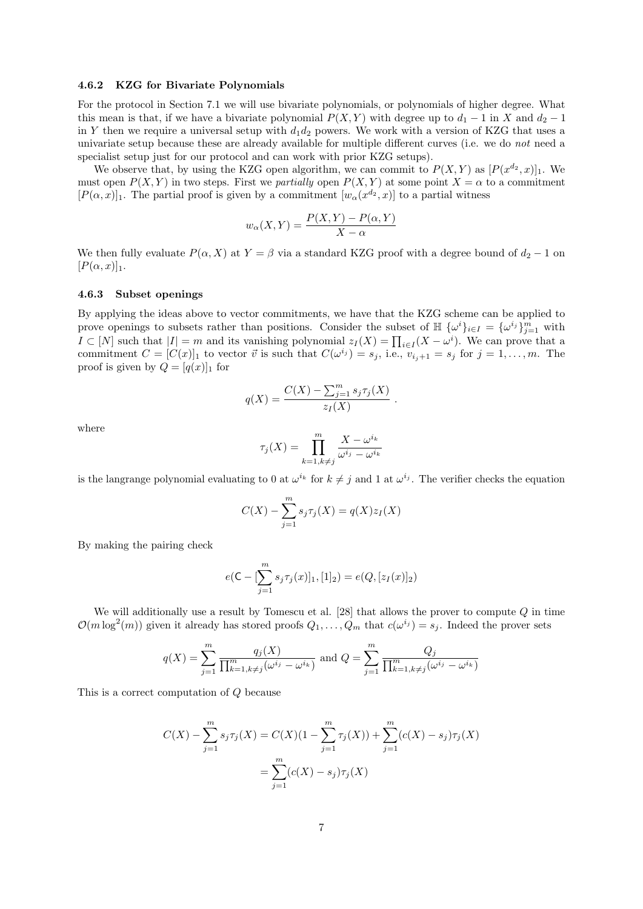#### 4.6.2 KZG for Bivariate Polynomials

For the protocol in Section 7.1 we will use bivariate polynomials, or polynomials of higher degree. What this mean is that, if we have a bivariate polynomial  $P(X, Y)$  with degree up to  $d_1 - 1$  in X and  $d_2 - 1$ in Y then we require a universal setup with  $d_1d_2$  powers. We work with a version of KZG that uses a univariate setup because these are already available for multiple different curves (i.e. we do not need a specialist setup just for our protocol and can work with prior KZG setups).

We observe that, by using the KZG open algorithm, we can commit to  $P(X,Y)$  as  $[P(x^{d_2},x)]_1$ . We must open  $P(X, Y)$  in two steps. First we *partially* open  $P(X, Y)$  at some point  $X = \alpha$  to a commitment  $[P(\alpha, x)]_1$ . The partial proof is given by a commitment  $[w_\alpha(x^{d_2}, x)]$  to a partial witness

$$
w_{\alpha}(X,Y) = \frac{P(X,Y) - P(\alpha, Y)}{X - \alpha}
$$

We then fully evaluate  $P(\alpha, X)$  at  $Y = \beta$  via a standard KZG proof with a degree bound of  $d_2 - 1$  on  $[P(\alpha, x)]_1$ .

#### 4.6.3 Subset openings

By applying the ideas above to vector commitments, we have that the KZG scheme can be applied to prove openings to subsets rather than positions. Consider the subset of  $\mathbb{H} \{\omega^i\}_{i\in I} = {\{\omega^{i_j}\}}_{j=1}^m$  with  $I \subset [N]$  such that  $|I| = m$  and its vanishing polynomial  $z_I(X) = \prod_{i \in I} (X - \omega^i)$ . We can prove that a commitment  $C = [C(x)]_1$  to vector  $\vec{v}$  is such that  $C(\omega^{i_j}) = s_j$ , i.e.,  $v_{i_j+1} = s_j$  for  $j = 1, ..., m$ . The proof is given by  $Q = [q(x)]_1$  for

$$
q(X) = \frac{C(X) - \sum_{j=1}^{m} s_j \tau_j(X)}{z_I(X)}
$$

.

where

$$
\tau_j(X) = \prod_{k=1, k \neq j}^m \frac{X - \omega^{i_k}}{\omega^{i_j} - \omega^{i_k}}
$$

is the langrange polynomial evaluating to 0 at  $\omega^{i_k}$  for  $k \neq j$  and 1 at  $\omega^{i_j}$ . The verifier checks the equation

$$
C(X) - \sum_{j=1}^{m} s_j \tau_j(X) = q(X)z_I(X)
$$

By making the pairing check

$$
e(\mathsf{C}-[\sum_{j=1}^{m} s_j \tau_j(x)]_1, [1]_2) = e(Q, [z_I(x)]_2)
$$

We will additionally use a result by Tomescu et al.  $[28]$  that allows the prover to compute  $Q$  in time  $\mathcal{O}(m \log^2(m))$  given it already has stored proofs  $Q_1, \ldots, Q_m$  that  $c(\omega^{i_j}) = s_j$ . Indeed the prover sets

$$
q(X) = \sum_{j=1}^{m} \frac{q_j(X)}{\prod_{k=1, k \neq j}^{m} (\omega^{i_j} - \omega^{i_k})}
$$
 and  $Q = \sum_{j=1}^{m} \frac{Q_j}{\prod_{k=1, k \neq j}^{m} (\omega^{i_j} - \omega^{i_k})}$ 

This is a correct computation of Q because

$$
C(X) - \sum_{j=1}^{m} s_j \tau_j(X) = C(X)(1 - \sum_{j=1}^{m} \tau_j(X)) + \sum_{j=1}^{m} (c(X) - s_j)\tau_j(X)
$$

$$
= \sum_{j=1}^{m} (c(X) - s_j)\tau_j(X)
$$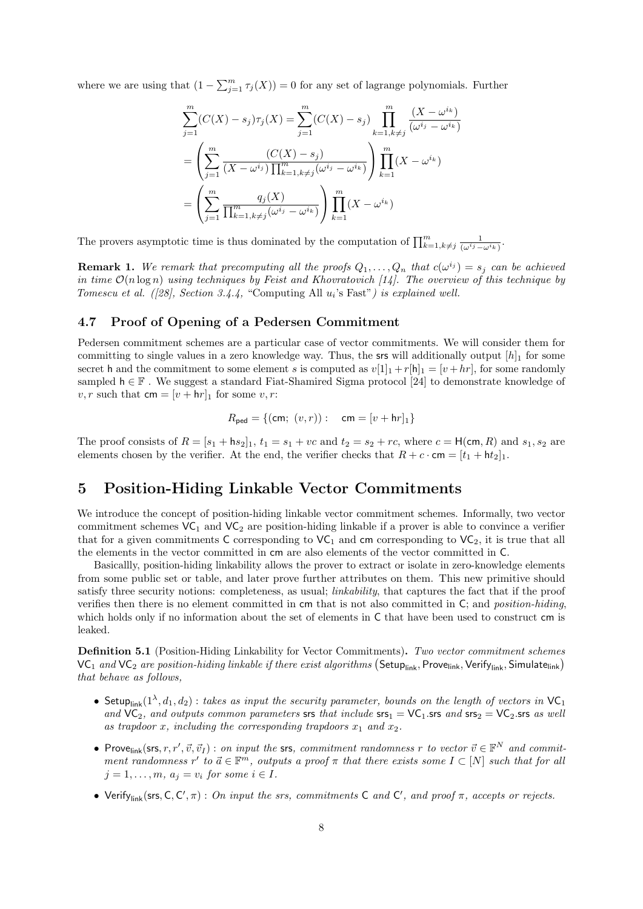where we are using that  $(1 - \sum_{j=1}^{m} \tau_j(X)) = 0$  for any set of lagrange polynomials. Further

$$
\sum_{j=1}^{m} (C(X) - s_j) \tau_j(X) = \sum_{j=1}^{m} (C(X) - s_j) \prod_{k=1, k \neq j}^{m} \frac{(X - \omega^{i_k})}{(\omega^{i_j} - \omega^{i_k})}
$$

$$
= \left( \sum_{j=1}^{m} \frac{(C(X) - s_j)}{(X - \omega^{i_j}) \prod_{k=1, k \neq j}^{m} (\omega^{i_j} - \omega^{i_k})} \right) \prod_{k=1}^{m} (X - \omega^{i_k})
$$

$$
= \left( \sum_{j=1}^{m} \frac{q_j(X)}{\prod_{k=1, k \neq j}^{m} (\omega^{i_j} - \omega^{i_k})} \right) \prod_{k=1}^{m} (X - \omega^{i_k})
$$

The provers asymptotic time is thus dominated by the computation of  $\prod_{k=1, k\neq j}^{m} \frac{1}{(\omega^i j - 1)^{i-1}}$  $\frac{1}{(\omega^{i_j}-\omega^{i_k})}$ .

**Remark 1.** We remark that precomputing all the proofs  $Q_1, \ldots, Q_n$  that  $c(\omega^{i_j}) = s_j$  can be achieved in time  $\mathcal{O}(n \log n)$  using techniques by Feist and Khovratovich [14]. The overview of this technique by Tomescu et al.  $(28)$ , Section 3.4.4, "Computing All  $u_i$ 's Fast") is explained well.

### 4.7 Proof of Opening of a Pedersen Commitment

Pedersen commitment schemes are a particular case of vector commitments. We will consider them for committing to single values in a zero knowledge way. Thus, the srs will additionally output  $[h]_1$  for some secret h and the commitment to some element s is computed as  $v[1]_1 + r[h]_1 = [v + hr]$ , for some randomly sampled  $h \in \mathbb{F}$ . We suggest a standard Fiat-Shamired Sigma protocol [24] to demonstrate knowledge of v, r such that  $\mathsf{cm} = [v + \mathsf{h}r]_1$  for some v, r:

$$
R_{\text{ped}} = \{(\text{cm}; (v, r)) : \text{cm} = [v + \text{hr}]_1\}
$$

The proof consists of  $R = [s_1 + \mathsf{h}s_2]_1$ ,  $t_1 = s_1 + vc$  and  $t_2 = s_2 + rc$ , where  $c = \mathsf{H}(\mathsf{cm}, R)$  and  $s_1, s_2$  are elements chosen by the verifier. At the end, the verifier checks that  $R + c \cdot cm = [t_1 + bt_2]_1$ .

### 5 Position-Hiding Linkable Vector Commitments

We introduce the concept of position-hiding linkable vector commitment schemes. Informally, two vector commitment schemes  $VC_1$  and  $VC_2$  are position-hiding linkable if a prover is able to convince a verifier that for a given commitments C corresponding to  $VC_1$  and cm corresponding to  $VC_2$ , it is true that all the elements in the vector committed in cm are also elements of the vector committed in C.

Basicallly, position-hiding linkability allows the prover to extract or isolate in zero-knowledge elements from some public set or table, and later prove further attributes on them. This new primitive should satisfy three security notions: completeness, as usual; *linkability*, that captures the fact that if the proof verifies then there is no element committed in cm that is not also committed in C; and position-hiding, which holds only if no information about the set of elements in  $\mathsf C$  that have been used to construct cm is leaked.

Definition 5.1 (Position-Hiding Linkability for Vector Commitments). Two vector commitment schemes  $\mathsf{VC}_1$  and  $\mathsf{VC}_2$  are position-hiding linkable if there exist algorithms  $(\mathsf{Setup}_{\mathsf{link}}, \mathsf{Prove}_{\mathsf{link}}, \mathsf{Verify}_{\mathsf{link}}, \mathsf{Simulate}_{\mathsf{link}})$ that behave as follows,

- Setup<sub>link</sub> $(1^{\lambda}, d_1, d_2)$ : takes as input the security parameter, bounds on the length of vectors in VC<sub>1</sub> and  $VC_2$ , and outputs common parameters srs that include srs<sub>1</sub> =  $VC_1$ .srs and srs<sub>2</sub> =  $VC_2$ .srs as well as trapdoor x, including the corresponding trapdoors  $x_1$  and  $x_2$ .
- Prove<sub>link</sub>(srs, r, r',  $\vec{v}, \vec{v}_I$ ): on input the srs, commitment randomness r to vector  $\vec{v} \in \mathbb{F}^N$  and commitment randomness r' to  $\vec{a} \in \mathbb{F}^m$ , outputs a proof  $\pi$  that there exists some  $I \subset [N]$  such that for all  $j = 1, \ldots, m, a_j = v_i$  for some  $i \in I$ .
- Verify<sub>link</sub>(srs, C, C',  $\pi$ ): On input the srs, commitments C and C', and proof  $\pi$ , accepts or rejects.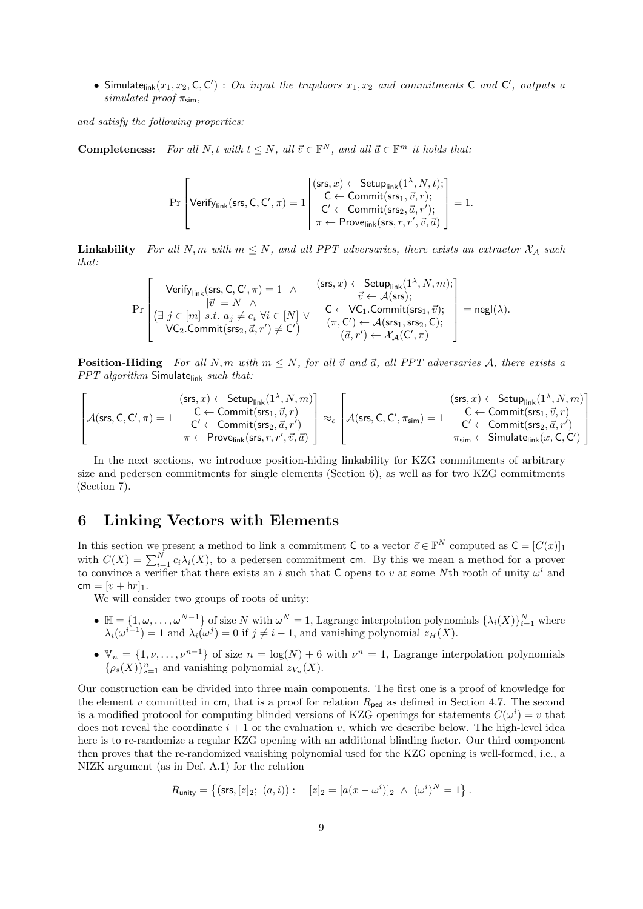• Simulate<sub>link</sub> $(x_1, x_2, C, C')$ : On input the trapdoors  $x_1, x_2$  and commitments C and C', outputs a simulated proof  $\pi_{\text{sim}}$ ,

and satisfy the following properties:

**Completeness:** For all N, t with  $t \leq N$ , all  $\vec{v} \in \mathbb{F}^N$ , and all  $\vec{a} \in \mathbb{F}^m$  it holds that:

$$
\Pr\left[\mathsf{Verify}_{\mathsf{link}}(\mathsf{srs},\mathsf{C},\mathsf{C}',\pi) = 1 \middle| \begin{array}{l} (\mathsf{srs},x) \leftarrow \mathsf{Setup}_{\mathsf{link}}(1^\lambda,N,t); \\ \mathsf{C} \leftarrow \mathsf{Commit}(\mathsf{srs}_1,\vec{v},r); \\ \mathsf{C}' \leftarrow \mathsf{Commit}(\mathsf{srs}_2,\vec{a},r'); \\ \pi \leftarrow \mathsf{Prove}_{\mathsf{link}}(\mathsf{srs},r,r',\vec{v},\vec{a}) \end{array} \right] = 1.
$$

**Linkability** For all N, m with  $m \leq N$ , and all PPT adversaries, there exists an extractor  $\mathcal{X}_\mathcal{A}$  such that:

$$
\Pr\left[\begin{matrix}\text{Verify}_{\text{link}}(\text{srs},C,C',\pi)=1 & \wedge & \begin{matrix}(\text{srs},x) \leftarrow \text{Setup}_{\text{link}}(1^\lambda,N,m);\\\ |\vec{v}|=N & \wedge\\ (\exists ~j \in [m] ~s.t. ~a_j \neq c_i \ \forall i \in [N] \ \vee\\ \text{VC}_2.\text{Commit}(\text{srs}_2,\vec{a},r') \neq C')\end{matrix} & \begin{matrix}(\text{srs},x) \leftarrow \text{Setup}_{\text{link}}(1^\lambda,N,m);\\\ C \leftarrow \text{VC}_1.\text{Commit}(\text{srs}_1,\vec{v});\\ (\pi,C') \leftarrow \mathcal{A}(\text{srs}_1,\text{srs}_2,C);\end{matrix}\right\} = {\sf negl}(\lambda). \right. \right.
$$

**Position-Hiding** For all N, m with  $m \leq N$ , for all  $\vec{v}$  and  $\vec{a}$ , all PPT adversaries A, there exists a  $PPT algorithm$  Simulate $_{link}$  such that:

$$
\begin{bmatrix} \begin{pmatrix} \begin{pmatrix} \begin{smallmatrix} \begin{smallmatrix} \end{smallmatrix} \end{pmatrix} & \begin{pmatrix} \begin{smallmatrix} \begin{smallmatrix} \begin{smallmatrix} \begin{smallmatrix} \end{smallmatrix} \end{pmatrix} & \leftarrow & \begin{smallmatrix} \end{smallmatrix} \end{pmatrix} & \begin{smallmatrix} \begin{smallmatrix} \end{smallmatrix} \end{pmatrix} \\ \begin{smallmatrix} \begin{smallmatrix} \begin{smallmatrix} \end{smallmatrix} \end{smallmatrix} & \begin{smallmatrix} \begin{smallmatrix} \end{smallmatrix} \end{smallmatrix} & \begin{smallmatrix} \end{smallmatrix} \end{pmatrix} & \begin{smallmatrix} \begin{smallmatrix} \end{smallmatrix} \end{smallmatrix} & \begin{smallmatrix} \begin{smallmatrix} \end{smallmatrix} \end{smallmatrix} & \begin{smallmatrix} \begin{smallmatrix} \end{smallmatrix} \end{smallmatrix} \end{bmatrix} \\ \begin{smallmatrix} \begin{smallmatrix} \begin{smallmatrix} \end{smallmatrix} \end{smallmatrix} & \begin{smallmatrix} \begin{smallmatrix} \end{smallmatrix} \end{smallmatrix} & \begin{smallmatrix} \begin{smallmatrix} \end{smallmatrix} \end{smallmatrix} & \begin{smallmatrix} \end{smallmatrix} \end{bmatrix} & \begin{smallmatrix} \begin{smallmatrix} \end{smallmatrix} \end{smallmatrix} & \begin{smallmatrix} \begin{smallmatrix} \end{smallmatrix} \end{smallmatrix} & \begin{smallmatrix} \end{smallmatrix} \end{bmatrix} \\ \begin{smallmatrix} \begin{smallmatrix} \begin{smallmatrix} \end{smallmatrix} \end{smallmatrix} & \begin{smallmatrix} \begin{smallmatrix} \end{smallmatrix} \end{smallmatrix} & \begin{smallmatrix} \begin{smallmatrix} \end{smallmatrix} \end{smallmatrix} & \begin{smallmatrix} \end{smallmatrix} \end{bmatrix} & \begin{smallmatrix} \begin{smallmatrix} \end{smallmatrix} \end{bmatrix} & \begin{smallmatrix} \begin{smallmatrix} \end{smallmatrix} \end{bmatrix} & \begin{smallmatrix} \begin{smallmatrix} \end{smallmatrix} \end{bmatrix} & \begin{smallmatrix} \begin{smallmatrix} \end{smallmatrix} \end{bmatrix} & \begin{smallmatrix} \begin{smallmatrix} \end{smallmatrix} \end{bmatrix} & \begin{smallmatrix} \begin{smallmatrix} \end{smallmatrix} \end{bmatrix} & \begin{smallmatrix} \begin{smallmatrix} \end{smallmatrix} \end{bmatrix} & \begin{smallmatrix} \begin{smallmatrix} \end{smallmatrix} \end{bmatrix} & \
$$

In the next sections, we introduce position-hiding linkability for KZG commitments of arbitrary size and pedersen commitments for single elements (Section 6), as well as for two KZG commitments (Section 7).

### 6 Linking Vectors with Elements

In this section we present a method to link a commitment C to a vector  $\vec{c} \in \mathbb{F}^N$  computed as  $\mathsf{C} = [C(x)]_1$ with  $C(X) = \sum_{i=1}^{N} c_i \lambda_i(X)$ , to a pedersen commitment cm. By this we mean a method for a prover to convince a verifier that there exists an i such that C opens to v at some Nth rooth of unity  $\omega^i$  and  $cm = [v + hr]_1$ .

We will consider two groups of roots of unity:

- $\mathbb{H} = \{1, \omega, \ldots, \omega^{N-1}\}\$  of size N with  $\omega^N = 1$ , Lagrange interpolation polynomials  $\{\lambda_i(X)\}_{i=1}^N$  where  $\lambda_i(\omega^{i-1}) = 1$  and  $\lambda_i(\omega^j) = 0$  if  $j \neq i-1$ , and vanishing polynomial  $z_H(X)$ .
- $\mathbb{V}_n = \{1, \nu, \dots, \nu^{n-1}\}\$  of size  $n = \log(N) + 6$  with  $\nu^n = 1$ , Lagrange interpolation polynomials  $\{\rho_s(X)\}_{s=1}^n$  and vanishing polynomial  $z_{V_n}(X)$ .

Our construction can be divided into three main components. The first one is a proof of knowledge for the element v committed in cm, that is a proof for relation  $R_{\text{ped}}$  as defined in Section 4.7. The second is a modified protocol for computing blinded versions of KZG openings for statements  $C(\omega^i) = v$  that does not reveal the coordinate  $i + 1$  or the evaluation v, which we describe below. The high-level idea here is to re-randomize a regular KZG opening with an additional blinding factor. Our third component then proves that the re-randomized vanishing polynomial used for the KZG opening is well-formed, i.e., a NIZK argument (as in Def. A.1) for the relation

$$
R_{\text{unity}} = \left\{ (\text{srs}, [z]_2; (a, i)) : \quad [z]_2 = [a(x - \omega^i)]_2 \ \wedge \ (\omega^i)^N = 1 \right\}.
$$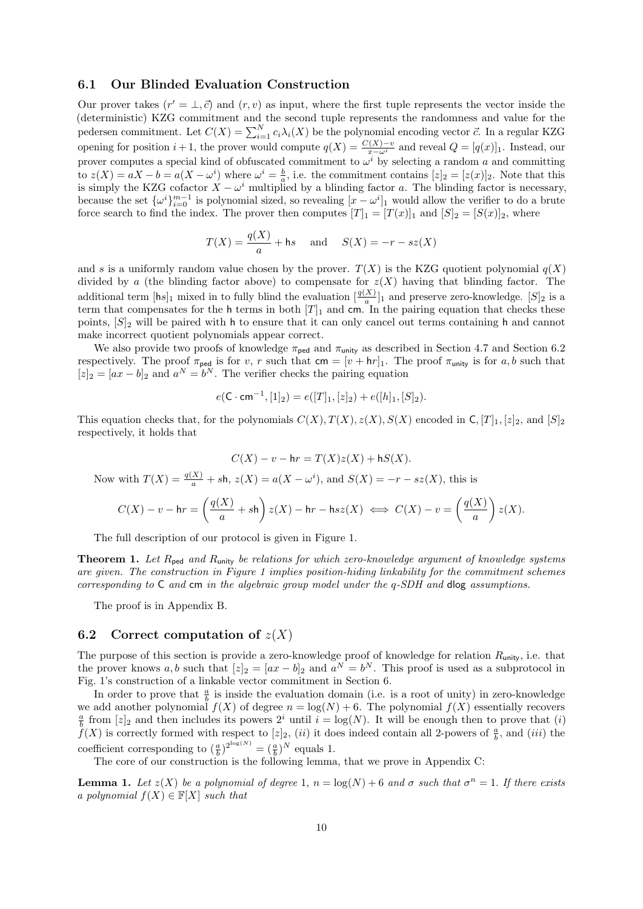#### 6.1 Our Blinded Evaluation Construction

Our prover takes  $(r' = \bot, \vec{c})$  and  $(r, v)$  as input, where the first tuple represents the vector inside the (deterministic) KZG commitment and the second tuple represents the randomness and value for the pedersen commitment. Let  $C(X) = \sum_{i=1}^{N} c_i \lambda_i(X)$  be the polynomial encoding vector  $\vec{c}$ . In a regular KZG opening for position  $i + 1$ , the prover would compute  $q(X) = \frac{C(X) - v}{x - \omega^i}$  and reveal  $Q = [q(x)]_1$ . Instead, our prover computes a special kind of obfuscated commitment to  $\omega^i$  by selecting a random a and committing to  $z(X) = aX - b = a(X - \omega^i)$  where  $\omega^i = \frac{b}{a}$ , i.e. the commitment contains  $[z]_2 = [z(x)]_2$ . Note that this is simply the KZG cofactor  $X - \omega^i$  multiplied by a blinding factor a. The blinding factor is necessary, because the set  $\{\omega^i\}_{i=0}^{m-1}$  is polynomial sized, so revealing  $[x - \omega^i]_1$  would allow the verifier to do a brute force search to find the index. The prover then computes  $[T]_1 = [T(x)]_1$  and  $[S]_2 = [S(x)]_2$ , where

$$
T(X) = \frac{q(X)}{a} + \text{hs} \quad \text{and} \quad S(X) = -r - sz(X)
$$

and s is a uniformly random value chosen by the prover.  $T(X)$  is the KZG quotient polynomial  $q(X)$ divided by a (the blinding factor above) to compensate for  $z(X)$  having that blinding factor. The additional term  $[\mathsf{h}s]_1$  mixed in to fully blind the evaluation  $\left[\frac{q(X)}{a}\right]_1$  and preserve zero-knowledge.  $[S]_2$  is a term that compensates for the h terms in both  $[T]_1$  and cm. In the pairing equation that checks these points,  $[S]_2$  will be paired with h to ensure that it can only cancel out terms containing h and cannot make incorrect quotient polynomials appear correct.

We also provide two proofs of knowledge  $\pi_{\text{ped}}$  and  $\pi_{\text{unity}}$  as described in Section 4.7 and Section 6.2 respectively. The proof  $\pi_{\text{ped}}$  is for v, r such that  $\mathsf{cm} = [v + \mathsf{h}r]_1$ . The proof  $\pi_{\text{unity}}$  is for a, b such that  $[z]_2 = [ax - b]_2$  and  $a^N = b^N$ . The verifier checks the pairing equation

$$
e(\mathsf{C} \cdot \mathsf{cm}^{-1}, [1]_2) = e([T]_1, [z]_2) + e([h]_1, [S]_2).
$$

This equation checks that, for the polynomials  $C(X)$ ,  $T(X)$ ,  $z(X)$ ,  $S(X)$  encoded in C,  $[T]_1$ ,  $[z]_2$ , and  $[S]_2$ respectively, it holds that

$$
C(X) - v - hr = T(X)z(X) + hS(X).
$$

Now with  $T(X) = \frac{q(X)}{a} + sh$ ,  $z(X) = a(X - \omega^i)$ , and  $S(X) = -r - sz(X)$ , this is

$$
C(X) - v - hr = \left(\frac{q(X)}{a} + sh\right)z(X) - hr - hs(X) \iff C(X) - v = \left(\frac{q(X)}{a}\right)z(X).
$$

The full description of our protocol is given in Figure 1.

**Theorem 1.** Let  $R_{\text{ped}}$  and  $R_{\text{unity}}$  be relations for which zero-knowledge argument of knowledge systems are given. The construction in Figure 1 implies position-hiding linkability for the commitment schemes corresponding to C and cm in the algebraic group model under the q-SDH and dlog assumptions.

The proof is in Appendix B.

#### 6.2 Correct computation of  $z(X)$

The purpose of this section is provide a zero-knowledge proof of knowledge for relation  $R_{\text{unity}}$ , i.e. that the prover knows a, b such that  $[z]_2 = [ax - b]_2$  and  $a^N = b^N$ . This proof is used as a subprotocol in Fig. 1's construction of a linkable vector commitment in Section 6.

In order to prove that  $\frac{a}{b}$  is inside the evaluation domain (i.e. is a root of unity) in zero-knowledge we add another polynomial  $f(X)$  of degree  $n = \log(N) + 6$ . The polynomial  $f(X)$  essentially recovers  $\frac{a}{b}$  from  $[z]_2$  and then includes its powers  $2^i$  until  $i = \log(N)$ . It will be enough then to prove that (i)  $\check{f}(X)$  is correctly formed with respect to  $[z]_2$ ,  $(ii)$  it does indeed contain all 2-powers of  $\frac{a}{b}$ , and  $(iii)$  the coefficient corresponding to  $(\frac{a}{b})^{2^{\log(N)}} = (\frac{a}{b})^N$  equals 1.

The core of our construction is the following lemma, that we prove in Appendix C:

**Lemma 1.** Let  $z(X)$  be a polynomial of degree 1,  $n = log(N) + 6$  and  $\sigma$  such that  $\sigma^n = 1$ . If there exists a polynomial  $f(X) \in \mathbb{F}[X]$  such that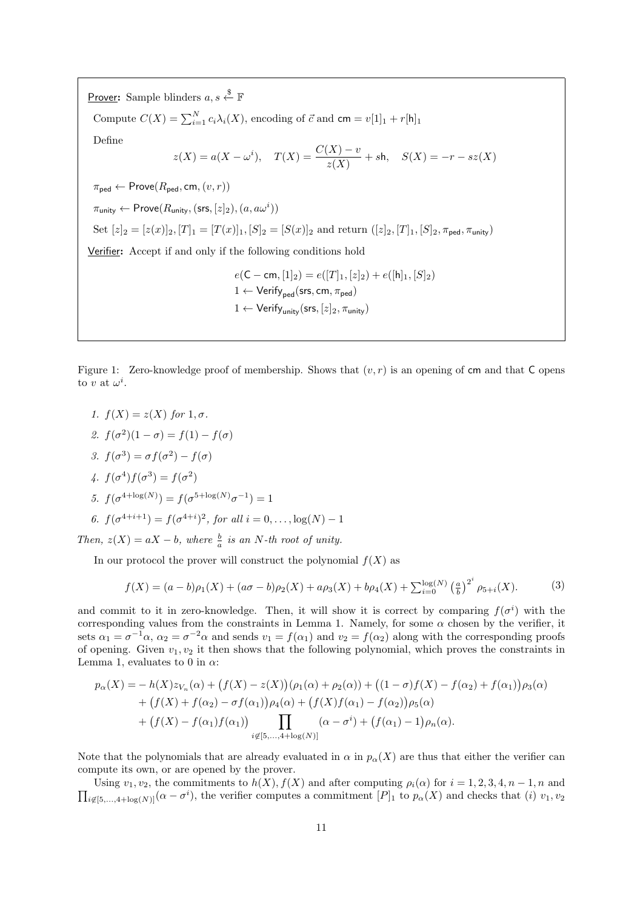Prover: Sample blinders  $a, s \stackrel{\$}{\leftarrow} \mathbb{F}$ Compute  $C(X) = \sum_{i=1}^{N} c_i \lambda_i(X)$ , encoding of  $\vec{c}$  and  $\mathsf{cm} = v[1]_1 + r[\mathsf{h}]_1$ Define  $z(X) = a(X - \omega^i), \quad T(X) = \frac{C(X) - v}{z(X)} + s$ h,  $S(X) = -r - sz(X)$  $\pi_{\texttt{ped}} \leftarrow \textsf{Prove}(R_{\texttt{ped}}, \texttt{cm}, (v, r))$  $\pi_{\mathsf{unity}} \leftarrow \mathsf{Prove}(R_{\mathsf{unity}}, (\mathsf{srs}, [z]_2), (a, a\omega^i))$ Set  $[z]_2 = [z(x)]_2$ ,  $[T]_1 = [T(x)]_1$ ,  $[S]_2 = [S(x)]_2$  and return  $([z]_2, [T]_1, [S]_2, \pi_{\text{ped}}, \pi_{\text{unity}})$ Verifier: Accept if and only if the following conditions hold  $e(C - cm, [1]_2) = e([T]_1, [z]_2) + e([h]_1, [S]_2)$ 1 ← Verify<sub>ped</sub>(srs, cm,  $\pi_{\text{ped}}$ )  $1 \leftarrow \text{Verify}_{\text{unity}}(\text{srs}, [z]_2, \pi_{\text{unity}})$ 

Figure 1: Zero-knowledge proof of membership. Shows that  $(v, r)$  is an opening of cm and that C opens to v at  $\omega^i$ .

- 1.  $f(X) = z(X)$  for  $1, \sigma$ .
- 2.  $f(\sigma^2)(1-\sigma) = f(1) f(\sigma)$
- 3.  $f(\sigma^3) = \sigma f(\sigma^2) f(\sigma)$
- 4.  $f(\sigma^4) f(\sigma^3) = f(\sigma^2)$

5. 
$$
f(\sigma^{4+\log(N)}) = f(\sigma^{5+\log(N)}\sigma^{-1}) = 1
$$

6. 
$$
f(\sigma^{4+i+1}) = f(\sigma^{4+i})^2
$$
, for all  $i = 0, ..., \log(N) - 1$ 

Then,  $z(X) = aX - b$ , where  $\frac{b}{a}$  is an N-th root of unity.

In our protocol the prover will construct the polynomial  $f(X)$  as

$$
f(X) = (a - b)\rho_1(X) + (a\sigma - b)\rho_2(X) + a\rho_3(X) + b\rho_4(X) + \sum_{i=0}^{\log(N)} \left(\frac{a}{b}\right)^{2^i} \rho_{5+i}(X).
$$
 (3)

and commit to it in zero-knowledge. Then, it will show it is correct by comparing  $f(\sigma^i)$  with the corresponding values from the constraints in Lemma 1. Namely, for some  $\alpha$  chosen by the verifier, it sets  $\alpha_1 = \sigma^{-1}\alpha$ ,  $\alpha_2 = \sigma^{-2}\alpha$  and sends  $v_1 = f(\alpha_1)$  and  $v_2 = f(\alpha_2)$  along with the corresponding proofs of opening. Given  $v_1, v_2$  it then shows that the following polynomial, which proves the constraints in Lemma 1, evaluates to 0 in  $\alpha$ :

$$
p_{\alpha}(X) = -h(X)z_{V_n}(\alpha) + (f(X) - z(X))(\rho_1(\alpha) + \rho_2(\alpha)) + ((1 - \sigma)f(X) - f(\alpha_2) + f(\alpha_1))\rho_3(\alpha) + (f(X) + f(\alpha_2) - \sigma f(\alpha_1))\rho_4(\alpha) + (f(X)f(\alpha_1) - f(\alpha_2))\rho_5(\alpha) + (f(X) - f(\alpha_1)f(\alpha_1)) \prod_{i \notin [5,...,4+\log(N)]} (\alpha - \sigma^i) + (f(\alpha_1) - 1)\rho_n(\alpha).
$$

Note that the polynomials that are already evaluated in  $\alpha$  in  $p_{\alpha}(X)$  are thus that either the verifier can compute its own, or are opened by the prover.

 $\prod_{i\notin [5,\ldots,4+\log(N)]} (\alpha - \sigma^i)$ , the verifier computes a commitment  $[P]_1$  to  $p_\alpha(X)$  and checks that (i)  $v_1, v_2$ Using  $v_1, v_2$ , the commitments to  $h(X)$ ,  $f(X)$  and after computing  $\rho_i(\alpha)$  for  $i = 1, 2, 3, 4, n - 1, n$  and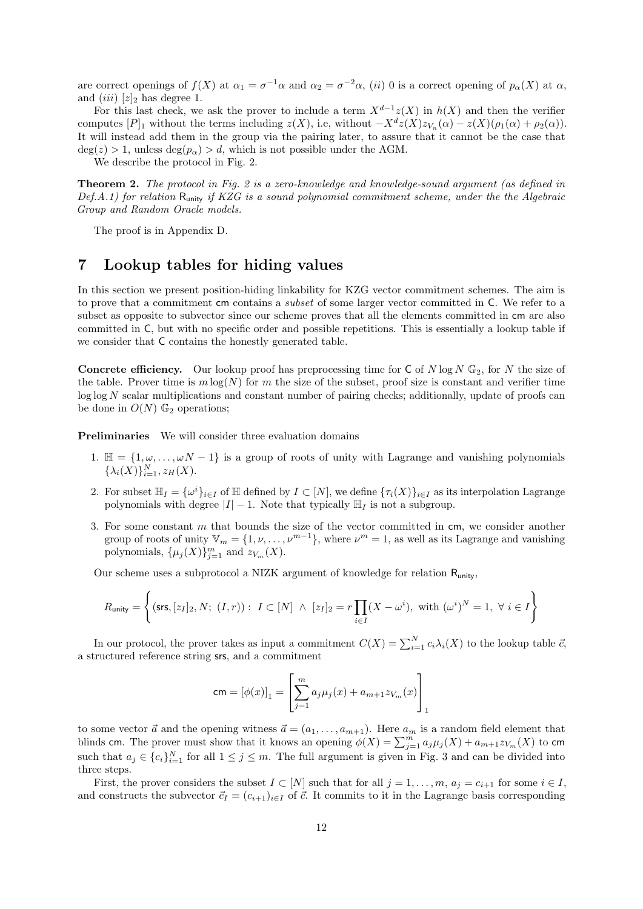are correct openings of  $f(X)$  at  $\alpha_1 = \sigma^{-1}\alpha$  and  $\alpha_2 = \sigma^{-2}\alpha$ , (ii) 0 is a correct opening of  $p_\alpha(X)$  at  $\alpha$ , and  $(iii)$  [z]<sub>2</sub> has degree 1.

For this last check, we ask the prover to include a term  $X^{d-1}z(X)$  in  $h(X)$  and then the verifier computes  $[P]_1$  without the terms including  $z(X)$ , i.e, without  $-X^d z(X) z_{V_n}(\alpha) - z(X)(\rho_1(\alpha) + \rho_2(\alpha))$ . It will instead add them in the group via the pairing later, to assure that it cannot be the case that  $deg(z) > 1$ , unless  $deg(p_{\alpha}) > d$ , which is not possible under the AGM.

We describe the protocol in Fig. 2.

Theorem 2. The protocol in Fig. 2 is a zero-knowledge and knowledge-sound argument (as defined in  $Def.A.1)$  for relation  $R_{\text{unity}}$  if KZG is a sound polynomial commitment scheme, under the the Algebraic Group and Random Oracle models.

The proof is in Appendix D.

# 7 Lookup tables for hiding values

In this section we present position-hiding linkability for KZG vector commitment schemes. The aim is to prove that a commitment cm contains a subset of some larger vector committed in C. We refer to a subset as opposite to subvector since our scheme proves that all the elements committed in cm are also committed in C, but with no specific order and possible repetitions. This is essentially a lookup table if we consider that C contains the honestly generated table.

**Concrete efficiency.** Our lookup proof has preprocessing time for  $C$  of  $N \log N \mathbb{G}_2$ , for  $N$  the size of the table. Prover time is  $m \log(N)$  for m the size of the subset, proof size is constant and verifier time  $\log \log N$  scalar multiplications and constant number of pairing checks; additionally, update of proofs can be done in  $O(N)$   $\mathbb{G}_2$  operations;

Preliminaries We will consider three evaluation domains

- 1.  $\mathbb{H} = \{1, \omega, \ldots, \omega N 1\}$  is a group of roots of unity with Lagrange and vanishing polynomials  $\{\lambda_i(X)\}_{i=1}^N, z_H(X).$
- 2. For subset  $\mathbb{H}_I = {\omega^i}_{i \in I}$  of  $\mathbb H$  defined by  $I \subset [N]$ , we define  ${\{\tau_i(X)\}}_{i \in I}$  as its interpolation Lagrange polynomials with degree  $|I| - 1$ . Note that typically  $\mathbb{H}_I$  is not a subgroup.
- 3. For some constant  $m$  that bounds the size of the vector committed in  $cm$ , we consider another group of roots of unity  $\mathbb{V}_m = \{1, \nu, \ldots, \nu^{m-1}\},\$  where  $\nu^m = 1$ , as well as its Lagrange and vanishing polynomials,  $\{\mu_j(X)\}_{j=1}^m$  and  $z_{V_m}(X)$ .

Our scheme uses a subprotocol a NIZK argument of knowledge for relation Runity,

$$
R_{\text{unity}} = \left\{ (\text{srs}, [z_I]_2, N; (I, r)) : I \subset [N] \ \wedge \ [z_I]_2 = r \prod_{i \in I} (X - \omega^i), \text{ with } (\omega^i)^N = 1, \ \forall \ i \in I \right\}
$$

In our protocol, the prover takes as input a commitment  $C(X) = \sum_{i=1}^{N} c_i \lambda_i(X)$  to the lookup table  $\vec{c}$ , a structured reference string srs, and a commitment

$$
cm = [\phi(x)]_1 = \left[\sum_{j=1}^m a_j \mu_j(x) + a_{m+1} z_{V_m}(x)\right]_1
$$

to some vector  $\vec{a}$  and the opening witness  $\vec{a} = (a_1, \ldots, a_{m+1})$ . Here  $a_m$  is a random field element that blinds cm. The prover must show that it knows an opening  $\phi(X) = \sum_{j=1}^m a_j \mu_j(X) + a_{m+1} z_{V_m}(X)$  to cm such that  $a_j \in \{c_i\}_{i=1}^N$  for all  $1 \leq j \leq m$ . The full argument is given in Fig. 3 and can be divided into three steps.

First, the prover considers the subset  $I \subset [N]$  such that for all  $j = 1, \ldots, m$ ,  $a_j = c_{i+1}$  for some  $i \in I$ , and constructs the subvector  $\vec{c}_I = (c_{i+1})_{i \in I}$  of  $\vec{c}$ . It commits to it in the Lagrange basis corresponding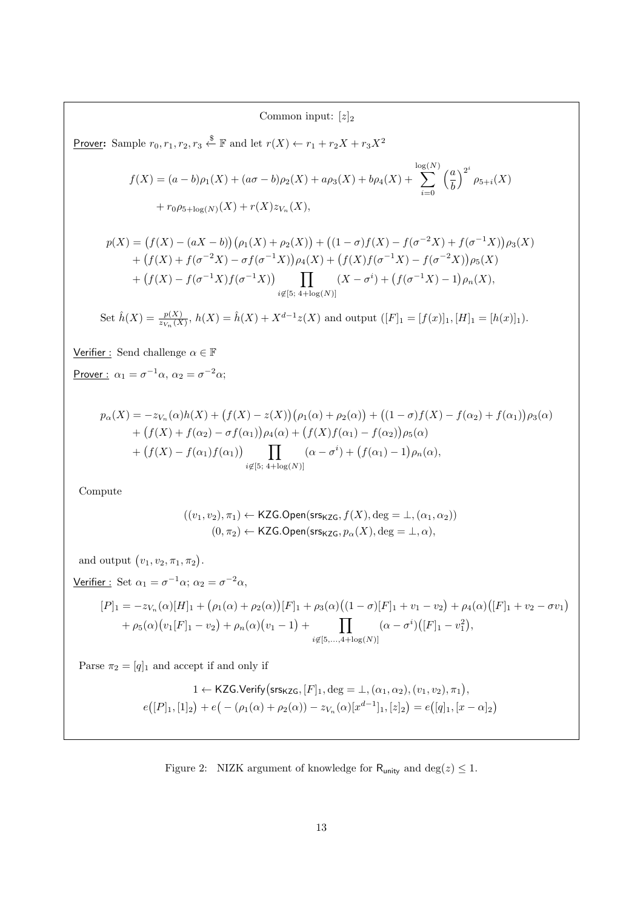### Common input:  $[z]_2$

Prover: Sample  $r_0, r_1, r_2, r_3 \stackrel{\$}{\leftarrow} \mathbb{F}$  and let  $r(X) \leftarrow r_1 + r_2X + r_3X^2$ 

$$
f(X) = (a - b)\rho_1(X) + (a\sigma - b)\rho_2(X) + a\rho_3(X) + b\rho_4(X) + \sum_{i=0}^{\log(N)} \left(\frac{a}{b}\right)^{2^i} \rho_{5+i}(X) + r_0\rho_{5+\log(N)}(X) + r(X)z_{V_n}(X),
$$

$$
p(X) = (f(X) - (aX - b))(\rho_1(X) + \rho_2(X)) + ((1 - \sigma)f(X) - f(\sigma^{-2}X) + f(\sigma^{-1}X))\rho_3(X)
$$
  
+ 
$$
(f(X) + f(\sigma^{-2}X) - \sigma f(\sigma^{-1}X))\rho_4(X) + (f(X)f(\sigma^{-1}X) - f(\sigma^{-2}X))\rho_5(X)
$$
  
+ 
$$
(f(X) - f(\sigma^{-1}X)f(\sigma^{-1}X)) \prod_{i \notin [5; 4 + \log(N)]} (X - \sigma^i) + (f(\sigma^{-1}X) - 1)\rho_n(X),
$$

Set 
$$
\hat{h}(X) = \frac{p(X)}{z_{V_n}(X)}
$$
,  $h(X) = \hat{h}(X) + X^{d-1}z(X)$  and output  $([F]_1 = [f(x)]_1, [H]_1 = [h(x)]_1$ ).

Verifier : Send challenge  $\alpha \in \mathbb{F}$ 

Prover :  $\alpha_1 = \sigma^{-1}\alpha$ ,  $\alpha_2 = \sigma^{-2}\alpha$ ;

$$
p_{\alpha}(X) = -z_{V_n}(\alpha)h(X) + (f(X) - z(X))(\rho_1(\alpha) + \rho_2(\alpha)) + ((1 - \sigma)f(X) - f(\alpha_2) + f(\alpha_1))\rho_3(\alpha) + (f(X) + f(\alpha_2) - \sigma f(\alpha_1))\rho_4(\alpha) + (f(X)f(\alpha_1) - f(\alpha_2))\rho_5(\alpha) + (f(X) - f(\alpha_1)f(\alpha_1)) \prod_{i \notin [5; 4 + \log(N)]} (\alpha - \sigma^i) + (f(\alpha_1) - 1)\rho_n(\alpha),
$$

Compute

$$
((v_1, v_2), \pi_1) \leftarrow \text{KZG}.\text{Open}(\text{ss}_{\text{KZG}}, f(X), \text{deg} = \bot, (\alpha_1, \alpha_2))
$$

$$
(0, \pi_2) \leftarrow \text{KZG}.\text{Open}(\text{ss}_{\text{KZG}}, p_\alpha(X), \text{deg} = \bot, \alpha),
$$

and output  $(v_1, v_2, \pi_1, \pi_2)$ .

Verifier: Set 
$$
\alpha_1 = \sigma^{-1}\alpha
$$
;  $\alpha_2 = \sigma^{-2}\alpha$ ,

$$
[P]_1 = -z_{V_n}(\alpha)[H]_1 + (\rho_1(\alpha) + \rho_2(\alpha))[F]_1 + \rho_3(\alpha)((1 - \sigma)[F]_1 + v_1 - v_2) + \rho_4(\alpha)([F]_1 + v_2 - \sigma v_1) + \rho_5(\alpha)(v_1[F]_1 - v_2) + \rho_n(\alpha)(v_1 - 1) + \prod_{i \notin [5, \dots, 4 + \log(N)]} (\alpha - \sigma^i)[F]_1 - v_1^2,
$$

Parse  $\pi_2 = [q]_1$  and accept if and only if

$$
1 \leftarrow \text{KZG.Verify}(\text{srs}_{\text{KZG}}, [F]_1, \text{deg} = \bot, (\alpha_1, \alpha_2), (v_1, v_2), \pi_1),
$$
  

$$
e([P]_1, [1]_2) + e(-(\rho_1(\alpha) + \rho_2(\alpha)) - z_{V_n}(\alpha)[x^{d-1}]_1, [z]_2) = e([q]_1, [x - \alpha]_2)
$$

Figure 2: NIZK argument of knowledge for  $\mathsf{R}_{\mathsf{unity}}$  and  $\deg(z) \leq 1.$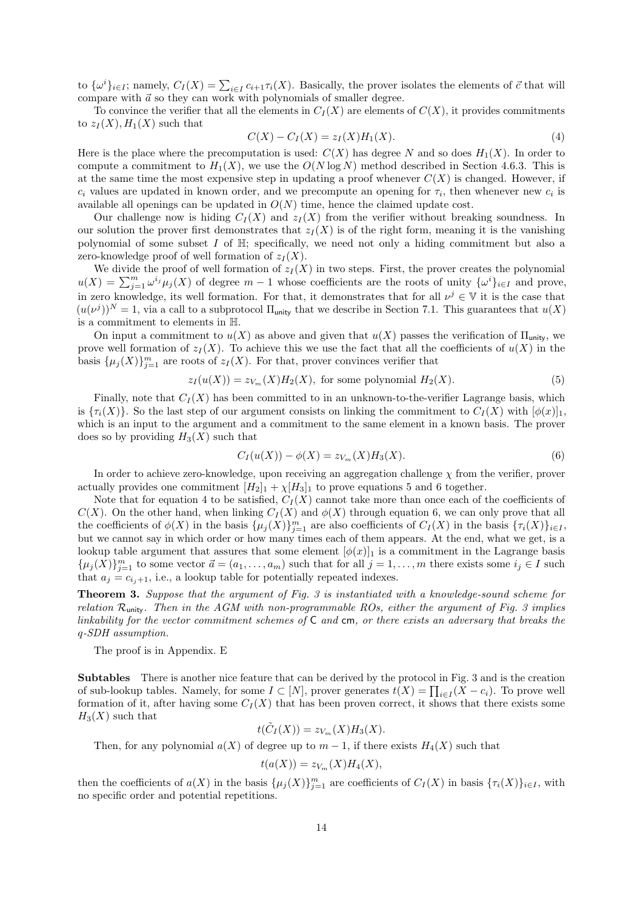to  $\{\omega^i\}_{i\in I}$ ; namely,  $C_I(X) = \sum_{i\in I} c_{i+1}\tau_i(X)$ . Basically, the prover isolates the elements of  $\vec{c}$  that will compare with  $\vec{a}$  so they can work with polynomials of smaller degree.

To convince the verifier that all the elements in  $C_I(X)$  are elements of  $C(X)$ , it provides commitments to  $z_I(X), H_1(X)$  such that

$$
C(X) - C_I(X) = z_I(X)H_1(X).
$$
\n(4)

Here is the place where the precomputation is used:  $C(X)$  has degree N and so does  $H_1(X)$ . In order to compute a commitment to  $H_1(X)$ , we use the  $O(N \log N)$  method described in Section 4.6.3. This is at the same time the most expensive step in updating a proof whenever  $C(X)$  is changed. However, if  $c_i$  values are updated in known order, and we precompute an opening for  $\tau_i$ , then whenever new  $c_i$  is available all openings can be updated in  $O(N)$  time, hence the claimed update cost.

Our challenge now is hiding  $C_I(X)$  and  $z_I(X)$  from the verifier without breaking soundness. In our solution the prover first demonstrates that  $z_I(X)$  is of the right form, meaning it is the vanishing polynomial of some subset  $I$  of  $\mathbb{H}$ ; specifically, we need not only a hiding commitment but also a zero-knowledge proof of well formation of  $z_I(X)$ .

We divide the proof of well formation of  $z_I(X)$  in two steps. First, the prover creates the polynomial  $u(X) = \sum_{j=1}^m \omega^{i_j} \mu_j(X)$  of degree  $m-1$  whose coefficients are the roots of unity  $\{\omega^i\}_{i\in I}$  and prove, in zero knowledge, its well formation. For that, it demonstrates that for all  $\nu^j \in V$  it is the case that  $(u(\nu^{j}))^{N} = 1$ , via a call to a subprotocol  $\Pi_{\text{unity}}$  that we describe in Section 7.1. This guarantees that  $u(X)$ is a commitment to elements in H.

On input a commitment to  $u(X)$  as above and given that  $u(X)$  passes the verification of  $\Pi_{\text{unity}}$ , we prove well formation of  $z_I(X)$ . To achieve this we use the fact that all the coefficients of  $u(X)$  in the basis  $\{\mu_j(X)\}_{j=1}^m$  are roots of  $z_I(X)$ . For that, prover convinces verifier that

$$
z_I(u(X)) = z_{V_m}(X)H_2(X), \text{ for some polynomial } H_2(X). \tag{5}
$$

Finally, note that  $C_I(X)$  has been committed to in an unknown-to-the-verifier Lagrange basis, which is  $\{\tau_i(X)\}\$ . So the last step of our argument consists on linking the commitment to  $C_I(X)$  with  $[\phi(x)]_1$ , which is an input to the argument and a commitment to the same element in a known basis. The prover does so by providing  $H_3(X)$  such that

$$
C_I(u(X)) - \phi(X) = z_{V_m}(X)H_3(X).
$$
\n(6)

In order to achieve zero-knowledge, upon receiving an aggregation challenge  $\chi$  from the verifier, prover actually provides one commitment  $[H_2]_1 + \chi[H_3]_1$  to prove equations 5 and 6 together.

Note that for equation 4 to be satisfied,  $C_I(X)$  cannot take more than once each of the coefficients of  $C(X)$ . On the other hand, when linking  $C_I(X)$  and  $\phi(X)$  through equation 6, we can only prove that all the coefficients of  $\phi(X)$  in the basis  $\{\mu_j(X)\}_{j=1}^m$  are also coefficients of  $C_I(X)$  in the basis  $\{\tau_i(X)\}_{i\in I}$ , but we cannot say in which order or how many times each of them appears. At the end, what we get, is a lookup table argument that assures that some element  $[\phi(x)]_1$  is a commitment in the Lagrange basis  $\{\mu_j(X)\}_{j=1}^m$  to some vector  $\vec{a} = (a_1, \ldots, a_m)$  such that for all  $j = 1, \ldots, m$  there exists some  $i_j \in I$  such that  $a_j = c_{i_j+1}$ , i.e., a lookup table for potentially repeated indexes.

Theorem 3. Suppose that the argument of Fig. 3 is instantiated with a knowledge-sound scheme for relation  $\mathcal{R}_{\text{unity}}$ . Then in the AGM with non-programmable ROs, either the argument of Fig. 3 implies linkability for the vector commitment schemes of  $C$  and  $cm$ , or there exists an adversary that breaks the q-SDH assumption.

The proof is in Appendix. E

Subtables There is another nice feature that can be derived by the protocol in Fig. 3 and is the creation of sub-lookup tables. Namely, for some  $I \subset [N]$ , prover generates  $t(X) = \prod_{i \in I} (X - c_i)$ . To prove well formation of it, after having some  $C_I(X)$  that has been proven correct, it shows that there exists some  $H_3(X)$  such that

$$
t(\tilde{C}_I(X)) = z_{V_m}(X)H_3(X).
$$

Then, for any polynomial  $a(X)$  of degree up to  $m-1$ , if there exists  $H_4(X)$  such that

$$
t(a(X)) = z_{V_m}(X)H_4(X),
$$

then the coefficients of  $a(X)$  in the basis  $\{\mu_j(X)\}_{j=1}^m$  are coefficients of  $C_I(X)$  in basis  $\{\tau_i(X)\}_{i\in I}$ , with no specific order and potential repetitions.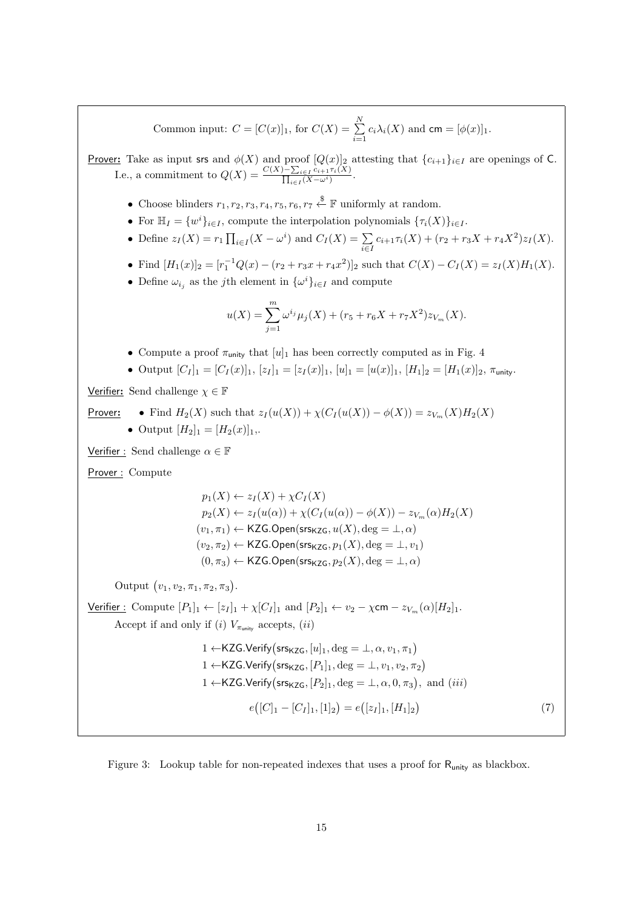Common input:  $C = [C(x)]_1$ , for  $C(X) = \sum_{n=1}^{N}$  $\sum_{i=1} c_i \lambda_i(X)$  and  $\mathsf{cm} = [\phi(x)]_1$ .

**Prover:** Take as input srs and  $\phi(X)$  and proof  $[Q(x)]_2$  attesting that  $\{c_{i+1}\}_{i\in I}$  are openings of C. I.e., a commitment to  $Q(X) = \frac{C(X) - \sum_{i \in I} c_{i+1} \tau_i(X)}{\prod_{i \in I} (X - \tau_i(X))}$  $\frac{\prod_{i\in I}c_{i+1}\pi(X)}{\prod_{i\in I}(X-\omega^{i})}$ .

- Choose blinders  $r_1, r_2, r_3, r_4, r_5, r_6, r_7 \stackrel{\$}{\leftarrow} \mathbb{F}$  uniformly at random.
- For  $\mathbb{H}_I = \{w^i\}_{i \in I}$ , compute the interpolation polynomials  $\{\tau_i(X)\}_{i \in I}$ .
- Define  $z_I(X) = r_1 \prod_{i \in I} (X \omega^i)$  and  $C_I(X) = \sum_{i \in I} c_{i+1} \tau_i(X) + (r_2 + r_3 X + r_4 X^2) z_I(X)$ .
- Find  $[H_1(x)]_2 = [r_1^{-1}Q(x) (r_2 + r_3x + r_4x^2)]_2$  such that  $C(X) C_I(X) = z_I(X)H_1(X)$ .
- Define  $\omega_{i_j}$  as the *j*th element in  $\{\omega^i\}_{i\in I}$  and compute

$$
u(X) = \sum_{j=1}^{m} \omega^{i_j} \mu_j(X) + (r_5 + r_6 X + r_7 X^2) z_{V_m}(X).
$$

• Compute a proof  $\pi_{\text{unity}}$  that  $[u]_1$  has been correctly computed as in Fig. 4

• Output  $[C_I]_1 = [C_I(x)]_1$ ,  $[z_I]_1 = [z_I(x)]_1$ ,  $[u]_1 = [u(x)]_1$ ,  $[H_1]_2 = [H_1(x)]_2$ ,  $\pi_{\text{unity}}$ .

Verifier: Send challenge  $\chi \in \mathbb{F}$ 

Prover:   
\n• Find 
$$
H_2(X)
$$
 such that  $z_I(u(X)) + \chi(C_I(u(X)) - \phi(X)) = z_{V_m}(X)H_2(X)$   
\n• Output  $[H_2]_1 = [H_2(x)]_1$ .

Verifier : Send challenge  $\alpha \in \mathbb{F}$ 

Prover : Compute

$$
p_1(X) \leftarrow z_I(X) + \chi C_I(X)
$$
  
\n
$$
p_2(X) \leftarrow z_I(u(\alpha)) + \chi (C_I(u(\alpha)) - \phi(X)) - z_{V_m}(\alpha)H_2(X)
$$
  
\n
$$
(v_1, \pi_1) \leftarrow \text{KZG}.\text{Open}(\text{srs}_{\text{KZG}}, u(X), \text{deg} = \bot, \alpha)
$$
  
\n
$$
(v_2, \pi_2) \leftarrow \text{KZG}.\text{Open}(\text{srs}_{\text{KZG}}, p_1(X), \text{deg} = \bot, v_1)
$$
  
\n
$$
(0, \pi_3) \leftarrow \text{KZG}.\text{Open}(\text{srs}_{\text{KZG}}, p_2(X), \text{deg} = \bot, \alpha)
$$

Output  $(v_1, v_2, \pi_1, \pi_2, \pi_3)$ .

Verifier: Compute  $[P_1]_1 \leftarrow [z_I]_1 + \chi[C_I]_1$  and  $[P_2]_1 \leftarrow v_2 - \chi$ cm  $-z_{V_m}(\alpha)[H_2]_1$ . Accept if and only if (i)  $V_{\pi_{\text{unity}}}$  accepts, (ii)

$$
1 \leftarrow \text{KZG}.\text{Verify}(\text{srs}_{\text{KZG}}, [u]_1, \text{deg} = \bot, \alpha, v_1, \pi_1)
$$
\n
$$
1 \leftarrow \text{KZG}.\text{Verify}(\text{srs}_{\text{KZG}}, [P_1]_1, \text{deg} = \bot, v_1, v_2, \pi_2)
$$
\n
$$
1 \leftarrow \text{KZG}.\text{Verify}(\text{srs}_{\text{KZG}}, [P_2]_1, \text{deg} = \bot, \alpha, 0, \pi_3), \text{ and } (iii)
$$
\n
$$
e\bigl([C]_1 - [C_I]_1, [1]_2\bigr) = e\bigl([z_I]_1, [H_1]_2\bigr) \tag{7}
$$

Figure 3: Lookup table for non-repeated indexes that uses a proof for Runity as blackbox.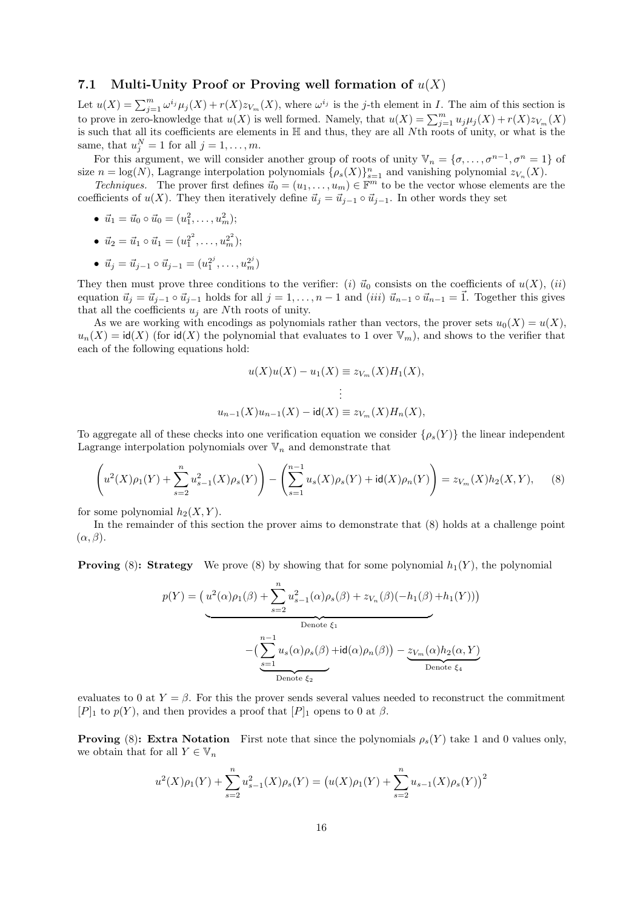#### 7.1 Multi-Unity Proof or Proving well formation of  $u(X)$

Let  $u(X) = \sum_{j=1}^m \omega^{i_j} \mu_j(X) + r(X)z_{V_m}(X)$ , where  $\omega^{i_j}$  is the j-th element in I. The aim of this section is to prove in zero-knowledge that  $u(X)$  is well formed. Namely, that  $u(X) = \sum_{j=1}^{m} u_j \mu_j(X) + r(X)z_{V_m}(X)$ is such that all its coefficients are elements in H and thus, they are all Nth roots of unity, or what is the same, that  $u_j^N = 1$  for all  $j = 1, \ldots, m$ .

For this argument, we will consider another group of roots of unity  $\mathbb{V}_n = \{\sigma, \ldots, \sigma^{n-1}, \sigma^n = 1\}$  of size  $n = \log(N)$ , Lagrange interpolation polynomials  $\{\rho_s(X)\}_{s=1}^n$  and vanishing polynomial  $z_{V_n}(X)$ .

*Techniques.* The prover first defines  $\vec{u}_0 = (u_1, \ldots, u_m) \in \mathbb{F}^m$  to be the vector whose elements are the coefficients of  $u(X)$ . They then iteratively define  $\vec{u}_i = \vec{u}_{i-1} \circ \vec{u}_{i-1}$ . In other words they set

- $\vec{u}_1 = \vec{u}_0 \circ \vec{u}_0 = (u_1^2, \dots, u_m^2);$
- $\vec{u}_2 = \vec{u}_1 \circ \vec{u}_1 = (u_1^{2^2}, \dots, u_m^{2^2});$
- $\vec{u}_j = \vec{u}_{j-1} \circ \vec{u}_{j-1} = (u_1^{2^j}, \dots, u_m^{2^j})$

They then must prove three conditions to the verifier: (i)  $\vec{u}_0$  consists on the coefficients of  $u(X)$ , (ii) equation  $\vec{u}_j = \vec{u}_{j-1} \circ \vec{u}_{j-1}$  holds for all  $j = 1, \ldots, n-1$  and  $(iii) \vec{u}_{n-1} \circ \vec{u}_{n-1} = \vec{1}$ . Together this gives that all the coefficients  $u_i$  are Nth roots of unity.

As we are working with encodings as polynomials rather than vectors, the prover sets  $u_0(X) = u(X)$ ,  $u_n(X) = id(X)$  (for  $id(X)$  the polynomial that evaluates to 1 over  $\mathbb{V}_m$ ), and shows to the verifier that each of the following equations hold:

$$
u(X)u(X) - u_1(X) \equiv z_{V_m}(X)H_1(X),
$$
  
 
$$
\vdots
$$
  
 
$$
u_{n-1}(X)u_{n-1}(X) - id(X) \equiv z_{V_m}(X)H_n(X),
$$

To aggregate all of these checks into one verification equation we consider  $\{\rho_s(Y)\}\$ the linear independent Lagrange interpolation polynomials over  $\mathbb{V}_n$  and demonstrate that

$$
\left(u^{2}(X)\rho_{1}(Y) + \sum_{s=2}^{n} u_{s-1}^{2}(X)\rho_{s}(Y)\right) - \left(\sum_{s=1}^{n-1} u_{s}(X)\rho_{s}(Y) + \mathrm{id}(X)\rho_{n}(Y)\right) = z_{V_{m}}(X)h_{2}(X,Y),\tag{8}
$$

for some polynomial  $h_2(X, Y)$ .

In the remainder of this section the prover aims to demonstrate that (8) holds at a challenge point  $(\alpha, \beta).$ 

**Proving** (8): **Strategy** We prove (8) by showing that for some polynomial  $h_1(Y)$ , the polynomial

$$
p(Y) = (u^2(\alpha)\rho_1(\beta) + \sum_{s=2}^n u_{s-1}^2(\alpha)\rho_s(\beta) + z_{V_n}(\beta)(-h_1(\beta) + h_1(Y)))
$$
  
Denote  $\xi_1$   

$$
- (\sum_{s=1}^{n-1} u_s(\alpha)\rho_s(\beta) + id(\alpha)\rho_n(\beta)) - \underbrace{z_{V_m}(\alpha)h_2(\alpha, Y)}_{\text{Denote } \xi_4}
$$

evaluates to 0 at  $Y = \beta$ . For this the prover sends several values needed to reconstruct the commitment  $[P]_1$  to  $p(Y)$ , and then provides a proof that  $[P]_1$  opens to 0 at  $\beta$ .

**Proving (8): Extra Notation** First note that since the polynomials  $\rho_s(Y)$  take 1 and 0 values only, we obtain that for all  $Y \in \mathbb{V}_n$ 

$$
u^{2}(X)\rho_{1}(Y) + \sum_{s=2}^{n} u_{s-1}^{2}(X)\rho_{s}(Y) = (u(X)\rho_{1}(Y) + \sum_{s=2}^{n} u_{s-1}(X)\rho_{s}(Y))^{2}
$$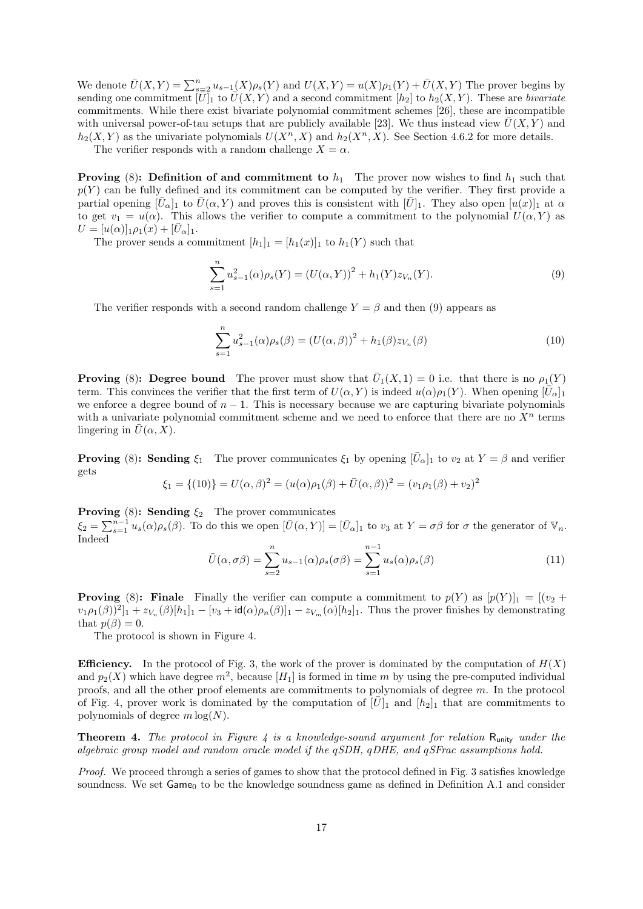We denote  $\bar{U}(X,Y) = \sum_{s=2}^{n} u_{s-1}(X)\rho_s(Y)$  and  $U(X,Y) = u(X)\rho_1(Y) + \bar{U}(X,Y)$  The prover begins by sending one commitment  $[\bar{U}]_1$  to  $\bar{U}(X, Y)$  and a second commitment  $[h_2]$  to  $h_2(X, Y)$ . These are bivariate commitments. While there exist bivariate polynomial commitment schemes [26], these are incompatible with universal power-of-tau setups that are publicly available [23]. We thus instead view  $\bar{U}(X, Y)$  and  $h_2(X, Y)$  as the univariate polynomials  $U(X^n, X)$  and  $h_2(X^n, X)$ . See Section 4.6.2 for more details.

The verifier responds with a random challenge  $X = \alpha$ .

**Proving** (8): Definition of and commitment to  $h_1$ . The prover now wishes to find  $h_1$  such that  $p(Y)$  can be fully defined and its commitment can be computed by the verifier. They first provide a partial opening  $[\bar{U}_{\alpha}]_1$  to  $\bar{U}(\alpha, Y)$  and proves this is consistent with  $[\bar{U}]_1$ . They also open  $[u(x)]_1$  at  $\alpha$ to get  $v_1 = u(\alpha)$ . This allows the verifier to compute a commitment to the polynomial  $U(\alpha, Y)$  as  $U = [u(\alpha)]_1 \rho_1(x) + [\bar{U}_{\alpha}]_1.$ 

The prover sends a commitment  $[h_1]_1 = [h_1(x)]_1$  to  $h_1(Y)$  such that

$$
\sum_{s=1}^{n} u_{s-1}^{2}(\alpha)\rho_{s}(Y) = (U(\alpha, Y))^{2} + h_{1}(Y)z_{V_{n}}(Y).
$$
\n(9)

The verifier responds with a second random challenge  $Y = \beta$  and then (9) appears as

$$
\sum_{s=1}^{n} u_{s-1}^{2}(\alpha)\rho_{s}(\beta) = (U(\alpha,\beta))^{2} + h_{1}(\beta)z_{V_{n}}(\beta)
$$
\n(10)

**Proving** (8): Degree bound The prover must show that  $\overline{U}_1(X,1) = 0$  i.e. that there is no  $\rho_1(Y)$ term. This convinces the verifier that the first term of  $U(\alpha, Y)$  is indeed  $u(\alpha)\rho_1(Y)$ . When opening  $[\bar{U}_{\alpha}]_1$ we enforce a degree bound of  $n - 1$ . This is necessary because we are capturing bivariate polynomials with a univariate polynomial commitment scheme and we need to enforce that there are no  $X<sup>n</sup>$  terms lingering in  $\bar{U}(\alpha, X)$ .

**Proving** (8): Sending  $\xi_1$  The prover communicates  $\xi_1$  by opening  $[\bar{U}_{\alpha}]_1$  to  $v_2$  at  $Y = \beta$  and verifier gets 2

$$
\xi_1 = \{(10)\} = U(\alpha, \beta)^2 = (u(\alpha)\rho_1(\beta) + \bar{U}(\alpha, \beta))^2 = (v_1\rho_1(\beta) + v_2)^2
$$

**Proving** (8): **Sending**  $\xi_2$  The prover communicates

 $\xi_2 = \sum_{s=1}^{n-1} u_s(\alpha) \rho_s(\beta)$ . To do this we open  $[\bar{U}(\alpha, Y)] = [\bar{U}_{\alpha}]_1$  to  $v_3$  at  $Y = \sigma \beta$  for  $\sigma$  the generator of  $\mathbb{V}_n$ . Indeed

$$
\bar{U}(\alpha, \sigma \beta) = \sum_{s=2}^{n} u_{s-1}(\alpha) \rho_s(\sigma \beta) = \sum_{s=1}^{n-1} u_s(\alpha) \rho_s(\beta)
$$
\n(11)

**Proving** (8): Finale Finally the verifier can compute a commitment to  $p(Y)$  as  $[p(Y)]_1 = [(v_2 +$  $[v_1\rho_1(\beta))^2]_1 + z_{V_n}(\beta)[h_1]_1 - [v_3 + id(\alpha)\rho_n(\beta)]_1 - z_{V_m}(\alpha)[h_2]_1$ . Thus the prover finishes by demonstrating that  $p(\beta) = 0$ .

The protocol is shown in Figure 4.

**Efficiency.** In the protocol of Fig. 3, the work of the prover is dominated by the computation of  $H(X)$ and  $p_2(X)$  which have degree  $m^2$ , because  $[H_1]$  is formed in time m by using the pre-computed individual proofs, and all the other proof elements are commitments to polynomials of degree m. In the protocol of Fig. 4, prover work is dominated by the computation of  $[\bar{U}]_1$  and  $[h_2]_1$  that are commitments to polynomials of degree  $m \log(N)$ .

**Theorem 4.** The protocol in Figure 4 is a knowledge-sound argument for relation  $R_{\text{unity}}$  under the algebraic group model and random oracle model if the qSDH, qDHE, and qSFrac assumptions hold.

Proof. We proceed through a series of games to show that the protocol defined in Fig. 3 satisfies knowledge soundness. We set Game<sub>0</sub> to be the knowledge soundness game as defined in Definition A.1 and consider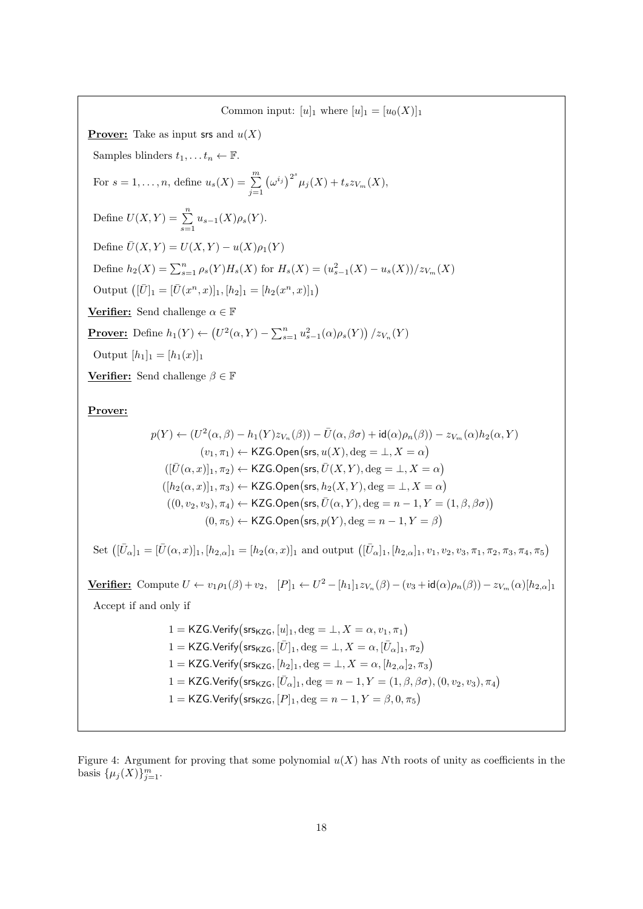Common input:  $[u]_1$  where  $[u]_1 = [u_0(X)]_1$ **Prover:** Take as input srs and  $u(X)$ Samples blinders  $t_1, \ldots t_n \leftarrow \mathbb{F}$ . For  $s = 1, \ldots, n$ , define  $u_s(X) = \sum_{j=1}^m$  $(\omega^{i_j})^{2^s} \mu_j(X) + t_s z_{V_m}(X),$ Define  $U(X,Y) = \sum_{s=1}^{n} u_{s-1}(X)\rho_s(Y)$ . Define  $\overline{U}(X, Y) = U(X, Y) - u(X)\rho_1(Y)$ Define  $h_2(X) = \sum_{s=1}^n \rho_s(Y) H_s(X)$  for  $H_s(X) = (u_{s-1}^2(X) - u_s(X))/z_{V_m}(X)$ Output  $([\bar{U}]_1 = [\bar{U}(x^n, x)]_1, [h_2]_1 = [h_2(x^n, x)]_1)$ **Verifier:** Send challenge  $\alpha \in \mathbb{F}$ **Prover:** Define  $h_1(Y) \leftarrow (U^2(\alpha, Y) - \sum_{s=1}^n u_{s-1}^2(\alpha) \rho_s(Y)) / z_{V_n}(Y)$ Output  $[h_1]_1 = [h_1(x)]_1$ **Verifier:** Send challenge  $\beta \in \mathbb{F}$ 

Prover:

$$
p(Y) \leftarrow (U^2(\alpha, \beta) - h_1(Y)z_{V_n}(\beta)) - \bar{U}(\alpha, \beta\sigma) + id(\alpha)\rho_n(\beta)) - z_{V_m}(\alpha)h_2(\alpha, Y)
$$
  
\n
$$
(v_1, \pi_1) \leftarrow \mathsf{KZG}.\mathsf{Open}(\mathsf{srs}, u(X), \deg = \bot, X = \alpha)
$$
  
\n
$$
([\bar{U}(\alpha, x)]_1, \pi_2) \leftarrow \mathsf{KZG}.\mathsf{Open}(\mathsf{srs}, \bar{U}(X, Y), \deg = \bot, X = \alpha)
$$
  
\n
$$
([h_2(\alpha, x)]_1, \pi_3) \leftarrow \mathsf{KZG}.\mathsf{Open}(\mathsf{srs}, h_2(X, Y), \deg = \bot, X = \alpha)
$$
  
\n
$$
((0, v_2, v_3), \pi_4) \leftarrow \mathsf{KZG}.\mathsf{Open}(\mathsf{srs}, \bar{U}(\alpha, Y), \deg = n - 1, Y = (1, \beta, \beta\sigma))
$$
  
\n
$$
(0, \pi_5) \leftarrow \mathsf{KZG}.\mathsf{Open}(\mathsf{srs}, p(Y), \deg = n - 1, Y = \beta)
$$

Set  $([\bar{U}_{\alpha}]_1 = [\bar{U}(\alpha, x)]_1, [h_{2,\alpha}]_1 = [h_2(\alpha, x)]_1$  and output  $([\bar{U}_{\alpha}]_1, [h_{2,\alpha}]_1, v_1, v_2, v_3, \pi_1, \pi_2, \pi_3, \pi_4, \pi_5]$ 

Verifier: Compute  $U \leftarrow v_1 \rho_1(\beta) + v_2$ ,  $[P]_1 \leftarrow U^2 - [h_1]_1 z_{V_n}(\beta) - (v_3 + id(\alpha) \rho_n(\beta)) - z_{V_m}(\alpha)[h_{2,\alpha}]_1$ Accept if and only if

> 1 = KZG.Verify (srs<sub>KZG</sub>,  $[u]_1$ ,  $\deg = \bot$ ,  $X = \alpha$ ,  $v_1$ ,  $\pi_1$ )  $1 = \mathsf{KZG}.\mathsf{Verify}(\mathsf{ss}_{\mathsf{KZG}}, [\bar{U}]_1, \deg = \bot, X = \alpha, [\bar{U}_\alpha]_1, \pi_2)$ 1 = KZG.Verify ( $\mathsf{srs}_{\mathsf{KZG}}, [h_2]_1, \deg = \bot, X = \alpha, [h_{2,\alpha}]_2, \pi_3$ ) 1 = KZG.Verify (srs<sub>KZG</sub>,  $[\bar{U}_{\alpha}]_1$ , deg =  $n - 1$ ,  $Y = (1, \beta, \beta\sigma)$ ,  $(0, v_2, v_3)$ ,  $\pi_4$ ) 1 = KZG.Verify ( $\textsf{srs}_{\textsf{KZG}}, [P]_1, \text{deg} = n - 1, Y = \beta, 0, \pi_5$ )

Figure 4: Argument for proving that some polynomial  $u(X)$  has Nth roots of unity as coefficients in the basis  $\{\mu_j(X)\}_{j=1}^m$ .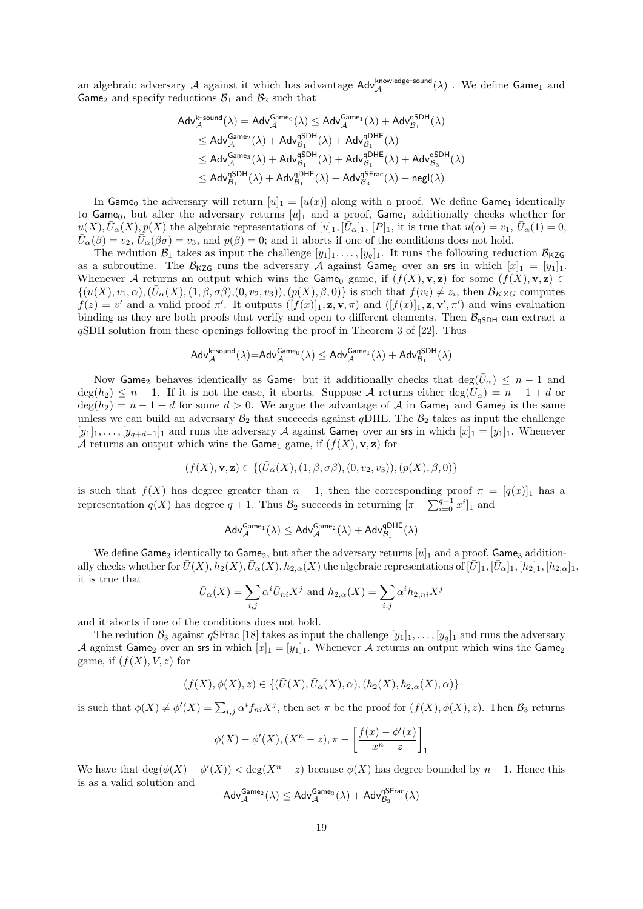an algebraic adversary A against it which has advantage  $\text{Adv}^{\text{knowledge-sound}}_{\mathcal{A}}(\lambda)$ . We define  $\text{Game}_1$  and Game<sub>2</sub> and specify reductions  $B_1$  and  $B_2$  such that

$$
\begin{aligned} \mathsf{Adv}_{\mathcal{A}}^{\mathsf{k\text{-}sound}}(\lambda) &= \mathsf{Adv}_{\mathcal{A}}^{\mathsf{Game}_0}(\lambda) \leq \mathsf{Adv}_{\mathcal{A}}^{\mathsf{Game}_1}(\lambda) + \mathsf{Adv}_{\mathcal{B}_1}^{\mathsf{g} \mathsf{DH}}(\lambda) \\ & \leq \mathsf{Adv}_{\mathcal{A}}^{\mathsf{Game}_2}(\lambda) + \mathsf{Adv}_{\mathcal{B}_1}^{\mathsf{g} \mathsf{DH}}(\lambda) + \mathsf{Adv}_{\mathcal{B}_1}^{\mathsf{g} \mathsf{DH}}(\lambda) \\ & \leq \mathsf{Adv}_{\mathcal{A}}^{\mathsf{Game}_3}(\lambda) + \mathsf{Adv}_{\mathcal{B}_1}^{\mathsf{g} \mathsf{DH}}(\lambda) + \mathsf{Adv}_{\mathcal{B}_1}^{\mathsf{g} \mathsf{DH}}(\lambda) + \mathsf{Adv}_{\mathcal{B}_3}^{\mathsf{g} \mathsf{DH}}(\lambda) \\ & \leq \mathsf{Adv}_{\mathcal{B}_1}^{\mathsf{g} \mathsf{SDH}}(\lambda) + \mathsf{Adv}_{\mathcal{B}_1}^{\mathsf{g} \mathsf{DF}}(\lambda) + \mathsf{Adv}_{\mathcal{B}_3}^{\mathsf{g} \mathsf{Frac}}(\lambda) + \mathsf{negl}(\lambda) \end{aligned}
$$

In Game<sub>0</sub> the adversary will return  $[u]_1 = [u(x)]$  along with a proof. We define Game<sub>1</sub> identically to Game<sub>0</sub>, but after the adversary returns  $[u]_1$  and a proof, Game<sub>1</sub> additionally checks whether for  $u(X), \bar{U}_{\alpha}(X), p(X)$  the algebraic representations of  $[u]_1, [\bar{U}_{\alpha}]_1, [P]_1$ , it is true that  $u(\alpha) = v_1, \bar{U}_{\alpha}(1) = 0$ ,  $\bar{U}_{\alpha}(\beta) = v_2, \bar{U}_{\alpha}(\beta \sigma) = v_3$ , and  $p(\beta) = 0$ ; and it aborts if one of the conditions does not hold.

The redution  $\mathcal{B}_1$  takes as input the challenge  $[y_1]_1, \ldots, [y_q]_1$ . It runs the following reduction  $\mathcal{B}_{KZG}$ as a subroutine. The  $\mathcal{B}_{KZG}$  runs the adversary A against Game<sub>0</sub> over an srs in which  $[x]_1 = [y_1]_1$ . Whenever A returns an output which wins the Game<sub>0</sub> game, if  $(f(X),\mathbf{v},\mathbf{z})$  for some  $(f(X),\mathbf{v},\mathbf{z}) \in$  $\{(u(X), v_1, \alpha),(\bar{U}_{\alpha}(X), (1, \beta, \sigma\beta), (0, v_2, v_3)),(p(X), \beta, 0)\}\)$  is such that  $f(v_i) \neq z_i$ , then  $\mathcal{B}_{KZG}$  computes  $f(z) = v'$  and a valid proof  $\pi'$ . It outputs  $([f(x)]_1, \mathbf{z}, \mathbf{v}, \pi)$  and  $([f(x)]_1, \mathbf{z}, \mathbf{v}', \pi')$  and wins evaluation binding as they are both proofs that verify and open to different elements. Then  $\mathcal{B}_{\text{aSDH}}$  can extract a qSDH solution from these openings following the proof in Theorem 3 of [22]. Thus

$$
\mathsf{Adv}_{\mathcal{A}}^{\mathsf{k\text{-}sound}}(\lambda) {=} \mathsf{Adv}_{\mathcal{A}}^{\mathsf{Game}_0}(\lambda) \leq \mathsf{Adv}_{\mathcal{A}}^{\mathsf{Game}_1}(\lambda) + \mathsf{Adv}_{\mathcal{B}_1}^{\mathsf{qSDH}}(\lambda)
$$

Now Game<sub>2</sub> behaves identically as Game<sub>1</sub> but it additionally checks that  $\deg(\bar{U}_{\alpha}) \le n-1$  and  $deg(h_2) \leq n-1$ . If it is not the case, it aborts. Suppose A returns either  $deg(\bar{U}_{\alpha}) = n-1+d$  or  $\deg(h_2) = n - 1 + d$  for some  $d > 0$ . We argue the advantage of A in Game<sub>1</sub> and Game<sub>2</sub> is the same unless we can build an adversary  $B_2$  that succeeds against qDHE. The  $B_2$  takes as input the challenge  $[y_1]_1, \ldots, [y_{q+d-1}]_1$  and runs the adversary A against Game<sub>1</sub> over an srs in which  $[x]_1 = [y_1]_1$ . Whenever A returns an output which wins the Game<sub>1</sub> game, if  $(f(X), \mathbf{v}, \mathbf{z})$  for

$$
(f(X), \mathbf{v}, \mathbf{z}) \in \{ (\bar{U}_{\alpha}(X), (1, \beta, \sigma\beta), (0, v_2, v_3)), (p(X), \beta, 0) \}
$$

is such that  $f(X)$  has degree greater than  $n-1$ , then the corresponding proof  $\pi = [q(x)]_1$  has a representation  $q(X)$  has degree  $q + 1$ . Thus  $\mathcal{B}_2$  succeeds in returning  $[\pi - \sum_{i=0}^{q-1} x^i]_1$  and

$$
\mathsf{Adv}_{\mathcal{A}}^{\mathsf{Game}_1}(\lambda) \leq \mathsf{Adv}_{\mathcal{A}}^{\mathsf{Game}_2}(\lambda) + \mathsf{Adv}_{\mathcal{B}_1}^{\mathsf{qDHE}}(\lambda)
$$

We define Game<sub>3</sub> identically to Game<sub>2</sub>, but after the adversary returns  $[u]_1$  and a proof, Game<sub>3</sub> additionally checks whether for  $\bar{U}(X), h_2(X), \bar{U}_{\alpha}(X), h_{2,\alpha}(X)$  the algebraic representations of  $[\bar{U}]_1, [\bar{U}_{\alpha}]_1, [h_2]_1, [h_{2,\alpha}]_1$ it is true that

$$
\bar{U}_{\alpha}(X) = \sum_{i,j} \alpha^{i} \bar{U}_{ni} X^{j} \text{ and } h_{2,\alpha}(X) = \sum_{i,j} \alpha^{i} h_{2,ni} X^{j}
$$

and it aborts if one of the conditions does not hold.

The redution  $\mathcal{B}_3$  against qSFrac [18] takes as input the challenge  $[y_1]_1, \ldots, [y_q]_1$  and runs the adversary A against Game<sub>2</sub> over an srs in which  $[x]_1 = [y_1]_1$ . Whenever A returns an output which wins the Game<sub>2</sub> game, if  $(f(X), V, z)$  for

$$
(f(X),\phi(X),z)\in \{(\bar U(X),\bar U_{\alpha}(X),\alpha),(h_2(X),h_{2,\alpha}(X),\alpha)\}
$$

is such that  $\phi(X) \neq \phi'(X) = \sum_{i,j} \alpha^i f_{ni} X^j$ , then set  $\pi$  be the proof for  $(f(X), \phi(X), z)$ . Then  $\mathcal{B}_3$  returns

$$
\phi(X) - \phi'(X), (X^n - z), \pi - \left[\frac{f(x) - \phi'(x)}{x^n - z}\right]_1
$$

We have that  $deg(\phi(X) - \phi'(X)) < deg(X^n - z)$  because  $\phi(X)$  has degree bounded by  $n - 1$ . Hence this is as a valid solution and

$$
\mathsf{Adv}_{\mathcal{A}}^{\mathsf{Game}_2}(\lambda) \leq \mathsf{Adv}_{\mathcal{A}}^{\mathsf{Game}_3}(\lambda) + \mathsf{Adv}_{\mathcal{B}_3}^{\mathsf{aFrac}}(\lambda)
$$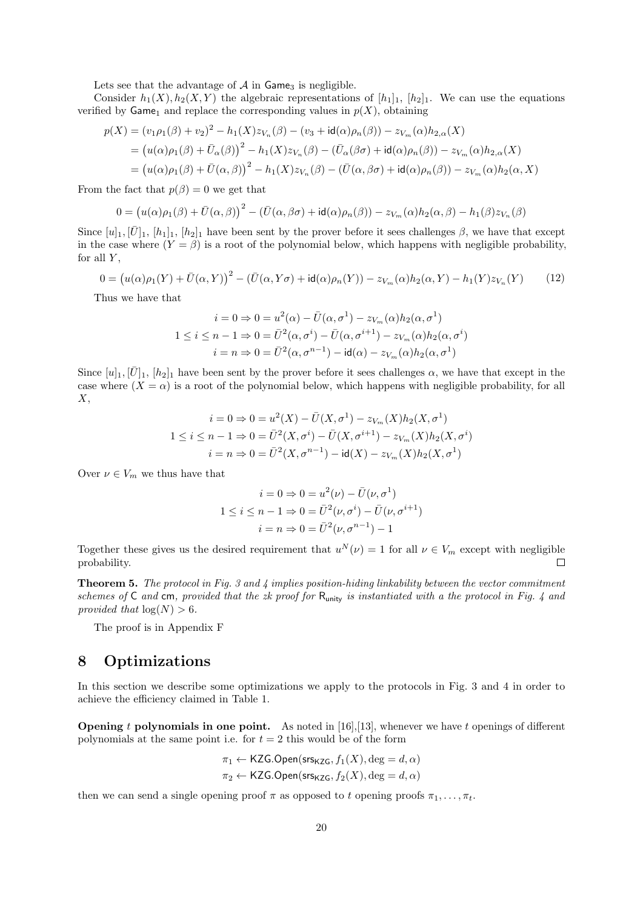Lets see that the advantage of  $A$  in Game<sub>3</sub> is negligible.

Consider  $h_1(X), h_2(X, Y)$  the algebraic representations of  $[h_1]_1, [h_2]_1$ . We can use the equations verified by  $\mathsf{Game}_1$  and replace the corresponding values in  $p(X)$ , obtaining

$$
p(X) = (v_1 \rho_1(\beta) + v_2)^2 - h_1(X)z_{V_n}(\beta) - (v_3 + id(\alpha)\rho_n(\beta)) - z_{V_m}(\alpha)h_{2,\alpha}(X)
$$
  
=  $(u(\alpha)\rho_1(\beta) + \bar{U}_{\alpha}(\beta))^2 - h_1(X)z_{V_n}(\beta) - (\bar{U}_{\alpha}(\beta\sigma) + id(\alpha)\rho_n(\beta)) - z_{V_m}(\alpha)h_{2,\alpha}(X)$   
=  $(u(\alpha)\rho_1(\beta) + \bar{U}(\alpha,\beta))^2 - h_1(X)z_{V_n}(\beta) - (\bar{U}(\alpha,\beta\sigma) + id(\alpha)\rho_n(\beta)) - z_{V_m}(\alpha)h_2(\alpha,X)$ 

From the fact that  $p(\beta) = 0$  we get that

$$
0 = (u(\alpha)\rho_1(\beta) + \bar{U}(\alpha,\beta))^2 - (\bar{U}(\alpha,\beta\sigma) + \mathrm{id}(\alpha)\rho_n(\beta)) - z_{V_m}(\alpha)h_2(\alpha,\beta) - h_1(\beta)z_{V_n}(\beta)
$$

Since  $[u_1, [\bar{U}]_1, [h_1]_1, [h_2]_1$  have been sent by the prover before it sees challenges  $\beta$ , we have that except in the case where  $(Y = \beta)$  is a root of the polynomial below, which happens with negligible probability, for all  $Y$ ,

$$
0 = (u(\alpha)\rho_1(Y) + \bar{U}(\alpha, Y))^2 - (\bar{U}(\alpha, Y\sigma) + \mathrm{id}(\alpha)\rho_n(Y)) - z_{V_m}(\alpha)h_2(\alpha, Y) - h_1(Y)z_{V_n}(Y) \tag{12}
$$

Thus we have that

$$
i = 0 \Rightarrow 0 = u^2(\alpha) - \bar{U}(\alpha, \sigma^1) - z_{V_m}(\alpha)h_2(\alpha, \sigma^1)
$$
  

$$
1 \le i \le n - 1 \Rightarrow 0 = \bar{U}^2(\alpha, \sigma^i) - \bar{U}(\alpha, \sigma^{i+1}) - z_{V_m}(\alpha)h_2(\alpha, \sigma^i)
$$
  

$$
i = n \Rightarrow 0 = \bar{U}^2(\alpha, \sigma^{n-1}) - id(\alpha) - z_{V_m}(\alpha)h_2(\alpha, \sigma^1)
$$

Since  $[u]_1, [\bar{U}]_1, [h_2]_1$  have been sent by the prover before it sees challenges  $\alpha$ , we have that except in the case where  $(X = \alpha)$  is a root of the polynomial below, which happens with negligible probability, for all  $X,$ 

$$
i = 0 \Rightarrow 0 = u^2(X) - \bar{U}(X, \sigma^1) - z_{V_m}(X)h_2(X, \sigma^1)
$$
  

$$
1 \le i \le n - 1 \Rightarrow 0 = \bar{U}^2(X, \sigma^i) - \bar{U}(X, \sigma^{i+1}) - z_{V_m}(X)h_2(X, \sigma^i)
$$
  

$$
i = n \Rightarrow 0 = \bar{U}^2(X, \sigma^{n-1}) - id(X) - z_{V_m}(X)h_2(X, \sigma^1)
$$

Over  $\nu \in V_m$  we thus have that

$$
i = 0 \Rightarrow 0 = u^2(\nu) - \bar{U}(\nu, \sigma^1)
$$

$$
1 \le i \le n - 1 \Rightarrow 0 = \bar{U}^2(\nu, \sigma^i) - \bar{U}(\nu, \sigma^{i+1})
$$

$$
i = n \Rightarrow 0 = \bar{U}^2(\nu, \sigma^{n-1}) - 1
$$

Together these gives us the desired requirement that  $u^N(\nu) = 1$  for all  $\nu \in V_m$  except with negligible probability.  $\Box$ 

**Theorem 5.** The protocol in Fig. 3 and 4 implies position-hiding linkability between the vector commitment schemes of C and cm, provided that the zk proof for  $R_{\text{unity}}$  is instantiated with a the protocol in Fig. 4 and provided that  $log(N) > 6$ .

The proof is in Appendix F

## 8 Optimizations

In this section we describe some optimizations we apply to the protocols in Fig. 3 and 4 in order to achieve the efficiency claimed in Table 1.

**Opening t polynomials in one point.** As noted in [16], [13], whenever we have t openings of different polynomials at the same point i.e. for  $t = 2$  this would be of the form

$$
\pi_1 \leftarrow \mathsf{KZG}.\mathsf{Open}(\mathsf{srs}_{\mathsf{KZG}}, f_1(X), \deg = d, \alpha)
$$

$$
\pi_2 \leftarrow \mathsf{KZG}.\mathsf{Open}(\mathsf{srs}_{\mathsf{KZG}}, f_2(X), \deg = d, \alpha)
$$

then we can send a single opening proof  $\pi$  as opposed to t opening proofs  $\pi_1, \ldots, \pi_t$ .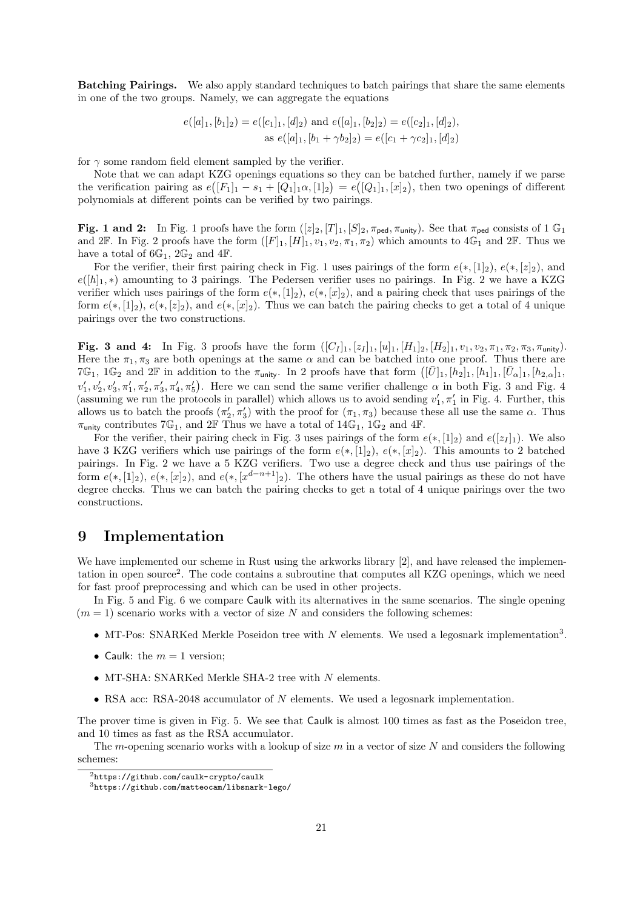Batching Pairings. We also apply standard techniques to batch pairings that share the same elements in one of the two groups. Namely, we can aggregate the equations

$$
e([a]_1, [b_1]_2) = e([c_1]_1, [d]_2) \text{ and } e([a]_1, [b_2]_2) = e([c_2]_1, [d]_2),
$$
  
as 
$$
e([a]_1, [b_1 + \gamma b_2]_2) = e([c_1 + \gamma c_2]_1, [d]_2)
$$

for  $\gamma$  some random field element sampled by the verifier.

Note that we can adapt KZG openings equations so they can be batched further, namely if we parse the verification pairing as  $e([F_1]_1 - s_1 + [Q_1]_1 \alpha, [1]_2) = e([Q_1]_1, [x]_2)$ , then two openings of different polynomials at different points can be verified by two pairings.

Fig. 1 and 2: In Fig. 1 proofs have the form  $([z]_2, [T]_1, [S]_2, \pi_{\text{ped}}, \pi_{\text{unity}})$ . See that  $\pi_{\text{ped}}$  consists of 1  $\mathbb{G}_1$ and 2F. In Fig. 2 proofs have the form  $([F]_1, [H]_1, v_1, v_2, \pi_1, \pi_2)$  which amounts to  $4\mathbb{G}_1$  and  $2\mathbb{F}$ . Thus we have a total of  $6\mathbb{G}_1$ ,  $2\mathbb{G}_2$  and  $4\mathbb{F}$ .

For the verifier, their first pairing check in Fig. 1 uses pairings of the form  $e(*, [1]_2)$ ,  $e(*, [z]_2)$ , and  $e([h]_1, *)$  amounting to 3 pairings. The Pedersen verifier uses no pairings. In Fig. 2 we have a KZG verifier which uses pairings of the form  $e(*, [1]_2)$ ,  $e(*, [x]_2)$ , and a pairing check that uses pairings of the form  $e(*,[1]_2), e(*,[z]_2)$ , and  $e(*,[x]_2)$ . Thus we can batch the pairing checks to get a total of 4 unique pairings over the two constructions.

Fig. 3 and 4: In Fig. 3 proofs have the form  $([C_I]_1, [z_I]_1, [u]_1, [H_1]_2, [H_2]_1, v_1, v_2, \pi_1, \pi_2, \pi_3, \pi_{\text{unity}})$ . Here the  $\pi_1, \pi_3$  are both openings at the same  $\alpha$  and can be batched into one proof. Thus there are 7G<sub>1</sub>, 1G<sub>2</sub> and 2F in addition to the  $\pi_{\text{unity}}$ . In 2 proofs have that form  $([\bar{U}]_1,[h_2]_1,[h_1]_1,[\bar{U}_\alpha]_1,[h_{2,\alpha}]_1$  $v'_1, v'_2, v'_3, \pi'_1, \pi'_2, \pi'_3, \pi'_4, \pi'_5$ . Here we can send the same verifier challenge  $\alpha$  in both Fig. 3 and Fig. 4 (assuming we run the protocols in parallel) which allows us to avoid sending  $v'_1, \pi'_1$  in Fig. 4. Further, this allows us to batch the proofs  $(\pi_2', \pi_3')$  with the proof for  $(\pi_1, \pi_3)$  because these all use the same  $\alpha$ . Thus  $\pi_{\text{unity}}$  contributes  $7\mathbb{G}_1$ , and  $2\mathbb{F}$  Thus we have a total of  $14\mathbb{G}_1$ ,  $1\mathbb{G}_2$  and  $4\mathbb{F}$ .

For the verifier, their pairing check in Fig. 3 uses pairings of the form  $e(*, [1]_2)$  and  $e([z_I]_1)$ . We also have 3 KZG verifiers which use pairings of the form  $e(*,[1]_2), e(*,[x]_2)$ . This amounts to 2 batched pairings. In Fig. 2 we have a 5 KZG verifiers. Two use a degree check and thus use pairings of the form  $e(*,[1]_2)$ ,  $e(*,[x]_2)$ , and  $e(*,[x]_q^{d-n+1}]_2$ . The others have the usual pairings as these do not have degree checks. Thus we can batch the pairing checks to get a total of 4 unique pairings over the two constructions.

## 9 Implementation

We have implemented our scheme in Rust using the arkworks library [2], and have released the implementation in open source<sup>2</sup>. The code contains a subroutine that computes all KZG openings, which we need for fast proof preprocessing and which can be used in other projects.

In Fig. 5 and Fig. 6 we compare Caulk with its alternatives in the same scenarios. The single opening  $(m = 1)$  scenario works with a vector of size N and considers the following schemes:

- MT-Pos: SNARKed Merkle Poseidon tree with N elements. We used a legosnark implementation<sup>3</sup>.
- Caulk: the  $m = 1$  version;
- MT-SHA: SNARKed Merkle SHA-2 tree with  $N$  elements.
- RSA acc: RSA-2048 accumulator of N elements. We used a legosnark implementation.

The prover time is given in Fig. 5. We see that Caulk is almost 100 times as fast as the Poseidon tree, and 10 times as fast as the RSA accumulator.

The m-opening scenario works with a lookup of size  $m$  in a vector of size  $N$  and considers the following schemes:

 $2$ https://github.com/caulk-crypto/caulk

<sup>3</sup>https://github.com/matteocam/libsnark-lego/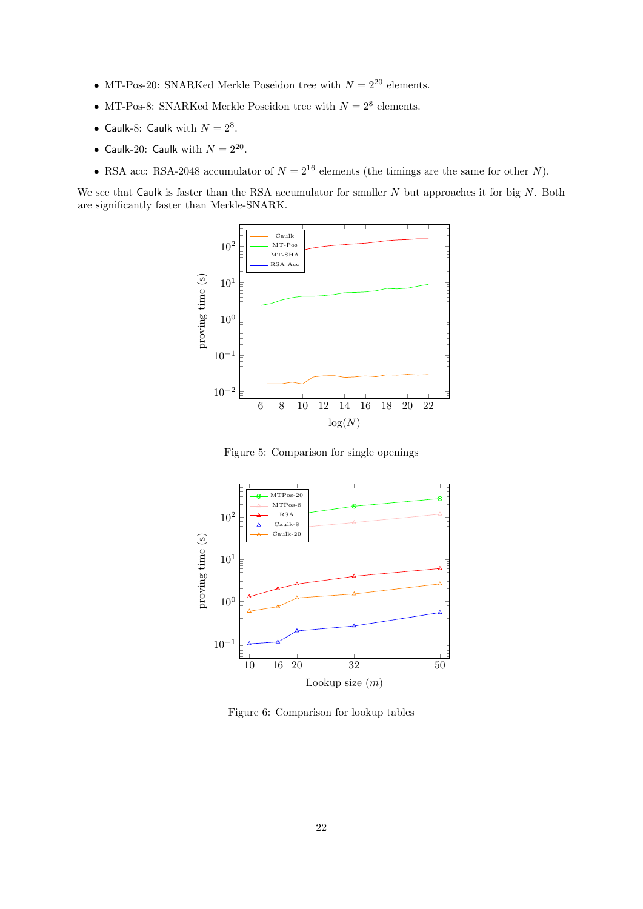- MT-Pos-20: SNARKed Merkle Poseidon tree with  $N = 2^{20}$  elements.
- MT-Pos-8: SNARKed Merkle Poseidon tree with  $N = 2^8$  elements.
- Caulk-8: Caulk with  $N = 2^8$ .
- Caulk-20: Caulk with  $N = 2^{20}$ .
- RSA acc: RSA-2048 accumulator of  $N = 2^{16}$  elements (the timings are the same for other N).

We see that Caulk is faster than the RSA accumulator for smaller  $N$  but approaches it for big  $N$ . Both are significantly faster than Merkle-SNARK.



Figure 5: Comparison for single openings



Figure 6: Comparison for lookup tables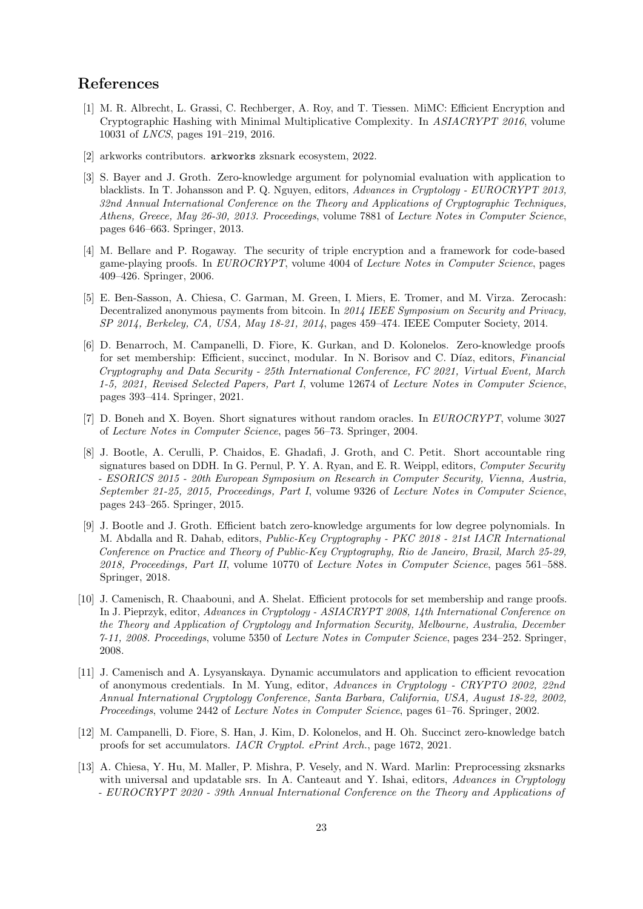### References

- [1] M. R. Albrecht, L. Grassi, C. Rechberger, A. Roy, and T. Tiessen. MiMC: Efficient Encryption and Cryptographic Hashing with Minimal Multiplicative Complexity. In ASIACRYPT 2016, volume 10031 of LNCS, pages 191–219, 2016.
- [2] arkworks contributors. arkworks zksnark ecosystem, 2022.
- [3] S. Bayer and J. Groth. Zero-knowledge argument for polynomial evaluation with application to blacklists. In T. Johansson and P. Q. Nguyen, editors, Advances in Cryptology - EUROCRYPT 2013, 32nd Annual International Conference on the Theory and Applications of Cryptographic Techniques, Athens, Greece, May 26-30, 2013. Proceedings, volume 7881 of Lecture Notes in Computer Science, pages 646–663. Springer, 2013.
- [4] M. Bellare and P. Rogaway. The security of triple encryption and a framework for code-based game-playing proofs. In EUROCRYPT, volume 4004 of Lecture Notes in Computer Science, pages 409–426. Springer, 2006.
- [5] E. Ben-Sasson, A. Chiesa, C. Garman, M. Green, I. Miers, E. Tromer, and M. Virza. Zerocash: Decentralized anonymous payments from bitcoin. In 2014 IEEE Symposium on Security and Privacy, SP 2014, Berkeley, CA, USA, May 18-21, 2014, pages 459–474. IEEE Computer Society, 2014.
- [6] D. Benarroch, M. Campanelli, D. Fiore, K. Gurkan, and D. Kolonelos. Zero-knowledge proofs for set membership: Efficient, succinct, modular. In N. Borisov and C. Díaz, editors, Financial Cryptography and Data Security - 25th International Conference, FC 2021, Virtual Event, March 1-5, 2021, Revised Selected Papers, Part I, volume 12674 of Lecture Notes in Computer Science, pages 393–414. Springer, 2021.
- [7] D. Boneh and X. Boyen. Short signatures without random oracles. In EUROCRYPT, volume 3027 of Lecture Notes in Computer Science, pages 56–73. Springer, 2004.
- [8] J. Bootle, A. Cerulli, P. Chaidos, E. Ghadafi, J. Groth, and C. Petit. Short accountable ring signatures based on DDH. In G. Pernul, P. Y. A. Ryan, and E. R. Weippl, editors, Computer Security - ESORICS 2015 - 20th European Symposium on Research in Computer Security, Vienna, Austria, September 21-25, 2015, Proceedings, Part I, volume 9326 of Lecture Notes in Computer Science, pages 243–265. Springer, 2015.
- [9] J. Bootle and J. Groth. Efficient batch zero-knowledge arguments for low degree polynomials. In M. Abdalla and R. Dahab, editors, Public-Key Cryptography - PKC 2018 - 21st IACR International Conference on Practice and Theory of Public-Key Cryptography, Rio de Janeiro, Brazil, March 25-29, 2018, Proceedings, Part II, volume 10770 of Lecture Notes in Computer Science, pages 561–588. Springer, 2018.
- [10] J. Camenisch, R. Chaabouni, and A. Shelat. Efficient protocols for set membership and range proofs. In J. Pieprzyk, editor, Advances in Cryptology - ASIACRYPT 2008, 14th International Conference on the Theory and Application of Cryptology and Information Security, Melbourne, Australia, December 7-11, 2008. Proceedings, volume 5350 of Lecture Notes in Computer Science, pages 234–252. Springer, 2008.
- [11] J. Camenisch and A. Lysyanskaya. Dynamic accumulators and application to efficient revocation of anonymous credentials. In M. Yung, editor, Advances in Cryptology - CRYPTO 2002, 22nd Annual International Cryptology Conference, Santa Barbara, California, USA, August 18-22, 2002, Proceedings, volume 2442 of Lecture Notes in Computer Science, pages 61–76. Springer, 2002.
- [12] M. Campanelli, D. Fiore, S. Han, J. Kim, D. Kolonelos, and H. Oh. Succinct zero-knowledge batch proofs for set accumulators. IACR Cryptol. ePrint Arch., page 1672, 2021.
- [13] A. Chiesa, Y. Hu, M. Maller, P. Mishra, P. Vesely, and N. Ward. Marlin: Preprocessing zksnarks with universal and updatable srs. In A. Canteaut and Y. Ishai, editors, Advances in Cryptology - EUROCRYPT 2020 - 39th Annual International Conference on the Theory and Applications of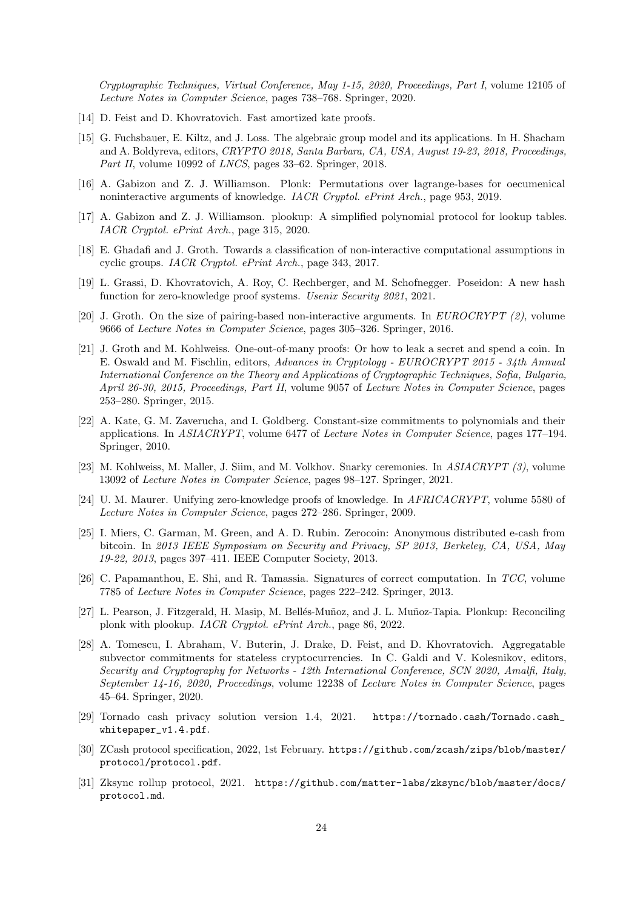Cryptographic Techniques, Virtual Conference, May 1-15, 2020, Proceedings, Part I, volume 12105 of Lecture Notes in Computer Science, pages 738–768. Springer, 2020.

- [14] D. Feist and D. Khovratovich. Fast amortized kate proofs.
- [15] G. Fuchsbauer, E. Kiltz, and J. Loss. The algebraic group model and its applications. In H. Shacham and A. Boldyreva, editors, CRYPTO 2018, Santa Barbara, CA, USA, August 19-23, 2018, Proceedings, Part II, volume 10992 of LNCS, pages 33–62. Springer, 2018.
- [16] A. Gabizon and Z. J. Williamson. Plonk: Permutations over lagrange-bases for oecumenical noninteractive arguments of knowledge. IACR Cryptol. ePrint Arch., page 953, 2019.
- [17] A. Gabizon and Z. J. Williamson. plookup: A simplified polynomial protocol for lookup tables. IACR Cryptol. ePrint Arch., page 315, 2020.
- [18] E. Ghadafi and J. Groth. Towards a classification of non-interactive computational assumptions in cyclic groups. IACR Cryptol. ePrint Arch., page 343, 2017.
- [19] L. Grassi, D. Khovratovich, A. Roy, C. Rechberger, and M. Schofnegger. Poseidon: A new hash function for zero-knowledge proof systems. Usenix Security 2021, 2021.
- [20] J. Groth. On the size of pairing-based non-interactive arguments. In  $EUROCRYPT$  (2), volume 9666 of Lecture Notes in Computer Science, pages 305–326. Springer, 2016.
- [21] J. Groth and M. Kohlweiss. One-out-of-many proofs: Or how to leak a secret and spend a coin. In E. Oswald and M. Fischlin, editors, Advances in Cryptology - EUROCRYPT 2015 - 34th Annual International Conference on the Theory and Applications of Cryptographic Techniques, Sofia, Bulgaria, April 26-30, 2015, Proceedings, Part II, volume 9057 of Lecture Notes in Computer Science, pages 253–280. Springer, 2015.
- [22] A. Kate, G. M. Zaverucha, and I. Goldberg. Constant-size commitments to polynomials and their applications. In ASIACRYPT, volume 6477 of Lecture Notes in Computer Science, pages 177–194. Springer, 2010.
- [23] M. Kohlweiss, M. Maller, J. Siim, and M. Volkhov. Snarky ceremonies. In ASIACRYPT (3), volume 13092 of Lecture Notes in Computer Science, pages 98–127. Springer, 2021.
- [24] U. M. Maurer. Unifying zero-knowledge proofs of knowledge. In AFRICACRYPT, volume 5580 of Lecture Notes in Computer Science, pages 272–286. Springer, 2009.
- [25] I. Miers, C. Garman, M. Green, and A. D. Rubin. Zerocoin: Anonymous distributed e-cash from bitcoin. In 2013 IEEE Symposium on Security and Privacy, SP 2013, Berkeley, CA, USA, May 19-22, 2013, pages 397–411. IEEE Computer Society, 2013.
- [26] C. Papamanthou, E. Shi, and R. Tamassia. Signatures of correct computation. In TCC, volume 7785 of Lecture Notes in Computer Science, pages 222–242. Springer, 2013.
- [27] L. Pearson, J. Fitzgerald, H. Masip, M. Bellés-Muñoz, and J. L. Muñoz-Tapia. Plonkup: Reconciling plonk with plookup. IACR Cryptol. ePrint Arch., page 86, 2022.
- [28] A. Tomescu, I. Abraham, V. Buterin, J. Drake, D. Feist, and D. Khovratovich. Aggregatable subvector commitments for stateless cryptocurrencies. In C. Galdi and V. Kolesnikov, editors, Security and Cryptography for Networks - 12th International Conference, SCN 2020, Amalfi, Italy, September 14-16, 2020, Proceedings, volume 12238 of Lecture Notes in Computer Science, pages 45–64. Springer, 2020.
- [29] Tornado cash privacy solution version 1.4, 2021. https://tornado.cash/Tornado.cash\_ whitepaper\_v1.4.pdf.
- [30] ZCash protocol specification, 2022, 1st February. https://github.com/zcash/zips/blob/master/ protocol/protocol.pdf.
- [31] Zksync rollup protocol, 2021. https://github.com/matter-labs/zksync/blob/master/docs/ protocol.md.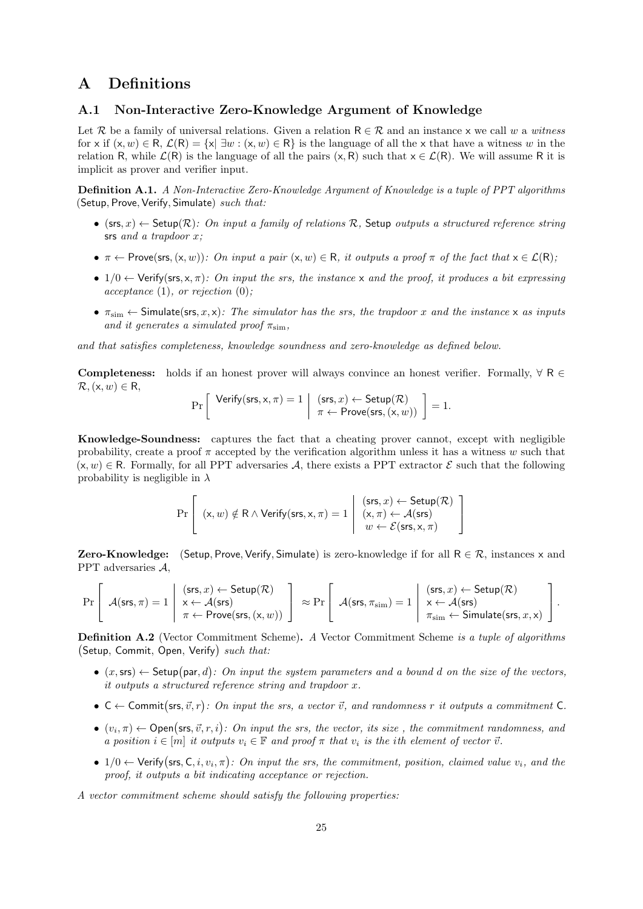# A Definitions

### A.1 Non-Interactive Zero-Knowledge Argument of Knowledge

Let R be a family of universal relations. Given a relation  $R \in \mathcal{R}$  and an instance x we call w a witness for x if  $(x, w) \in R$ ,  $\mathcal{L}(R) = \{x | \exists w : (x, w) \in R\}$  is the language of all the x that have a witness w in the relation R, while  $\mathcal{L}(R)$  is the language of all the pairs  $(x, R)$  such that  $x \in \mathcal{L}(R)$ . We will assume R it is implicit as prover and verifier input.

Definition A.1. A Non-Interactive Zero-Knowledge Argument of Knowledge is a tuple of PPT algorithms (Setup, Prove, Verify, Simulate)  $such that:$ 

- $(\textsf{ss}, x) \leftarrow \textsf{Setup}(\mathcal{R})$ : On input a family of relations R, Setup outputs a structured reference string srs and a trapdoor x;
- $\pi \leftarrow$  Prove(srs,  $(x, w)$ ): On input a pair  $(x, w) \in \mathsf{R}$ , it outputs a proof  $\pi$  of the fact that  $x \in \mathcal{L}(\mathsf{R})$ ;
- $1/0 \leftarrow$  Verify(srs, x,  $\pi$ ): On input the srs, the instance x and the proof, it produces a bit expressing  $acceptance (1), or rejection (0);$
- $\pi_{\text{sim}} \leftarrow$  Simulate(srs, x, x): The simulator has the srs, the trapdoor x and the instance x as inputs and it generates a simulated proof  $\pi_{\text{sim}}$ ,

and that satisfies completeness, knowledge soundness and zero-knowledge as defined below.

**Completeness:** holds if an honest prover will always convince an honest verifier. Formally,  $\forall$  R  $\in$  $\mathcal{R},(\mathsf{x},w) \in \mathsf{R},$ 

$$
\Pr\left[\begin{array}{c} \mathsf{Verify}(\mathsf{srs},\mathsf{x},\pi)=1\\ \pi \leftarrow \mathsf{Prove}(\mathsf{srs},(\mathsf{x},w)) \end{array}\right]=1.
$$

Knowledge-Soundness: captures the fact that a cheating prover cannot, except with negligible probability, create a proof  $\pi$  accepted by the verification algorithm unless it has a witness w such that  $(x, w) \in \mathbb{R}$ . Formally, for all PPT adversaries A, there exists a PPT extractor  $\mathcal{E}$  such that the following probability is negligible in  $\lambda$ 

$$
\Pr\left[\begin{array}{c}(\mathsf{x},w)\notin\mathsf{R} \wedge \mathsf{Verify}(\mathsf{srs},\mathsf{x},\pi)=1 \; \left| \begin{array}{c} (\mathsf{srs},x) \leftarrow \mathsf{Setup}(\mathcal{R}) \\ (\mathsf{x},\pi) \leftarrow \mathcal{A}(\mathsf{srs}) \\ w \leftarrow \mathcal{E}(\mathsf{srs},\mathsf{x},\pi)\end{array}\right. \end{array}\right\}\right]
$$

**Zero-Knowledge:** (Setup, Prove, Verify, Simulate) is zero-knowledge if for all  $R \in \mathcal{R}$ , instances x and PPT adversaries A,

$$
\Pr\left[\begin{array}{c}(\mathsf{srs},\pi)=1\\\pi\leftarrow\mathsf{Prove}(\mathsf{srs},(x,w))\end{array}\right]\approx\Pr\left[\begin{array}{c}(\mathsf{srs},x)\leftarrow\mathsf{Setup}(\mathcal{R})\\\pi\leftarrow\mathsf{Prove}(\mathsf{srs},(x,w))\end{array}\right]\approx\Pr\left[\begin{array}{c}(\mathsf{srs},\pi_{\mathsf{sim}})=1\\\pi\leftarrow\mathcal{A}(\mathsf{srs})\\\pi_{\mathsf{sim}}\leftarrow\mathsf{Simulate}(\mathsf{srs},x,x)\end{array}\right]\right.\right].
$$

Definition A.2 (Vector Commitment Scheme). A Vector Commitment Scheme is a tuple of algorithms (Setup, Commit, Open, Verify) such that:

- $(x, \text{ss}) \leftarrow$  Setup(par, d): On input the system parameters and a bound d on the size of the vectors, it outputs a structured reference string and trapdoor x.
- $C \leftarrow$  Commit (srs,  $\vec{v}, r$ ): On input the srs, a vector  $\vec{v}$ , and randomness r it outputs a commitment C.
- $(v_i, \pi) \leftarrow$  Open(srs,  $\vec{v}, r, i$ ): On input the srs, the vector, its size, the commitment randomness, and a position  $i \in [m]$  it outputs  $v_i \in \mathbb{F}$  and proof  $\pi$  that  $v_i$  is the ith element of vector  $\vec{v}$ .
- $1/0 \leftarrow$  Verify (srs, C, i,  $v_i, \pi$ ): On input the srs, the commitment, position, claimed value  $v_i$ , and the proof, it outputs a bit indicating acceptance or rejection.

A vector commitment scheme should satisfy the following properties: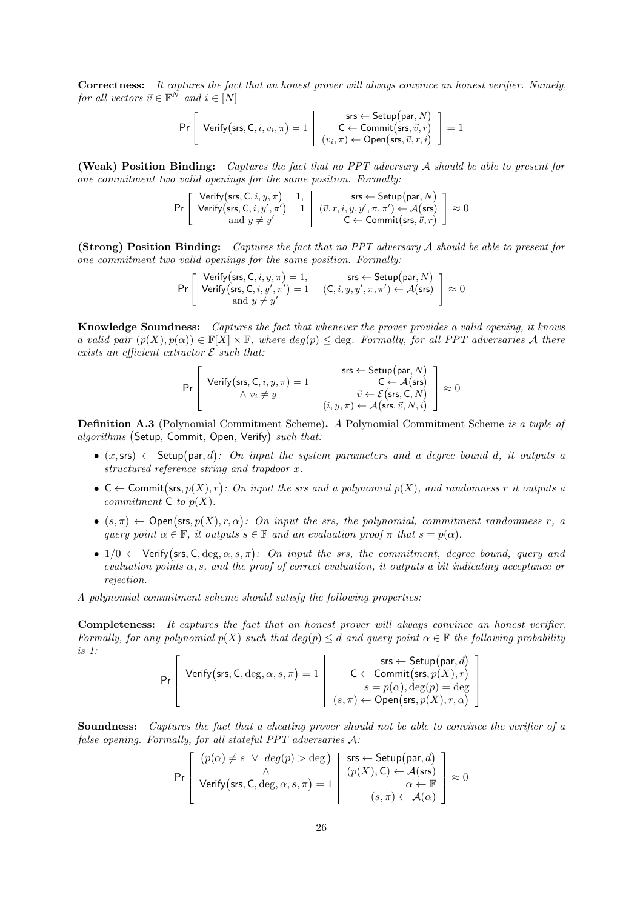Correctness: It captures the fact that an honest prover will always convince an honest verifier. Namely, for all vectors  $\vec{v} \in \mathbb{F}^{\overline{N}}$  and  $i \in [N]$ 

$$
\Pr\left[\begin{array}{c} \textsf{Verify}(\textsf{srs},\textsf{C},i,v_i,\pi)=1\\ \textsf{Verify}(\textsf{srs},\textsf{C},i,v_i,\pi)=1\\ (v_i,\pi)\leftarrow \textsf{Open}(\textsf{srs},\vec{v},r,i \end{array}\right]\right]=1
$$

(Weak) Position Binding: Captures the fact that no PPT adversary A should be able to present for one commitment two valid openings for the same position. Formally:

$$
\Pr\left[\begin{array}{c} \mathsf{Verify}\big(\mathsf{srs},\mathsf{C},i,y,\pi\big)=1,\\\mathsf{Verify}\big(\mathsf{srs},\mathsf{C},i,y',\pi'\big)=1\\\quad\text{and }y\neq y'\end{array}\middle|\begin{array}{c} \mathsf{srs} \leftarrow \mathsf{Setup}\big(\mathsf{par},N)\\ (\vec{v},r,i,y,y',\pi,\pi') \leftarrow \mathcal{A}\big(\mathsf{srs}\big)\\ \mathsf{C} \leftarrow \mathsf{Commit}\big(\mathsf{srs},\vec{v},r\big) \end{array}\right]\approx 0
$$

(Strong) Position Binding: Captures the fact that no PPT adversary A should be able to present for one commitment two valid openings for the same position. Formally:

$$
\Pr\left[\begin{array}{c}\text{Verify}(\text{srs},C,i,y,\pi)=1,\\\text{Verify}(\text{srs},C,i,y',\pi')=1\\\text{and }y\neq y'\end{array}\middle|\begin{array}{c}\text{srs}\leftarrow\text{Setup}(\text{par},N)\\\text{(C},i,y,y',\pi,\pi')\leftarrow\mathcal{A}(\text{srs})\\\leftarrow\mathcal{A}(\text{srs})\end{array}\right]\right|\approx0
$$

Knowledge Soundness: Captures the fact that whenever the prover provides a valid opening, it knows a valid pair  $(p(X), p(\alpha)) \in \mathbb{F}[X] \times \mathbb{F}$ , where  $deg(p) \leq deg$ . Formally, for all PPT adversaries A there exists an efficient extractor  $\mathcal E$  such that:

$$
\Pr\left[\begin{array}{c} \text{Verify}(\text{srs},\text{C},i,y,\pi)=1\\ \wedge v_i\neq y\\ \end{array}\middle|\begin{array}{c} \text{srs}\leftarrow \text{Setup}(\text{par},N)\\ \text{C}\leftarrow\mathcal{A}(\text{srs})\\ \vec{v}\leftarrow\mathcal{E}(\text{srs},\text{C},N)\\ (i,y,\pi)\leftarrow\mathcal{A}(\text{srs},\vec{v},N,i) \end{array}\right] \approx 0\right.\right.
$$

Definition A.3 (Polynomial Commitment Scheme). A Polynomial Commitment Scheme is a tuple of algorithms (Setup, Commit, Open, Verify) such that:

- $(x, \text{ss}) \leftarrow$  Setup(par, d): On input the system parameters and a degree bound d, it outputs a structured reference string and trapdoor x.
- $C \leftarrow$  Commit(srs,  $p(X), r$ ): On input the srs and a polynomial  $p(X)$ , and randomness r it outputs a commitment  $C$  to  $p(X)$ .
- $(s, \pi)$   $\leftarrow$  Open(srs,  $p(X), r, \alpha$ ): On input the srs, the polynomial, commitment randomness r, a query point  $\alpha \in \mathbb{F}$ , it outputs  $s \in \mathbb{F}$  and an evaluation proof  $\pi$  that  $s = p(\alpha)$ .
- $1/0$   $\leftarrow$  Verify(srs, C, deg,  $\alpha$ , s,  $\pi$ ): On input the srs, the commitment, degree bound, query and evaluation points  $\alpha$ , s, and the proof of correct evaluation, it outputs a bit indicating acceptance or rejection.

A polynomial commitment scheme should satisfy the following properties:

Completeness: It captures the fact that an honest prover will always convince an honest verifier. Formally, for any polynomial  $p(X)$  such that  $deg(p) \leq d$  and query point  $\alpha \in \mathbb{F}$  the following probability is 1:  $\mathbf{u}$  $\mathbf{r}$  $\sim$ 

$$
\Pr\left[\begin{array}{c} \textsf{Verify}(\textsf{srs},\textsf{C},\deg,\alpha,s,\pi)=1\\ \textsf{Verify}(\textsf{srs},\textsf{C},\deg,\alpha,s,\pi)=1\\ s=p(\alpha),\deg(p)=\deg\\ (s,\pi)\leftarrow\textsf{Open}(\textsf{srs},p(X),r,\alpha)\end{array}\right]
$$

Soundness: Captures the fact that a cheating prover should not be able to convince the verifier of a false opening. Formally, for all stateful PPT adversaries A:

$$
\Pr\left[\begin{array}{c} (p(\alpha) \neq s \ \lor \ deg(p) > \deg) \\ \land \\ \text{Verify(srs, C, deg, \alpha, s, \pi) = 1} \end{array} \middle| \begin{array}{c} \mathsf{ss} \leftarrow \mathsf{Setup}(\mathsf{par}, d) \\ (p(X), \mathsf{C}) \leftarrow \mathcal{A}(\mathsf{srs}) \\ \alpha \leftarrow \mathbb{F} \\ (s, \pi) \leftarrow \mathcal{A}(\alpha) \end{array} \right] \approx 0 \end{array}\right\}
$$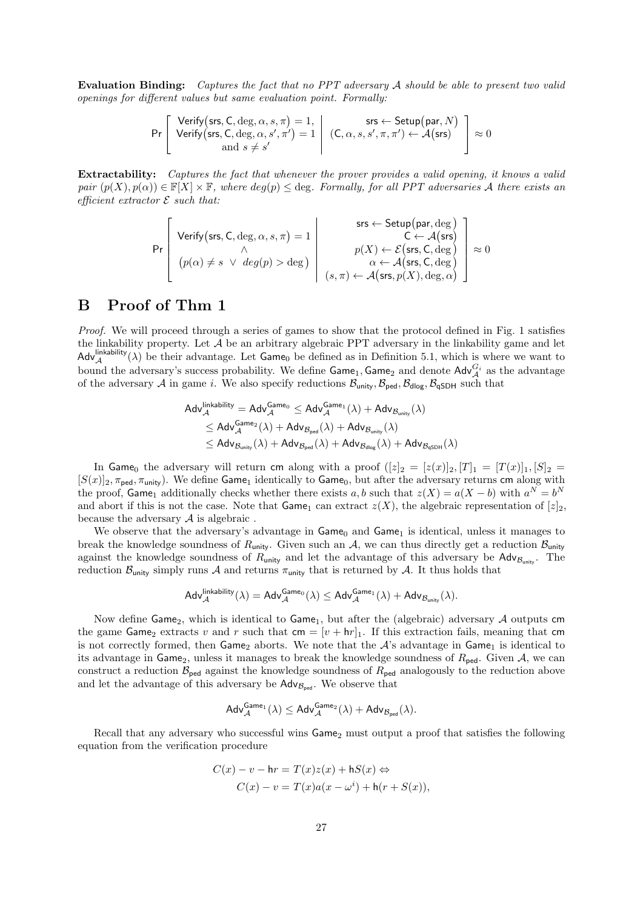Evaluation Binding: Captures the fact that no PPT adversary A should be able to present two valid openings for different values but same evaluation point. Formally:

$$
\Pr\left[\begin{array}{c}\n\text{Verify(srs, C, deg, \alpha, s, \pi) = 1,} \\
\text{Verify(srs, C, deg, \alpha, s', \pi') = 1} \\
\text{and } s \neq s'\n\end{array}\right\vert \begin{array}{c}\n\text{srs} \leftarrow \text{Setup(par, N)} \\
\text{C, \alpha, s, s', \pi, \pi'\right} \leftarrow \mathcal{A}(\text{srs}) \\
\leftarrow \mathcal{A}(\text{srs})\n\end{array}\right] \approx 0
$$

Extractability: Captures the fact that whenever the prover provides a valid opening, it knows a valid pair  $(p(X), p(\alpha)) \in \mathbb{F}[X] \times \mathbb{F}$ , where  $deg(p) \leq deg$ . Formally, for all PPT adversaries A there exists an efficient extractor  $\mathcal E$  such that:

$$
\Pr\left[\begin{array}{c} \text{Verify}(\text{srs},\text{C},\deg,\alpha,s,\pi)=1\\ \wedge \\ (p(\alpha)\neq s \;\vee \;\deg(p)>\deg) \end{array}\middle|\begin{array}{c} \text{srs} \leftarrow \text{Setup}(\text{par},\deg) \\ \text{C} \leftarrow \mathcal{A}(\text{srs}) \\ p(X) \leftarrow \mathcal{E}(\text{srs},\text{C},\deg) \\ \alpha \leftarrow \mathcal{A}(\text{srs},\text{C},\deg) \\ (s,\pi) \leftarrow \mathcal{A}(\text{srs},p(X),\deg,\alpha) \end{array}\right] \approx 0 \right.\right]
$$

### B Proof of Thm 1

Proof. We will proceed through a series of games to show that the protocol defined in Fig. 1 satisfies the linkability property. Let A be an arbitrary algebraic PPT adversary in the linkability game and let Adv<sup>linkability</sup> ( $\lambda$ ) be their advantage. Let Game<sub>0</sub> be defined as in Definition 5.1, which is where we want to bound the adversary's success probability. We define  $\mathsf{Game}_1, \mathsf{Game}_2$  and denote  $\mathsf{Adv}_{\mathcal{A}}^{G_i}$  as the advantage of the adversary A in game i. We also specify reductions  $B_{\text{unity}}, B_{\text{ped}}, B_{\text{dlog}}, B_{\text{qSDH}}$  such that

$$
\begin{aligned} \mathsf{Adv}_{\mathcal{A}}^{\mathsf{linkability}} &= \mathsf{Adv}_{\mathcal{A}}^{\mathsf{Game}_0} \leq \mathsf{Adv}_{\mathcal{A}}^{\mathsf{Game}_1}(\lambda) + \mathsf{Adv}_{\mathcal{B}_{\mathsf{unity}}}(\lambda) \\ & \leq \mathsf{Adv}_{\mathcal{A}}^{\mathsf{Game}_2}(\lambda) + \mathsf{Adv}_{\mathcal{B}_{\mathsf{ped}}}(\lambda) + \mathsf{Adv}_{\mathcal{B}_{\mathsf{unity}}}(\lambda) \\ & \leq \mathsf{Adv}_{\mathcal{B}_{\mathsf{unity}}}(\lambda) + \mathsf{Adv}_{\mathcal{B}_{\mathsf{ped}}}(\lambda) + \mathsf{Adv}_{\mathcal{B}_{\mathsf{dlog}}}(\lambda) + \mathsf{Adv}_{\mathcal{B}_{\mathsf{qSDH}}}(\lambda) \end{aligned}
$$

In Game<sub>0</sub> the adversary will return cm along with a proof  $([z]_2 = [z(x)]_2, [T]_1 = [T(x)]_1, [S]_2 =$  $[S(x)]_2$ ,  $\pi_{\text{ped}}, \pi_{\text{unity}})$ . We define Game<sub>1</sub> identically to Game<sub>0</sub>, but after the adversary returns cm along with the proof, Game<sub>1</sub> additionally checks whether there exists a, b such that  $z(X) = a(X - b)$  with  $a^N = b^N$ and abort if this is not the case. Note that Game<sub>1</sub> can extract  $z(X)$ , the algebraic representation of  $[z]_2$ , because the adversary  $A$  is algebraic.

We observe that the adversary's advantage in  $Game_0$  and  $Game_1$  is identical, unless it manages to break the knowledge soundness of  $R_{\text{unity}}$ . Given such an  $A$ , we can thus directly get a reduction  $B_{\text{unity}}$ . against the knowledge soundness of  $R_{\text{unity}}$  and let the advantage of this adversary be  $\text{Adv}_{B_{\text{unity}}}$ . The reduction  $B_{\text{unity}}$  simply runs A and returns  $\pi_{\text{unity}}$  that is returned by A. It thus holds that

$$
\mathsf{Adv}_{\mathcal{A}}^{\mathsf{linkability}}(\lambda) = \mathsf{Adv}_{\mathcal{A}}^{\mathsf{Game}_0}(\lambda) \leq \mathsf{Adv}_{\mathcal{A}}^{\mathsf{Game}_1}(\lambda) + \mathsf{Adv}_{\mathcal{B}_{\mathsf{unity}}}(\lambda).
$$

Now define Game<sub>2</sub>, which is identical to Game<sub>1</sub>, but after the (algebraic) adversary  $A$  outputs cm the game Game<sub>2</sub> extracts v and r such that  $cm = [v + hr]$ . If this extraction fails, meaning that cm is not correctly formed, then Game<sub>2</sub> aborts. We note that the  $A$ 's advantage in Game<sub>1</sub> is identical to its advantage in Game<sub>2</sub>, unless it manages to break the knowledge soundness of  $R_{\text{ped}}$ . Given  $A$ , we can construct a reduction  $\mathcal{B}_{\text{ped}}$  against the knowledge soundness of  $R_{\text{ped}}$  analogously to the reduction above and let the advantage of this adversary be  $\mathsf{Adv}_{\mathcal{B}_{\text{ped}}}$ . We observe that

$$
\mathsf{Adv}_{\mathcal{A}}^{\mathsf{Game}_1}(\lambda) \leq \mathsf{Adv}_{\mathcal{A}}^{\mathsf{Game}_2}(\lambda) + \mathsf{Adv}_{\mathcal{B}_\mathsf{ped}}(\lambda).
$$

Recall that any adversary who successful wins  $Game_2$  must output a proof that satisfies the following equation from the verification procedure

$$
C(x) - v - hr = T(x)z(x) + hS(x) \Leftrightarrow
$$
  

$$
C(x) - v = T(x)a(x - \omega^{i}) + h(r + S(x)),
$$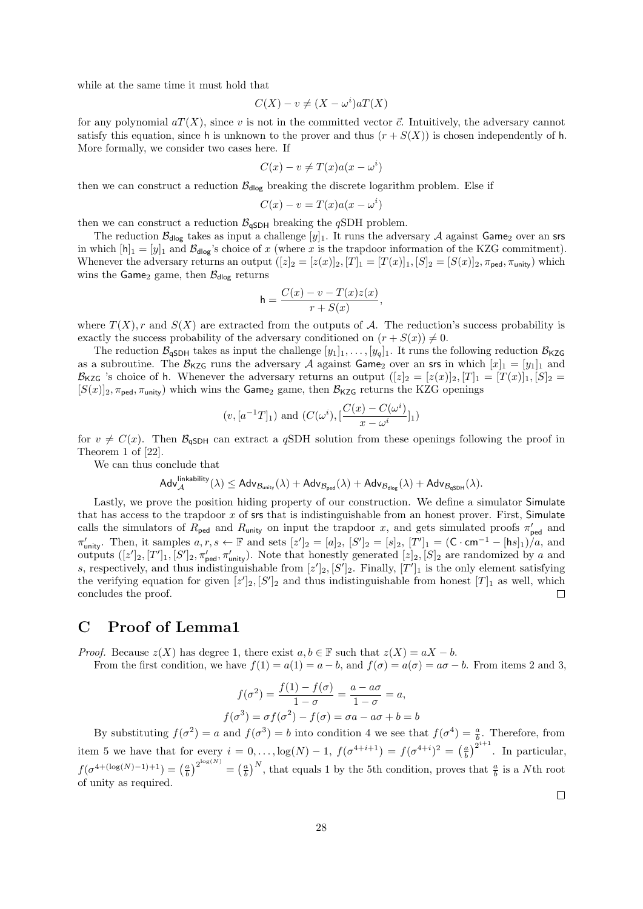while at the same time it must hold that

$$
C(X) - v \neq (X - \omega^i)aT(X)
$$

for any polynomial  $aT(X)$ , since v is not in the committed vector  $\vec{c}$ . Intuitively, the adversary cannot satisfy this equation, since h is unknown to the prover and thus  $(r + S(X))$  is chosen independently of h. More formally, we consider two cases here. If

$$
C(x) - v \neq T(x)a(x - \omega^i)
$$

then we can construct a reduction  $\mathcal{B}_{\text{dlog}}$  breaking the discrete logarithm problem. Else if

$$
C(x) - v = T(x)a(x - \omega^{i})
$$

then we can construct a reduction  $\mathcal{B}_{\mathsf{qSDH}}$  breaking the  $q{\rm SDH}$  problem.

The reduction  $\mathcal{B}_{\text{dlog}}$  takes as input a challenge  $[y]_1$ . It runs the adversary A against Game<sub>2</sub> over an srs in which  $[h]_1 = [y]_1$  and  $\mathcal{B}_{\text{dlog}}$ 's choice of x (where x is the trapdoor information of the KZG commitment). Whenever the adversary returns an output  $([z]_2 = [z(x)]_2, [T]_1 = [T(x)]_1, [S]_2 = [S(x)]_2, \pi_{\text{ped}}, \pi_{\text{unity}})$  which wins the Game<sub>2</sub> game, then  $\mathcal{B}_{\text{dlog}}$  returns

$$
h = \frac{C(x) - v - T(x)z(x)}{r + S(x)},
$$

where  $T(X)$ , r and  $S(X)$  are extracted from the outputs of A. The reduction's success probability is exactly the success probability of the adversary conditioned on  $(r + S(x)) \neq 0$ .

The reduction  $\mathcal{B}_{\mathsf{qSDH}}$  takes as input the challenge  $[y_1]_1, \ldots, [y_q]_1$ . It runs the following reduction  $\mathcal{B}_{\mathsf{KZG}}$ as a subroutine. The  $\mathcal{B}_{\text{KZG}}$  runs the adversary A against Game<sub>2</sub> over an srs in which  $[x]_1 = [y_1]_1$  and  $\mathcal{B}_{\mathsf{KZG}}$  's choice of h. Whenever the adversary returns an output  $([z]_2 = [z(x)]_2, [T]_1 = [T(x)]_1, [S]_2 =$  $[S(x)]_2$ ,  $\pi_{\text{ped}}$ ,  $\pi_{\text{unity}}$ ) which wins the Game<sub>2</sub> game, then  $\mathcal{B}_{\text{KZG}}$  returns the KZG openings

$$
(v, [a^{-1}T]_1)
$$
 and  $(C(\omega^i), \left[\frac{C(x) - C(\omega^i)}{x - \omega^i}\right]_1)$ 

for  $v \neq C(x)$ . Then  $\mathcal{B}_{\mathsf{qSDH}}$  can extract a qSDH solution from these openings following the proof in Theorem 1 of [22].

We can thus conclude that

$$
\mathsf{Adv}_{\mathcal{A}}^{\mathsf{linkability}}(\lambda) \leq \mathsf{Adv}_{\mathcal{B}_{\mathsf{unity}}}(\lambda) + \mathsf{Adv}_{\mathcal{B}_{\mathsf{ped}}}(\lambda) + \mathsf{Adv}_{\mathcal{B}_{\mathsf{dlog}}}(\lambda) + \mathsf{Adv}_{\mathcal{B}_{\mathsf{qSDH}}}(\lambda).
$$

Lastly, we prove the position hiding property of our construction. We define a simulator Simulate that has access to the trapdoor  $x$  of srs that is indistinguishable from an honest prover. First, Simulate calls the simulators of  $R_{\text{ped}}$  and  $R_{\text{unity}}$  on input the trapdoor x, and gets simulated proofs  $\pi'_{\text{ped}}$  and  $\pi'_{\text{unity}}$ . Then, it samples  $a, r, s \leftarrow \mathbb{F}$  and sets  $[z']_2 = [a]_2$ ,  $[S']_2 = [s]_2$ ,  $[T']_1 = (\mathsf{C} \cdot \mathsf{cm}^{-1} - [\mathsf{h} s]_1)/a$ , and outputs  $([z']_2, [T']_1, [S']_2, \pi'_{\text{ped}}, \pi'_{\text{unity}})$ . Note that honestly generated  $[z]_2, [S]_2$  are randomized by a and s, respectively, and thus indistinguishable from  $[z']_2$ ,  $[S']_2$ . Finally,  $[T']_1$  is the only element satisfying the verifying equation for given  $[z']_2$ ,  $[S']_2$  and thus indistinguishable from honest  $[T]_1$  as well, which concludes the proof.  $\Box$ 

### C Proof of Lemma1

*Proof.* Because  $z(X)$  has degree 1, there exist  $a, b \in \mathbb{F}$  such that  $z(X) = aX - b$ .

From the first condition, we have  $f(1) = a(1) = a - b$ , and  $f(\sigma) = a(\sigma) = a\sigma - b$ . From items 2 and 3,

$$
f(\sigma^2) = \frac{f(1) - f(\sigma)}{1 - \sigma} = \frac{a - a\sigma}{1 - \sigma} = a,
$$
  

$$
f(\sigma^3) = \sigma f(\sigma^2) - f(\sigma) = \sigma a - a\sigma + b = b
$$

By substituting  $f(\sigma^2) = a$  and  $f(\sigma^3) = b$  into condition 4 we see that  $f(\sigma^4) = \frac{a}{b}$ . Therefore, from item 5 we have that for every  $i = 0, \ldots, \log(N) - 1$ ,  $f(\sigma^{4+i+1}) = f(\sigma^{4+i})^2 = \left(\frac{a}{b}\right)^{2^{i+1}}$ . In particular,  $f(\sigma^{4+(\log(N)-1)+1}) = \left(\frac{a}{b}\right)^{2^{\log(N)}} = \left(\frac{a}{b}\right)^N$ , that equals 1 by the 5th condition, proves that  $\frac{a}{b}$  is a Nth root of unity as required.

 $\Box$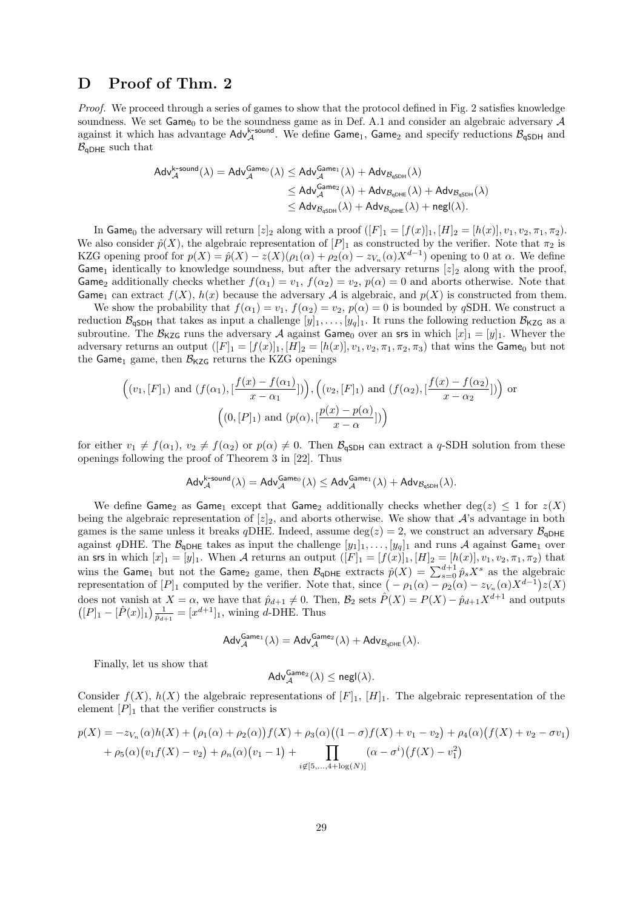# D Proof of Thm. 2

Proof. We proceed through a series of games to show that the protocol defined in Fig. 2 satisfies knowledge soundness. We set  $Game_0$  to be the soundness game as in Def. A.1 and consider an algebraic adversary  $A$ against it which has advantage  $\text{Adv}_{\mathcal{A}}^{\mathsf{k}\text{-sound}}$ . We define Game<sub>1</sub>, Game<sub>2</sub> and specify reductions  $\mathcal{B}_{\text{qSDH}}$  and  $B_{\alpha DHE}$  such that

$$
\begin{aligned}\text{Adv}_{\mathcal{A}}^{\text{k-sound}}(\lambda) &= \text{Adv}_{\mathcal{A}}^{\text{Game}_0}(\lambda) \leq \text{Adv}_{\mathcal{A}}^{\text{Game}_1}(\lambda) + \text{Adv}_{\mathcal{B}_{\text{qSDH}}}(\lambda) \\ & \leq \text{Adv}_{\mathcal{A}}^{\text{Game}_2}(\lambda) + \text{Adv}_{\mathcal{B}_{\text{qDHE}}}(\lambda) + \text{Adv}_{\mathcal{B}_{\text{qSDH}}}(\lambda) \\ & \leq \text{Adv}_{\mathcal{B}_{\text{qSDH}}}(\lambda) + \text{Adv}_{\mathcal{B}_{\text{qDHE}}}(\lambda) + \text{negl}(\lambda).\end{aligned}
$$

In Game<sub>0</sub> the adversary will return  $[z]_2$  along with a proof  $([F]_1 = [f(x)]_1, [H]_2 = [h(x)]$ ,  $v_1, v_2, \pi_1, \pi_2$ ). We also consider  $\hat{p}(X)$ , the algebraic representation of  $[P]_1$  as constructed by the verifier. Note that  $\pi_2$  is KZG opening proof for  $p(X) = \hat{p}(X) - z(X)(\rho_1(\alpha) + \rho_2(\alpha) - z_{V_n}(\alpha)X^{d-1})$  opening to 0 at  $\alpha$ . We define Game<sub>1</sub> identically to knowledge soundness, but after the adversary returns  $[z]_2$  along with the proof, Game<sub>2</sub> additionally checks whether  $f(\alpha_1) = v_1$ ,  $f(\alpha_2) = v_2$ ,  $p(\alpha) = 0$  and aborts otherwise. Note that Game<sub>1</sub> can extract  $f(X)$ ,  $h(x)$  because the adversary A is algebraic, and  $p(X)$  is constructed from them.

We show the probability that  $f(\alpha_1) = v_1$ ,  $f(\alpha_2) = v_2$ ,  $p(\alpha) = 0$  is bounded by qSDH. We construct a reduction  $\mathcal{B}_{\mathsf{qSDH}}$  that takes as input a challenge  $[y]_1, \ldots, [y_q]_1$ . It runs the following reduction  $\mathcal{B}_{\mathsf{KZG}}$  as a subroutine. The  $\mathcal{B}_{KZG}$  runs the adversary A against Game<sub>0</sub> over an srs in which  $[x]_1 = [y]_1$ . Whever the adversary returns an output  $([F]_1 = [f(x)]_1, [H]_2 = [h(x)], v_1, v_2, \pi_1, \pi_2, \pi_3)$  that wins the Game<sub>0</sub> but not the Game<sub>1</sub> game, then  $\mathcal{B}_{\text{KZG}}$  returns the KZG openings

$$
\left((v_1,[F]_1) \text{ and } (f(\alpha_1),[\frac{f(x)-f(\alpha_1)}{x-\alpha_1}])\right), \left((v_2,[F]_1) \text{ and } (f(\alpha_2),[\frac{f(x)-f(\alpha_2)}{x-\alpha_2}])\right) \text{ or}
$$

$$
\left((0,[P]_1) \text{ and } (p(\alpha),[\frac{p(x)-p(\alpha)}{x-\alpha}])\right)
$$

for either  $v_1 \neq f(\alpha_1), v_2 \neq f(\alpha_2)$  or  $p(\alpha) \neq 0$ . Then  $\mathcal{B}_{\mathsf{qSDH}}$  can extract a q-SDH solution from these openings following the proof of Theorem 3 in [22]. Thus

$$
\mathsf{Adv}_{\mathcal{A}}^{\mathsf{k\text{-}sound}}(\lambda) = \mathsf{Adv}_{\mathcal{A}}^{\mathsf{Game}_0}(\lambda) \leq \mathsf{Adv}_{\mathcal{A}}^{\mathsf{Game}_1}(\lambda) + \mathsf{Adv}_{\mathcal{B}_\mathsf{qSDH}}(\lambda).
$$

We define Game<sub>2</sub> as Game<sub>1</sub> except that Game<sub>2</sub> additionally checks whether deg(z)  $\leq$  1 for  $z(X)$ being the algebraic representation of  $[z]_2$ , and aborts otherwise. We show that A's advantage in both games is the same unless it breaks qDHE. Indeed, assume deg( $z$ ) = 2, we construct an adversary  $B_{qDHE}$ against qDHE. The  $\mathcal{B}_{qDHE}$  takes as input the challenge  $[y_1]_1, \ldots, [y_q]_1$  and runs A against Game<sub>1</sub> over an srs in which  $[x]_1 = [y]_1$ . When A returns an output  $([F]_1 = [f(x)]_1, [H]_2 = [h(x)], v_1, v_2, \pi_1, \pi_2)$  that wins the Game<sub>1</sub> but not the Game<sub>2</sub> game, then  $\mathcal{B}_{\text{qDHE}}$  extracts  $\hat{p}(X) = \sum_{s=0}^{d+1} \hat{p}_s X^s$  as the algebraic representation of  $[P]_1$  computed by the verifier. Note that, since  $(-\rho_1(\alpha) - \rho_2(\alpha) - z_{V_n}(\alpha)X^{d-1})z(X)$ does not vanish at  $X = \alpha$ , we have that  $\hat{p}_{d+1} \neq 0$ . Then,  $\mathcal{B}_2$  sets  $\hat{P}(X) = P(X) - \hat{p}_{d+1}X^{d+1}$  and outputs  $([P]_1 - [\hat{P}(x)]_1) \frac{1}{\hat{p}_{d+1}} = [x^{d+1}]_1$ , wining d-DHE. Thus

$$
\mathsf{Adv}_{\mathcal{A}}^{\mathsf{Game}_1}(\lambda) = \mathsf{Adv}_{\mathcal{A}}^{\mathsf{Game}_2}(\lambda) + \mathsf{Adv}_{\mathcal{B}_{{\mathsf{qDHE}}}(\lambda).
$$

Finally, let us show that

$$
\mathsf{Adv}_{\mathcal{A}}^{\mathsf{Game}_2}(\lambda) \leq \mathsf{negl}(\lambda).
$$

Consider  $f(X)$ ,  $h(X)$  the algebraic representations of  $[F]_1$ ,  $[H]_1$ . The algebraic representation of the element  $[P]_1$  that the verifier constructs is

$$
p(X) = -z_{V_n}(\alpha)h(X) + (\rho_1(\alpha) + \rho_2(\alpha))f(X) + \rho_3(\alpha)((1 - \sigma)f(X) + v_1 - v_2) + \rho_4(\alpha)(f(X) + v_2 - \sigma v_1) + \rho_5(\alpha)(v_1f(X) - v_2) + \rho_n(\alpha)(v_1 - 1) + \prod_{i \notin [5,...,4+\log(N)]} (\alpha - \sigma^i)(f(X) - v_1^2)
$$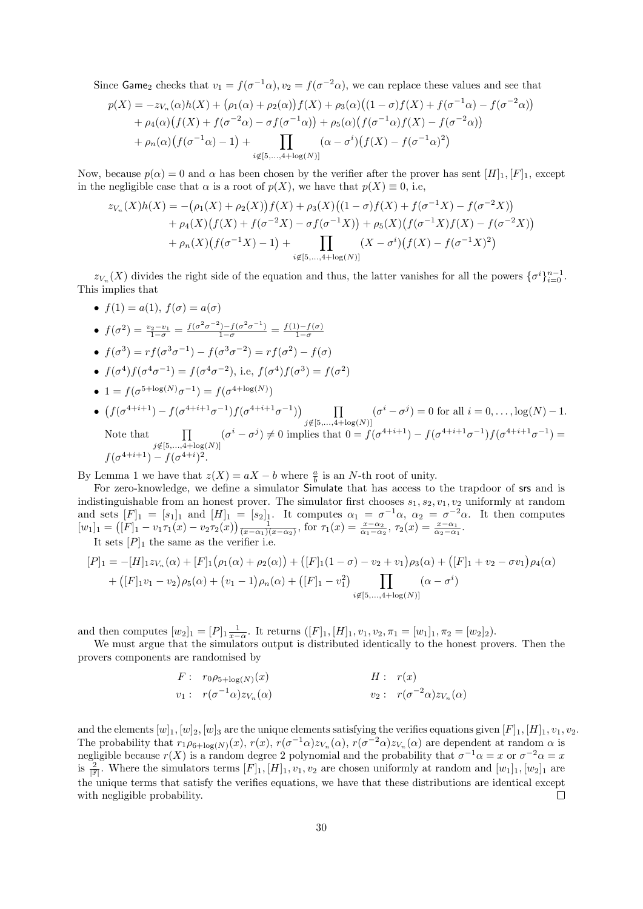Since Game<sub>2</sub> checks that  $v_1 = f(\sigma^{-1}\alpha)$ ,  $v_2 = f(\sigma^{-2}\alpha)$ , we can replace these values and see that

$$
p(X) = -z_{V_n}(\alpha)h(X) + (\rho_1(\alpha) + \rho_2(\alpha))f(X) + \rho_3(\alpha)((1 - \sigma)f(X) + f(\sigma^{-1}\alpha) - f(\sigma^{-2}\alpha))
$$
  
+  $\rho_4(\alpha)(f(X) + f(\sigma^{-2}\alpha) - \sigma f(\sigma^{-1}\alpha)) + \rho_5(\alpha)(f(\sigma^{-1}\alpha)f(X) - f(\sigma^{-2}\alpha))$   
+  $\rho_n(\alpha)(f(\sigma^{-1}\alpha) - 1) + \prod_{i \notin [5,...,4+\log(N)]} (\alpha - \sigma^i)(f(X) - f(\sigma^{-1}\alpha)^2)$ 

Now, because  $p(\alpha) = 0$  and  $\alpha$  has been chosen by the verifier after the prover has sent  $[H]_1, [F]_1$ , except in the negligible case that  $\alpha$  is a root of  $p(X)$ , we have that  $p(X) \equiv 0$ , i.e,

$$
z_{V_n}(X)h(X) = -(\rho_1(X) + \rho_2(X))f(X) + \rho_3(X)((1 - \sigma)f(X) + f(\sigma^{-1}X) - f(\sigma^{-2}X))
$$
  
+  $\rho_4(X)(f(X) + f(\sigma^{-2}X) - \sigma f(\sigma^{-1}X)) + \rho_5(X)(f(\sigma^{-1}X)f(X) - f(\sigma^{-2}X))$   
+  $\rho_n(X)(f(\sigma^{-1}X) - 1) + \prod_{i \notin [5,...,4 + \log(N)]} (X - \sigma^i)(f(X) - f(\sigma^{-1}X)^2)$ 

 $z_{V_n}(X)$  divides the right side of the equation and thus, the latter vanishes for all the powers  $\{\sigma^i\}_{i=0}^{n-1}$ . This implies that

•  $f(1) = a(1), f(\sigma) = a(\sigma)$ •  $f(\sigma^2) = \frac{v_2 - v_1}{1 - \sigma} = \frac{f(\sigma^2 \sigma^{-2}) - f(\sigma^2 \sigma^{-1})}{1 - \sigma} = \frac{f(1) - f(\sigma)}{1 - \sigma}$  $1-\sigma$ •  $f(\sigma^3) = rf(\sigma^3 \sigma^{-1}) - f(\sigma^3 \sigma^{-2}) = rf(\sigma^2) - f(\sigma)$ •  $f(\sigma^4) f(\sigma^4 \sigma^{-1}) = f(\sigma^4 \sigma^{-2}),$  i.e,  $f(\sigma^4) f(\sigma^3) = f(\sigma^2)$ •  $1 = f(\sigma^{5 + \log(N)}\sigma^{-1}) = f(\sigma^{4 + \log(N)})$ •  $(f(\sigma^{4+i+1}) - f(\sigma^{4+i+1}\sigma^{-1})f(\sigma^{4+i+1}\sigma^{-1})$  $\Pi$  $(\sigma^i - \sigma^j) = 0$  for all  $i = 0, \ldots, \log(N) - 1$ .

Note that 
$$
\prod_{\substack{j \notin [5,\ldots,4+\log(N)] \\ j \notin [5,\ldots,4+\log(N)]}} (\sigma^i - \sigma^j) \neq 0 \text{ implies that } 0 = f(\sigma^{4+i+1}) - f(\sigma^{4+i+1}\sigma^{-1})f(\sigma^{4+i+1}\sigma^{-1}) = f(\sigma^{4+i+1}) - f(\sigma^{4+i+1})^2.
$$

By Lemma 1 we have that  $z(X) = aX - b$  where  $\frac{a}{b}$  is an N-th root of unity.

For zero-knowledge, we define a simulator Simulate that has access to the trapdoor of srs and is indistinguishable from an honest prover. The simulator first chooses  $s_1, s_2, v_1, v_2$  uniformly at random and sets  $[F]_1 = [s_1]_1$  and  $[H]_1 = [s_2]_1$ . It computes  $\alpha_1 = \sigma^{-1}\alpha$ ,  $\alpha_2 = \sigma^{-2}\alpha$ . It then computes  $[w_1]_1 = ([F]_1 - v_1 \tau_1(x) - v_2 \tau_2(x)) \frac{1}{(x-\alpha_1)(x-\alpha_2)}$ , for  $\tau_1(x) = \frac{x-\alpha_2}{\alpha_1-\alpha_2}$ ,  $\tau_2(x) = \frac{x-\alpha_1}{\alpha_2-\alpha_1}$ .

It sets  $[P]_1$  the same as the verifier i.e.

$$
[P]_1 = -[H]_1 z_{V_n}(\alpha) + [F]_1 (\rho_1(\alpha) + \rho_2(\alpha)) + ([F]_1 (1 - \sigma) - v_2 + v_1) \rho_3(\alpha) + ([F]_1 + v_2 - \sigma v_1) \rho_4(\alpha)
$$
  
+ 
$$
([F]_1 v_1 - v_2) \rho_5(\alpha) + (v_1 - 1) \rho_n(\alpha) + ([F]_1 - v_1^2) \prod_{i \notin [5,...,4+\log(N)]} (\alpha - \sigma^i)
$$

and then computes  $[w_2]_1 = [P]_1 \frac{1}{x-\alpha}$ . It returns  $([F]_1, [H]_1, v_1, v_2, \pi_1 = [w_1]_1, \pi_2 = [w_2]_2$ .

We must argue that the simulators output is distributed identically to the honest provers. Then the provers components are randomised by

$$
F: r_0 \rho_{5+\log(N)}(x)
$$
  
\n
$$
v_1: r(\sigma^{-1}\alpha)z_{V_n}(\alpha)
$$
  
\n
$$
H: r(x)
$$
  
\n
$$
v_2: r(\sigma^{-2}\alpha)z_{V_n}(\alpha)
$$

and the elements  $[w]_1$ ,  $[w]_2$ ,  $[w]_3$  are the unique elements satisfying the verifies equations given  $[F]_1$ ,  $[H]_1$ ,  $v_1$ ,  $v_2$ . The probability that  $r_1 \rho_{6+\log(N)}(x)$ ,  $r(x)$ ,  $r(\sigma^{-1}\alpha)z_{V_n}(\alpha)$ ,  $r(\sigma^{-2}\alpha)z_{V_n}(\alpha)$  are dependent at random  $\alpha$  is negligible because  $r(X)$  is a random degree 2 polynomial and the probability that  $\sigma^{-1}\alpha = x$  or  $\sigma^{-2}\alpha = x$ is  $\frac{2}{|\mathbb{F}|}$ . Where the simulators terms  $[F]_1, [H]_1, v_1, v_2$  are chosen uniformly at random and  $[w_1]_1, [w_2]_1$  are the unique terms that satisfy the verifies equations, we have that these distributions are identical except with negligible probability.  $\Box$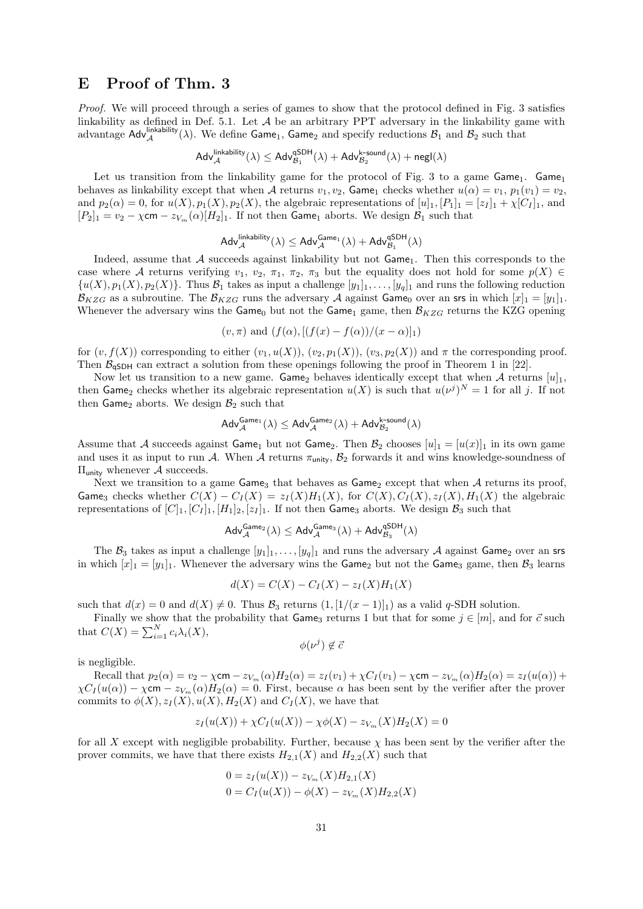# E Proof of Thm. 3

Proof. We will proceed through a series of games to show that the protocol defined in Fig. 3 satisfies linkability as defined in Def. 5.1. Let  $A$  be an arbitrary PPT adversary in the linkability game with advantage  $\text{Adv}_{\mathcal{A}}^{\text{linkability}}(\lambda)$ . We define Game<sub>1</sub>, Game<sub>2</sub> and specify reductions  $\mathcal{B}_1$  and  $\mathcal{B}_2$  such that

$$
\mathsf{Adv}_{\mathcal{A}}^{\mathsf{linkability}}(\lambda) \leq \mathsf{Adv}_{\mathcal{B}_1}^{\mathsf{qSDH}}(\lambda) + \mathsf{Adv}_{\mathcal{B}_2}^{\mathsf{k\text{-}sound}}(\lambda) + \mathsf{negl}(\lambda)
$$

Let us transition from the linkability game for the protocol of Fig. 3 to a game Game<sub>1</sub>. Game<sub>1</sub> behaves as linkability except that when A returns  $v_1, v_2$ , Game<sub>1</sub> checks whether  $u(\alpha) = v_1$ ,  $p_1(v_1) = v_2$ , and  $p_2(\alpha) = 0$ , for  $u(X), p_1(X), p_2(X)$ , the algebraic representations of  $[u]_1, [P_1]_1 = [z_I]_1 + \chi[C_I]_1$ , and  $[P_2]_1 = v_2 - \chi$ cm  $-v_{V_m}(\alpha)[H_2]_1$ . If not then Game<sub>1</sub> aborts. We design  $\mathcal{B}_1$  such that

$$
\mathsf{Adv}_{\mathcal{A}}^{\mathsf{linkability}}(\lambda) \leq \mathsf{Adv}_{\mathcal{A}}^{\mathsf{Game}_1}(\lambda) + \mathsf{Adv}_{\mathcal{B}_1}^{\mathsf{qSDH}}(\lambda)
$$

Indeed, assume that  $A$  succeeds against linkability but not  $Game_1$ . Then this corresponds to the case where A returns verifying  $v_1, v_2, \pi_1, \pi_2, \pi_3$  but the equality does not hold for some  $p(X) \in$  $\{u(X), p_1(X), p_2(X)\}\.$  Thus  $\mathcal{B}_1$  takes as input a challenge  $[y_1]_1, \ldots, [y_q]_1$  and runs the following reduction  $\mathcal{B}_{KZG}$  as a subroutine. The  $\mathcal{B}_{KZG}$  runs the adversary A against Game<sub>0</sub> over an srs in which  $[x]_1 = [y_1]_1$ . Whenever the adversary wins the Game<sub>0</sub> but not the Game<sub>1</sub> game, then  $\mathcal{B}_{KZG}$  returns the KZG opening

$$
(v, \pi)
$$
 and  $(f(\alpha), [(f(x) - f(\alpha))/(x - \alpha)]_1)$ 

for  $(v, f(X))$  corresponding to either  $(v_1, u(X))$ ,  $(v_2, p_1(X))$ ,  $(v_3, p_2(X))$  and  $\pi$  the corresponding proof. Then  $B_{\text{qSDH}}$  can extract a solution from these openings following the proof in Theorem 1 in [22].

Now let us transition to a new game. Game<sub>2</sub> behaves identically except that when  $\mathcal A$  returns  $[u]_1$ , then Game<sub>2</sub> checks whether its algebraic representation  $u(X)$  is such that  $u(\nu^j)^N = 1$  for all j. If not then Game<sub>2</sub> aborts. We design  $\mathcal{B}_2$  such that

$$
\mathsf{Adv}_{\mathcal{A}}^{\mathsf{Game}_1}(\lambda) \leq \mathsf{Adv}_{\mathcal{A}}^{\mathsf{Game}_2}(\lambda) + \mathsf{Adv}_{\mathcal{B}_2}^{\mathsf{k\text{-}sound}}(\lambda)
$$

Assume that A succeeds against Game<sub>1</sub> but not Game<sub>2</sub>. Then  $\mathcal{B}_2$  chooses  $[u]_1 = [u(x)]_1$  in its own game and uses it as input to run A. When A returns  $\pi_{\text{unity}}$ ,  $\mathcal{B}_2$  forwards it and wins knowledge-soundness of  $\Pi_{\mathsf{unity}}$  whenever  $\mathcal A$  succeeds.

Next we transition to a game  $\mathsf{Game}_3$  that behaves as  $\mathsf{Game}_2$  except that when A returns its proof, Game<sub>3</sub> checks whether  $C(X) - C_I(X) = z_I(X)H_1(X)$ , for  $C(X), C_I(X), z_I(X), H_1(X)$  the algebraic representations of  $[C]_1$ ,  $[C]_1$ ,  $[H_1]_2$ ,  $[z_I]_1$ . If not then Game<sub>3</sub> aborts. We design  $\mathcal{B}_3$  such that

$$
\mathsf{Adv}_{\mathcal{A}}^{\mathsf{Game}_2}(\lambda) \leq \mathsf{Adv}_{\mathcal{A}}^{\mathsf{Game}_3}(\lambda) + \mathsf{Adv}_{\mathcal{B}_3}^{\mathsf{qSDH}}(\lambda)
$$

The  $\mathcal{B}_3$  takes as input a challenge  $[y_1]_1, \ldots, [y_q]_1$  and runs the adversary A against Game<sub>2</sub> over an srs in which  $[x]_1 = [y_1]_1$ . Whenever the adversary wins the Game<sub>2</sub> but not the Game<sub>3</sub> game, then  $\mathcal{B}_3$  learns

$$
d(X) = C(X) - C_I(X) - z_I(X)H_1(X)
$$

such that  $d(x) = 0$  and  $d(X) \neq 0$ . Thus  $\mathcal{B}_3$  returns  $(1, (1/(x-1))_1)$  as a valid q-SDH solution.

Finally we show that the probability that  $\mathsf{Game}_3$  returns 1 but that for some  $j \in [m]$ , and for  $\vec{c}$  such that  $C(X) = \sum_{i=1}^{N} c_i \lambda_i(X)$ ,

$$
\phi(\nu^j) \notin \bar{c}
$$

is negligible.

Recall that  $p_2(\alpha) = v_2 - \chi$ cm  $-z_{V_m}(\alpha)H_2(\alpha) = z_I(v_1) + \chi C_I(v_1) - \chi$ cm  $-z_{V_m}(\alpha)H_2(\alpha) = z_I(u(\alpha)) +$  $\chi C_I(u(\alpha)) - \chi$ cm –  $z_{V_m}(\alpha)H_2(\alpha) = 0$ . First, because  $\alpha$  has been sent by the verifier after the prover commits to  $\phi(X), z_I(X), u(X), H_2(X)$  and  $C_I(X)$ , we have that

$$
z_I(u(X)) + \chi C_I(u(X)) - \chi \phi(X) - z_{V_m}(X)H_2(X) = 0
$$

for all X except with negligible probability. Further, because  $\chi$  has been sent by the verifier after the prover commits, we have that there exists  $H_{2,1}(X)$  and  $H_{2,2}(X)$  such that

$$
0 = z_I(u(X)) - z_{V_m}(X)H_{2,1}(X)
$$
  
0 =  $C_I(u(X)) - \phi(X) - z_{V_m}(X)H_{2,2}(X)$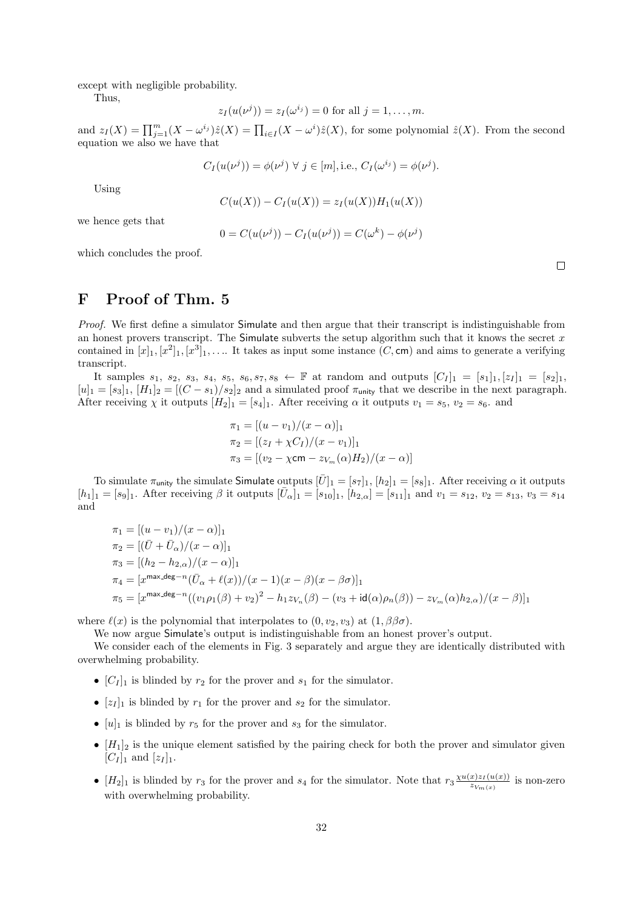except with negligible probability.

Thus,

$$
z_I(u(\nu^{j})) = z_I(\omega^{i_j}) = 0
$$
 for all  $j = 1, ..., m$ .

and  $z_I(X) = \prod_{j=1}^m (X - \omega^{i_j}) \hat{z}(X) = \prod_{i \in I} (X - \omega^{i_i}) \hat{z}(X)$ , for some polynomial  $\hat{z}(X)$ . From the second equation we also we have that

$$
C_I(u(\nu^j)) = \phi(\nu^j) \ \forall \ j \in [m], \text{i.e., } C_I(\omega^{i_j}) = \phi(\nu^j).
$$

Using

$$
C(u(X)) - C_I(u(X)) = z_I(u(X))H_1(u(X))
$$

we hence gets that

$$
0 = C(u(\nu^{j})) - C_{I}(u(\nu^{j})) = C(\omega^{k}) - \phi(\nu^{j})
$$

which concludes the proof.

### F Proof of Thm. 5

Proof. We first define a simulator Simulate and then argue that their transcript is indistinguishable from an honest provers transcript. The Simulate subverts the setup algorithm such that it knows the secret  $x$ contained in  $[x]_1, [x^2]_1, [x^3]_1, \ldots$  It takes as input some instance  $(C, \text{cm})$  and aims to generate a verifying transcript.

It samples  $s_1$ ,  $s_2$ ,  $s_3$ ,  $s_4$ ,  $s_5$ ,  $s_6$ ,  $s_7$ ,  $s_8 \leftarrow \mathbb{F}$  at random and outputs  $[C_I]_1 = [s_1]_1, [z_I]_1 = [s_2]_1$ ,  $[u]_1 = [s_3]_1$ ,  $[H_1]_2 = [(C - s_1)/s_2]_2$  and a simulated proof  $\pi_{\text{unity}}$  that we describe in the next paragraph. After receiving  $\chi$  it outputs  $[H_2]_1 = [s_4]_1$ . After receiving  $\alpha$  it outputs  $v_1 = s_5$ ,  $v_2 = s_6$ . and

$$
\pi_1 = [(u - v_1)/(x - \alpha)]_1
$$
  
\n
$$
\pi_2 = [(z_I + \chi C_I)/(x - v_1)]_1
$$
  
\n
$$
\pi_3 = [(v_2 - \chi \text{cm} - z_{V_m}(\alpha)H_2)/(x - \alpha)]
$$

To simulate  $\pi_{\text{unity}}$  the simulate Simulate outputs  $[\bar{U}]_1 = [s_7]_1$ ,  $[h_2]_1 = [s_8]_1$ . After receiving  $\alpha$  it outputs  $[h_1]_1 = [s_9]_1$ . After receiving  $\beta$  it outputs  $[\bar{U}_{\alpha}]_1 = [s_{10}]_1$ ,  $[h_{2,\alpha}] = [s_{11}]_1$  and  $v_1 = s_{12}, v_2 = s_{13}, v_3 = s_{14}$ and

$$
\pi_1 = [(u - v_1)/(x - \alpha)]_1
$$
  
\n
$$
\pi_2 = [(\bar{U} + \bar{U}_{\alpha})/(x - \alpha)]_1
$$
  
\n
$$
\pi_3 = [(h_2 - h_{2,\alpha})/(x - \alpha)]_1
$$
  
\n
$$
\pi_4 = [x^{\max \deg - n}(\bar{U}_{\alpha} + \ell(x))/(x - 1)(x - \beta)(x - \beta \sigma)]_1
$$
  
\n
$$
\pi_5 = [x^{\max \deg - n}((v_1\rho_1(\beta) + v_2)^2 - h_1z_{V_n}(\beta) - (v_3 + id(\alpha)\rho_n(\beta)) - z_{V_m}(\alpha)h_{2,\alpha})/(x - \beta)]_1
$$

where  $\ell(x)$  is the polynomial that interpolates to  $(0, v_2, v_3)$  at  $(1, \beta\beta\sigma)$ .

We now argue Simulate's output is indistinguishable from an honest prover's output.

We consider each of the elements in Fig. 3 separately and argue they are identically distributed with overwhelming probability.

- $[C_I]_1$  is blinded by  $r_2$  for the prover and  $s_1$  for the simulator.
- $[z_I]_1$  is blinded by  $r_1$  for the prover and  $s_2$  for the simulator.
- $[u]_1$  is blinded by  $r_5$  for the prover and  $s_3$  for the simulator.
- $[H_1]_2$  is the unique element satisfied by the pairing check for both the prover and simulator given  $[C_I]_1$  and  $[z_I]_1$ .
- $[H_2]_1$  is blinded by  $r_3$  for the prover and  $s_4$  for the simulator. Note that  $r_3 \frac{\chi u(x) z_I(u(x))}{z_V}$  $\frac{x}{z_{V_m(x)}}$  is non-zero with overwhelming probability.

 $\Box$